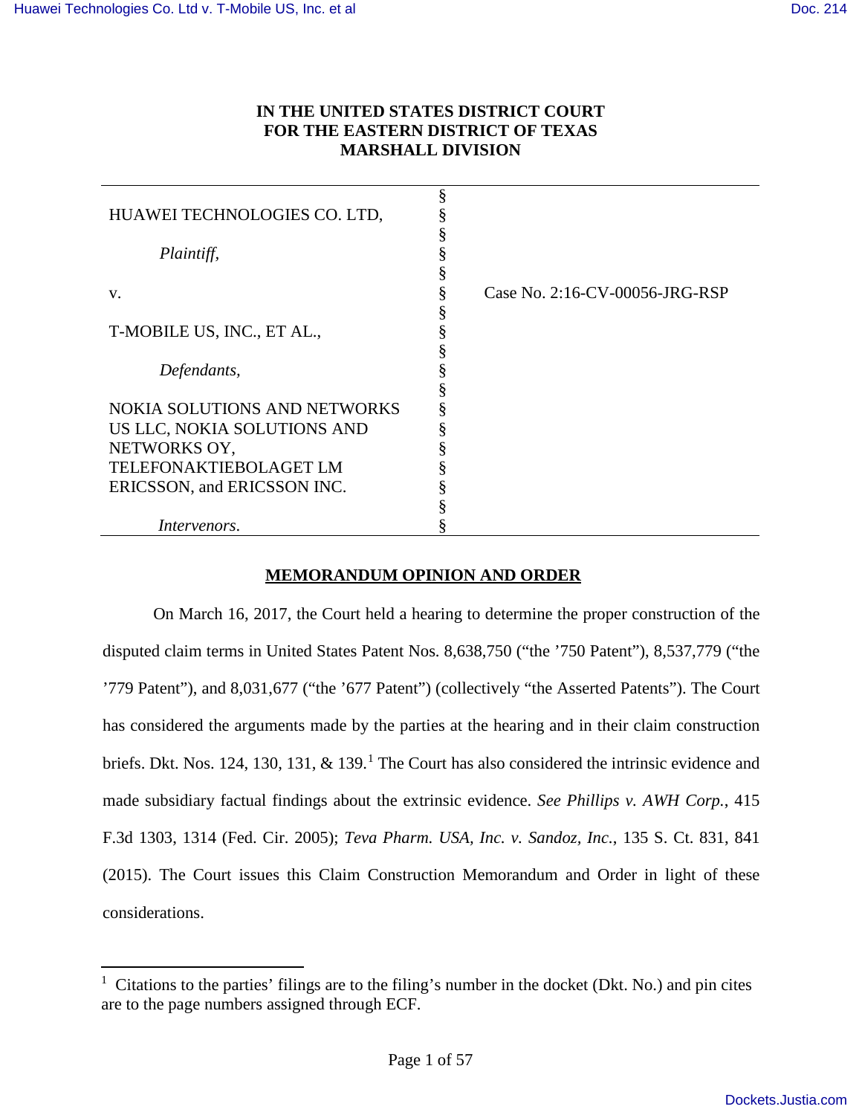$\overline{a}$ 

# **IN THE UNITED STATES DISTRICT COURT FOR THE EASTERN DISTRICT OF TEXAS MARSHALL DIVISION**

| HUAWEI TECHNOLOGIES CO. LTD,        |                                |
|-------------------------------------|--------------------------------|
|                                     |                                |
| Plaintiff,                          |                                |
|                                     |                                |
| V.                                  | Case No. 2:16-CV-00056-JRG-RSP |
|                                     |                                |
| T-MOBILE US, INC., ET AL.,          |                                |
|                                     |                                |
| Defendants,                         |                                |
|                                     |                                |
| <b>NOKIA SOLUTIONS AND NETWORKS</b> |                                |
| US LLC, NOKIA SOLUTIONS AND         |                                |
| NETWORKS OY,                        |                                |
| <b>TELEFONAKTIEBOLAGET LM</b>       |                                |
| ERICSSON, and ERICSSON INC.         |                                |
|                                     |                                |
| Intervenors.                        |                                |

# **MEMORANDUM OPINION AND ORDER**

On March 16, 2017, the Court held a hearing to determine the proper construction of the disputed claim terms in United States Patent Nos. 8,638,750 ("the '750 Patent"), 8,537,779 ("the '779 Patent"), and 8,031,677 ("the '677 Patent") (collectively "the Asserted Patents"). The Court has considered the arguments made by the parties at the hearing and in their claim construction briefs. Dkt. Nos. [1](#page-0-0)24, 130, 131,  $&$  139.<sup>1</sup> The Court has also considered the intrinsic evidence and made subsidiary factual findings about the extrinsic evidence. *See Phillips v. AWH Corp.*, 415 F.3d 1303, 1314 (Fed. Cir. 2005); *Teva Pharm. USA, Inc. v. Sandoz, Inc.*, 135 S. Ct. 831, 841 (2015). The Court issues this Claim Construction Memorandum and Order in light of these considerations.

<span id="page-0-0"></span><sup>&</sup>lt;sup>1</sup> Citations to the parties' filings are to the filing's number in the docket (Dkt. No.) and pin cites are to the page numbers assigned through ECF.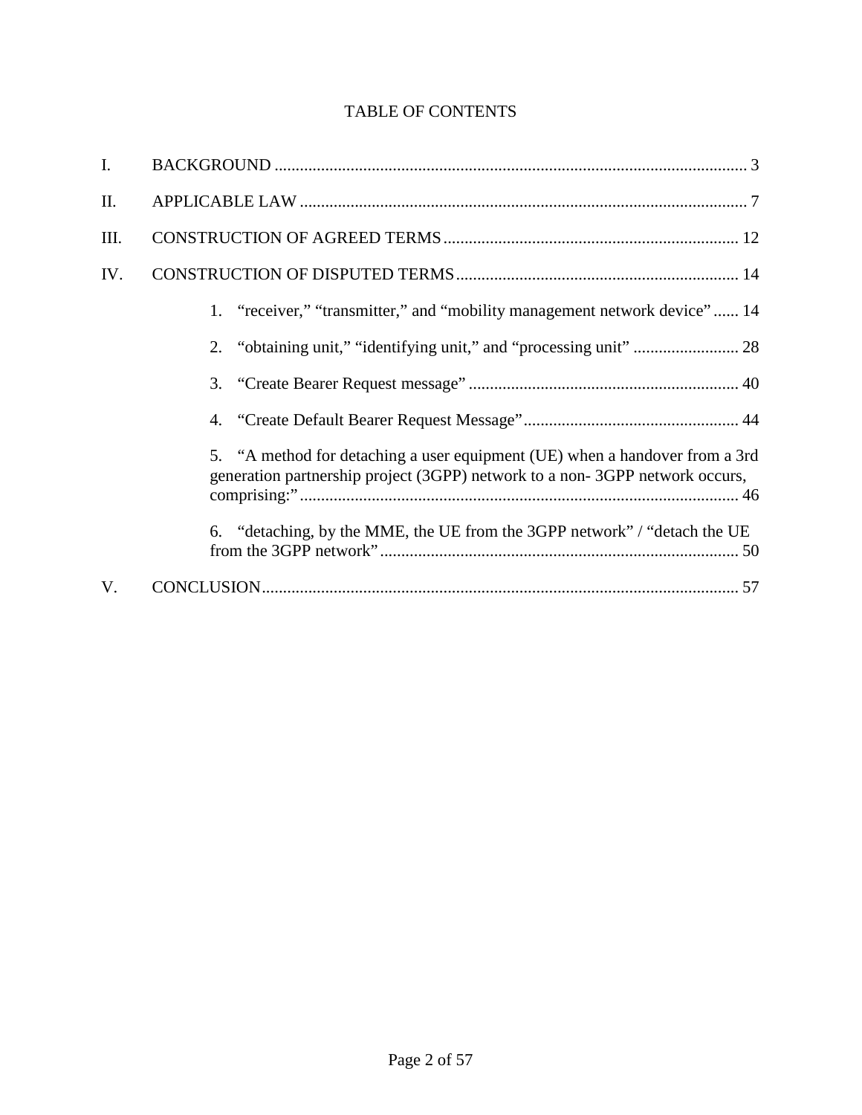# TABLE OF CONTENTS

| $\mathbf{I}$ . |                                                                                                                                                            |
|----------------|------------------------------------------------------------------------------------------------------------------------------------------------------------|
| II.            |                                                                                                                                                            |
| III.           |                                                                                                                                                            |
| IV.            |                                                                                                                                                            |
|                | 1. "receiver," "transmitter," and "mobility management network device"  14                                                                                 |
|                |                                                                                                                                                            |
|                |                                                                                                                                                            |
|                |                                                                                                                                                            |
|                | 5. "A method for detaching a user equipment (UE) when a handover from a 3rd<br>generation partnership project (3GPP) network to a non-3GPP network occurs, |
|                | 6. "detaching, by the MME, the UE from the 3GPP network" / "detach the UE                                                                                  |
| V.             |                                                                                                                                                            |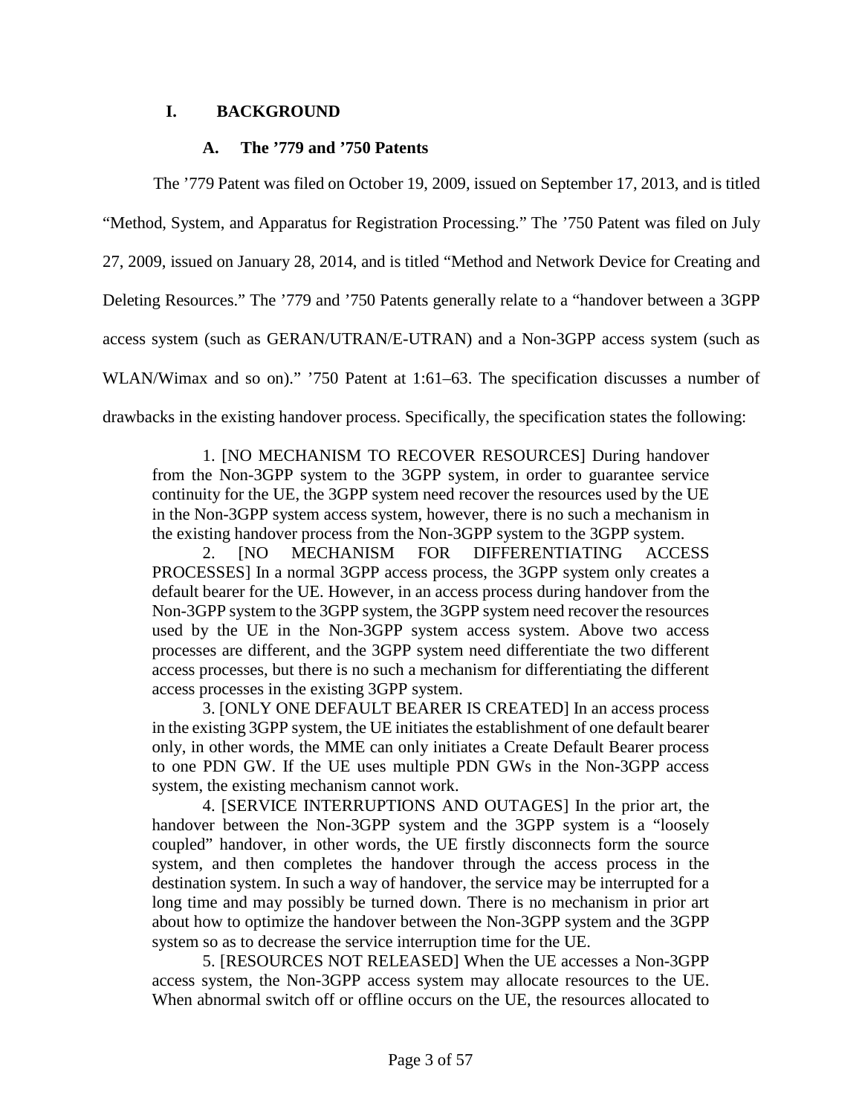# <span id="page-2-0"></span>**I. BACKGROUND**

### **A. The '779 and '750 Patents**

The '779 Patent was filed on October 19, 2009, issued on September 17, 2013, and is titled "Method, System, and Apparatus for Registration Processing." The '750 Patent was filed on July 27, 2009, issued on January 28, 2014, and is titled "Method and Network Device for Creating and Deleting Resources." The '779 and '750 Patents generally relate to a "handover between a 3GPP access system (such as GERAN/UTRAN/E-UTRAN) and a Non-3GPP access system (such as WLAN/Wimax and so on)." '750 Patent at 1:61–63. The specification discusses a number of drawbacks in the existing handover process. Specifically, the specification states the following:

1. [NO MECHANISM TO RECOVER RESOURCES] During handover from the Non-3GPP system to the 3GPP system, in order to guarantee service continuity for the UE, the 3GPP system need recover the resources used by the UE in the Non-3GPP system access system, however, there is no such a mechanism in the existing handover process from the Non-3GPP system to the 3GPP system.

2. [NO MECHANISM FOR DIFFERENTIATING ACCESS PROCESSES] In a normal 3GPP access process, the 3GPP system only creates a default bearer for the UE. However, in an access process during handover from the Non-3GPP system to the 3GPP system, the 3GPP system need recover the resources used by the UE in the Non-3GPP system access system. Above two access processes are different, and the 3GPP system need differentiate the two different access processes, but there is no such a mechanism for differentiating the different access processes in the existing 3GPP system.

3. [ONLY ONE DEFAULT BEARER IS CREATED] In an access process in the existing 3GPP system, the UE initiates the establishment of one default bearer only, in other words, the MME can only initiates a Create Default Bearer process to one PDN GW. If the UE uses multiple PDN GWs in the Non-3GPP access system, the existing mechanism cannot work.

4. [SERVICE INTERRUPTIONS AND OUTAGES] In the prior art, the handover between the Non-3GPP system and the 3GPP system is a "loosely coupled" handover, in other words, the UE firstly disconnects form the source system, and then completes the handover through the access process in the destination system. In such a way of handover, the service may be interrupted for a long time and may possibly be turned down. There is no mechanism in prior art about how to optimize the handover between the Non-3GPP system and the 3GPP system so as to decrease the service interruption time for the UE.

5. [RESOURCES NOT RELEASED] When the UE accesses a Non-3GPP access system, the Non-3GPP access system may allocate resources to the UE. When abnormal switch off or offline occurs on the UE, the resources allocated to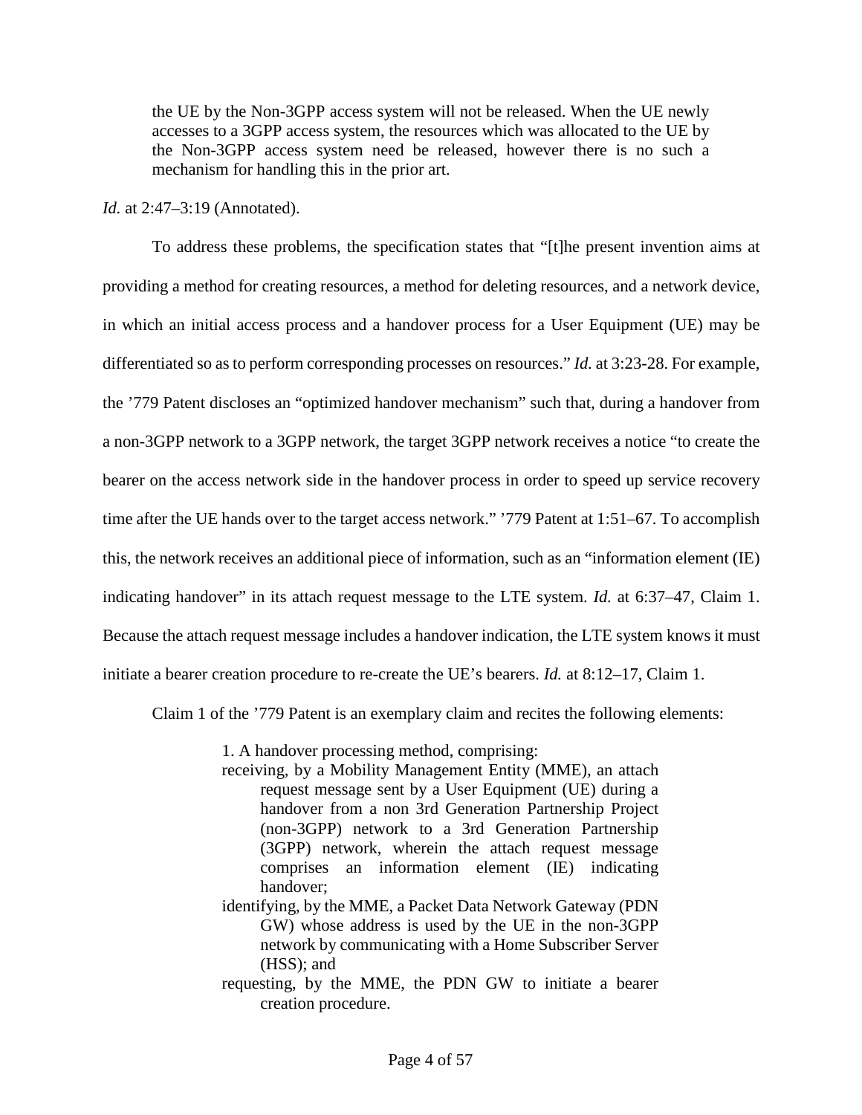the UE by the Non-3GPP access system will not be released. When the UE newly accesses to a 3GPP access system, the resources which was allocated to the UE by the Non-3GPP access system need be released, however there is no such a mechanism for handling this in the prior art.

### *Id.* at 2:47–3:19 (Annotated).

To address these problems, the specification states that "[t]he present invention aims at providing a method for creating resources, a method for deleting resources, and a network device, in which an initial access process and a handover process for a User Equipment (UE) may be differentiated so as to perform corresponding processes on resources." *Id.* at 3:23-28. For example, the '779 Patent discloses an "optimized handover mechanism" such that, during a handover from a non-3GPP network to a 3GPP network, the target 3GPP network receives a notice "to create the bearer on the access network side in the handover process in order to speed up service recovery time after the UE hands over to the target access network." '779 Patent at 1:51–67. To accomplish this, the network receives an additional piece of information, such as an "information element (IE) indicating handover" in its attach request message to the LTE system. *Id.* at 6:37–47, Claim 1. Because the attach request message includes a handover indication, the LTE system knows it must initiate a bearer creation procedure to re-create the UE's bearers. *Id.* at 8:12–17, Claim 1.

Claim 1 of the '779 Patent is an exemplary claim and recites the following elements:

1. A handover processing method, comprising:

- receiving, by a Mobility Management Entity (MME), an attach request message sent by a User Equipment (UE) during a handover from a non 3rd Generation Partnership Project (non-3GPP) network to a 3rd Generation Partnership (3GPP) network, wherein the attach request message comprises an information element (IE) indicating handover;
- identifying, by the MME, a Packet Data Network Gateway (PDN GW) whose address is used by the UE in the non-3GPP network by communicating with a Home Subscriber Server (HSS); and
- requesting, by the MME, the PDN GW to initiate a bearer creation procedure.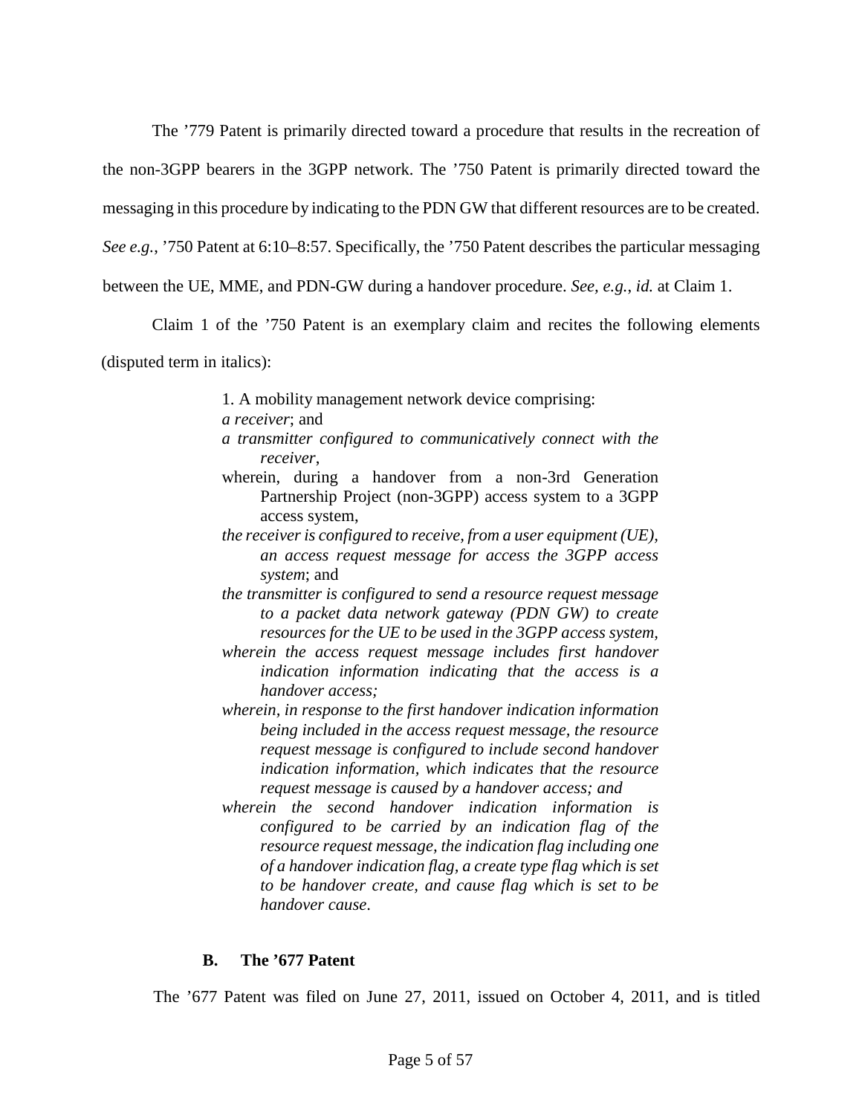The '779 Patent is primarily directed toward a procedure that results in the recreation of

the non-3GPP bearers in the 3GPP network. The '750 Patent is primarily directed toward the

messaging in this procedure by indicating to the PDN GW that different resources are to be created.

*See e.g.*, '750 Patent at 6:10–8:57. Specifically, the '750 Patent describes the particular messaging

between the UE, MME, and PDN-GW during a handover procedure. *See, e.g.*, *id.* at Claim 1.

Claim 1 of the '750 Patent is an exemplary claim and recites the following elements

(disputed term in italics):

1. A mobility management network device comprising:

*a receiver*; and

- *a transmitter configured to communicatively connect with the receiver*,
- wherein, during a handover from a non-3rd Generation Partnership Project (non-3GPP) access system to a 3GPP access system,
- *the receiver is configured to receive, from a user equipment (UE), an access request message for access the 3GPP access system*; and
- *the transmitter is configured to send a resource request message to a packet data network gateway (PDN GW) to create resources for the UE to be used in the 3GPP access system,*
- *wherein the access request message includes first handover indication information indicating that the access is a handover access;*
- *wherein, in response to the first handover indication information being included in the access request message, the resource request message is configured to include second handover indication information, which indicates that the resource request message is caused by a handover access; and*
- *wherein the second handover indication information is configured to be carried by an indication flag of the resource request message, the indication flag including one of a handover indication flag, a create type flag which is set to be handover create, and cause flag which is set to be handover cause*.

# **B. The '677 Patent**

The '677 Patent was filed on June 27, 2011, issued on October 4, 2011, and is titled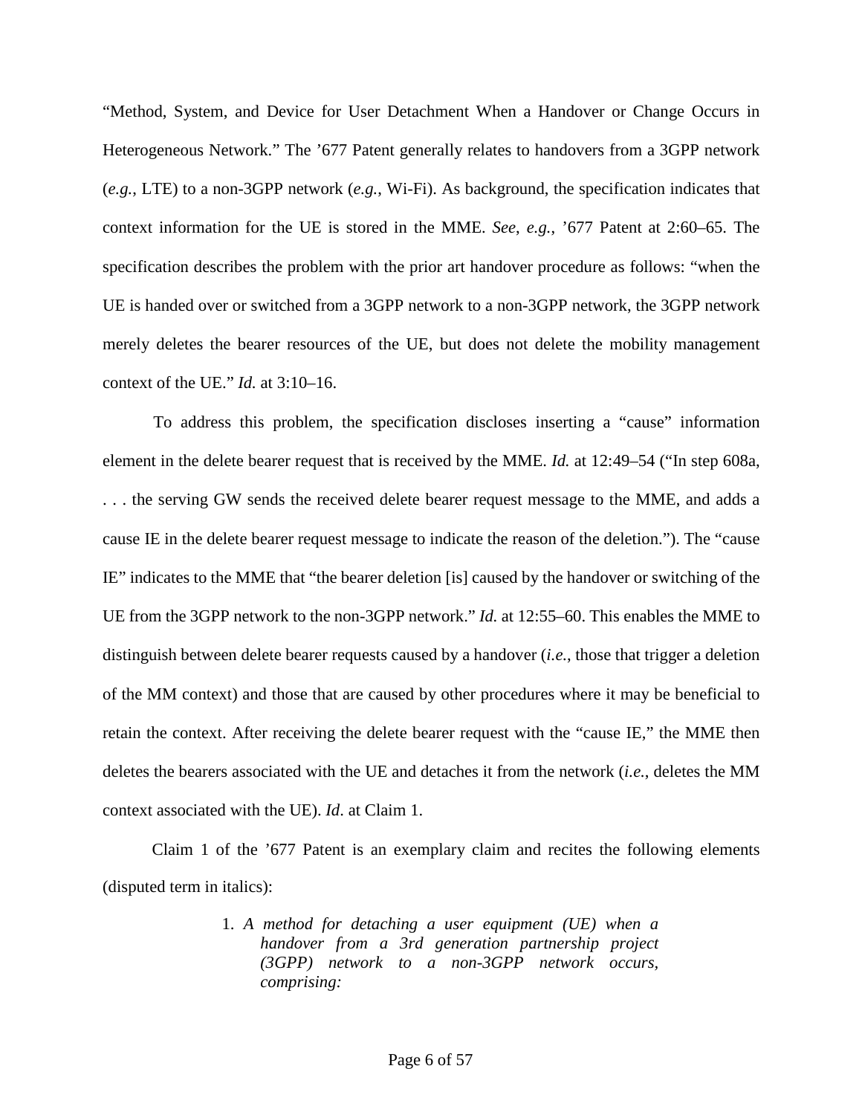"Method, System, and Device for User Detachment When a Handover or Change Occurs in Heterogeneous Network." The '677 Patent generally relates to handovers from a 3GPP network (*e.g.*, LTE) to a non-3GPP network (*e.g.*, Wi-Fi). As background, the specification indicates that context information for the UE is stored in the MME. *See*, *e.g.*, '677 Patent at 2:60–65. The specification describes the problem with the prior art handover procedure as follows: "when the UE is handed over or switched from a 3GPP network to a non-3GPP network, the 3GPP network merely deletes the bearer resources of the UE, but does not delete the mobility management context of the UE." *Id.* at 3:10–16.

To address this problem, the specification discloses inserting a "cause" information element in the delete bearer request that is received by the MME. *Id.* at 12:49–54 ("In step 608a, . . . the serving GW sends the received delete bearer request message to the MME, and adds a cause IE in the delete bearer request message to indicate the reason of the deletion."). The "cause IE" indicates to the MME that "the bearer deletion [is] caused by the handover or switching of the UE from the 3GPP network to the non-3GPP network." *Id.* at 12:55–60. This enables the MME to distinguish between delete bearer requests caused by a handover (*i.e.*, those that trigger a deletion of the MM context) and those that are caused by other procedures where it may be beneficial to retain the context. After receiving the delete bearer request with the "cause IE," the MME then deletes the bearers associated with the UE and detaches it from the network (*i.e.*, deletes the MM context associated with the UE). *Id*. at Claim 1.

Claim 1 of the '677 Patent is an exemplary claim and recites the following elements (disputed term in italics):

> 1. *A method for detaching a user equipment (UE) when a handover from a 3rd generation partnership project (3GPP) network to a non-3GPP network occurs, comprising:*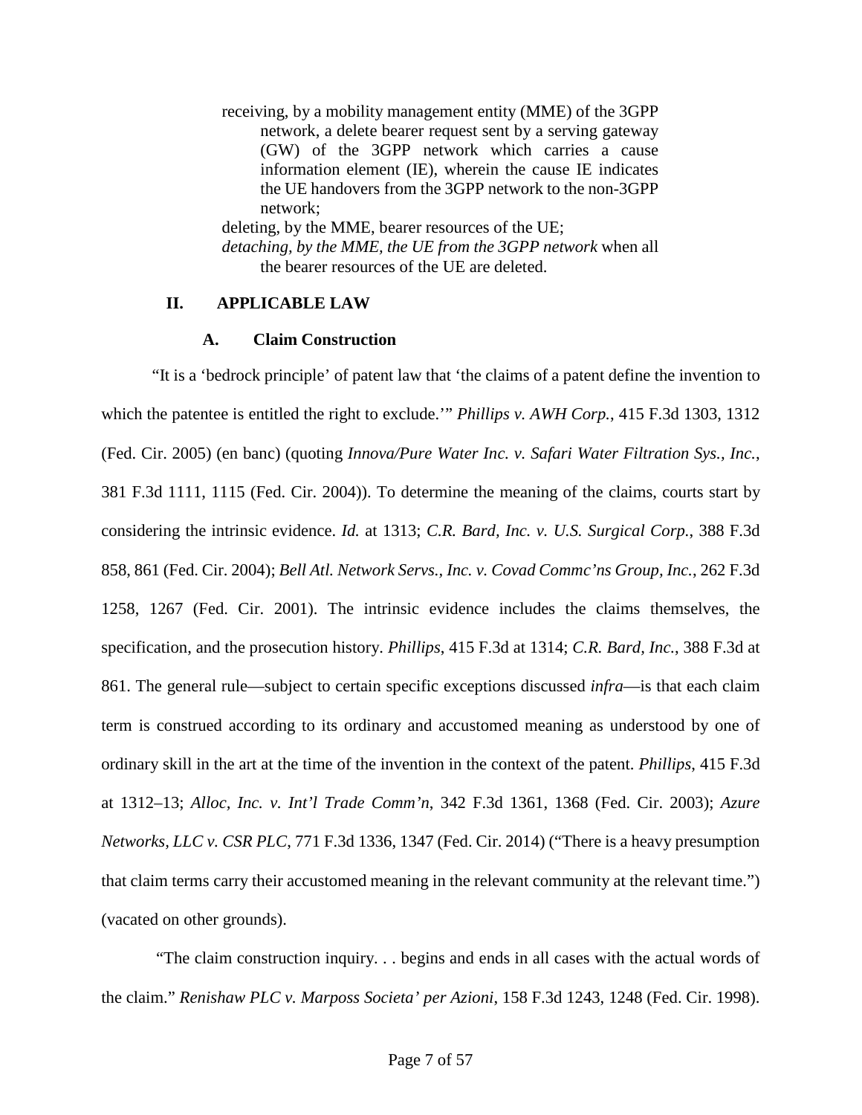receiving, by a mobility management entity (MME) of the 3GPP network, a delete bearer request sent by a serving gateway (GW) of the 3GPP network which carries a cause information element (IE), wherein the cause IE indicates the UE handovers from the 3GPP network to the non-3GPP network;

deleting, by the MME, bearer resources of the UE; *detaching, by the MME, the UE from the 3GPP network* when all the bearer resources of the UE are deleted.

# <span id="page-6-0"></span>**II. APPLICABLE LAW**

### **A. Claim Construction**

"It is a 'bedrock principle' of patent law that 'the claims of a patent define the invention to which the patentee is entitled the right to exclude.'" *Phillips v. AWH Corp.*, 415 F.3d 1303, 1312 (Fed. Cir. 2005) (en banc) (quoting *Innova/Pure Water Inc. v. Safari Water Filtration Sys., Inc.*, 381 F.3d 1111, 1115 (Fed. Cir. 2004)). To determine the meaning of the claims, courts start by considering the intrinsic evidence. *Id.* at 1313; *C.R. Bard, Inc. v. U.S. Surgical Corp.*, 388 F.3d 858, 861 (Fed. Cir. 2004); *Bell Atl. Network Servs., Inc. v. Covad Commc'ns Group, Inc.*, 262 F.3d 1258, 1267 (Fed. Cir. 2001). The intrinsic evidence includes the claims themselves, the specification, and the prosecution history. *Phillips*, 415 F.3d at 1314; *C.R. Bard, Inc.*, 388 F.3d at 861. The general rule—subject to certain specific exceptions discussed *infra*—is that each claim term is construed according to its ordinary and accustomed meaning as understood by one of ordinary skill in the art at the time of the invention in the context of the patent. *Phillips*, 415 F.3d at 1312–13; *Alloc, Inc. v. Int'l Trade Comm'n*, 342 F.3d 1361, 1368 (Fed. Cir. 2003); *Azure Networks, LLC v. CSR PLC*, 771 F.3d 1336, 1347 (Fed. Cir. 2014) ("There is a heavy presumption that claim terms carry their accustomed meaning in the relevant community at the relevant time.") (vacated on other grounds).

"The claim construction inquiry. . . begins and ends in all cases with the actual words of the claim." *Renishaw PLC v. Marposs Societa' per Azioni*, 158 F.3d 1243, 1248 (Fed. Cir. 1998).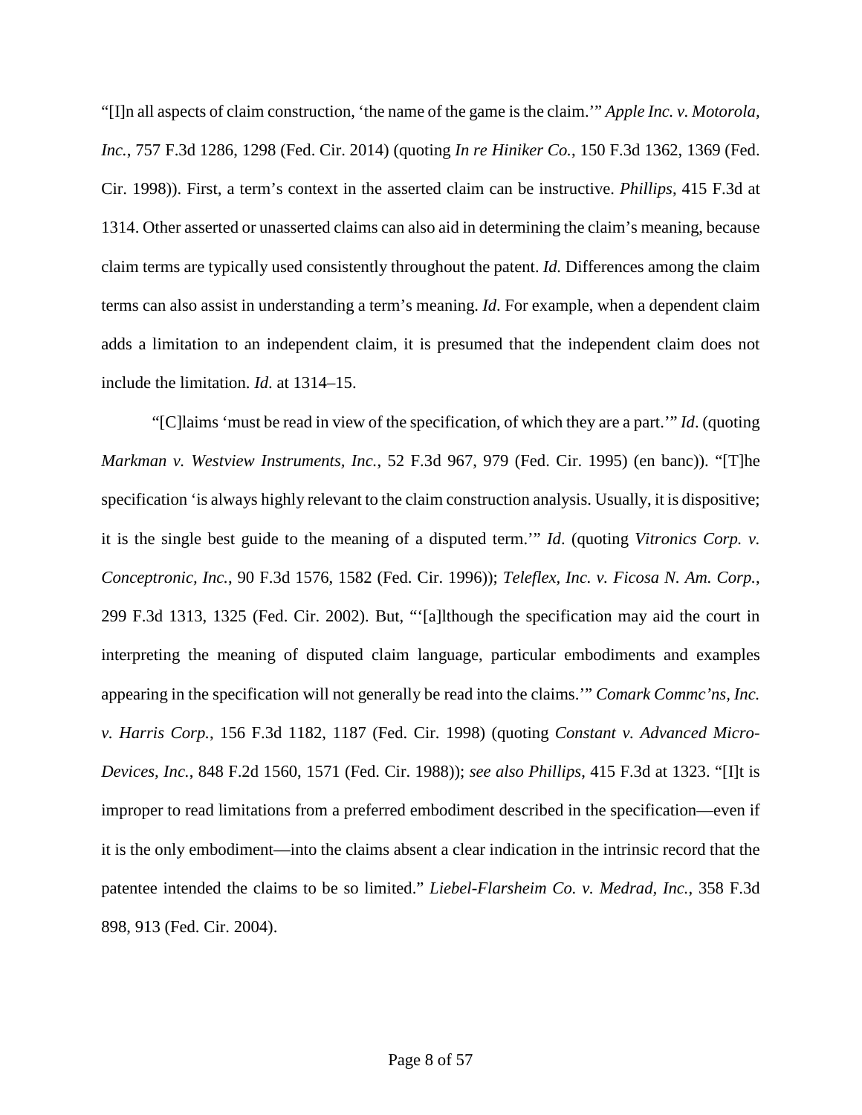"[I]n all aspects of claim construction, 'the name of the game is the claim.'" *Apple Inc. v. Motorola, Inc.*, 757 F.3d 1286, 1298 (Fed. Cir. 2014) (quoting *In re Hiniker Co.*, 150 F.3d 1362, 1369 (Fed. Cir. 1998)). First, a term's context in the asserted claim can be instructive. *Phillips*, 415 F.3d at 1314. Other asserted or unasserted claims can also aid in determining the claim's meaning, because claim terms are typically used consistently throughout the patent. *Id.* Differences among the claim terms can also assist in understanding a term's meaning. *Id*. For example, when a dependent claim adds a limitation to an independent claim, it is presumed that the independent claim does not include the limitation. *Id*. at 1314–15.

"[C]laims 'must be read in view of the specification, of which they are a part.'" *Id*. (quoting *Markman v. Westview Instruments, Inc.*, 52 F.3d 967, 979 (Fed. Cir. 1995) (en banc)). "[T]he specification 'is always highly relevant to the claim construction analysis. Usually, it is dispositive; it is the single best guide to the meaning of a disputed term.'" *Id*. (quoting *Vitronics Corp. v. Conceptronic, Inc.*, 90 F.3d 1576, 1582 (Fed. Cir. 1996)); *Teleflex, Inc. v. Ficosa N. Am. Corp.*, 299 F.3d 1313, 1325 (Fed. Cir. 2002). But, "'[a]lthough the specification may aid the court in interpreting the meaning of disputed claim language, particular embodiments and examples appearing in the specification will not generally be read into the claims.'" *Comark Commc'ns, Inc. v. Harris Corp.*, 156 F.3d 1182, 1187 (Fed. Cir. 1998) (quoting *Constant v. Advanced Micro-Devices, Inc.*, 848 F.2d 1560, 1571 (Fed. Cir. 1988)); *see also Phillips*, 415 F.3d at 1323. "[I]t is improper to read limitations from a preferred embodiment described in the specification—even if it is the only embodiment—into the claims absent a clear indication in the intrinsic record that the patentee intended the claims to be so limited." *Liebel-Flarsheim Co. v. Medrad, Inc.*, 358 F.3d 898, 913 (Fed. Cir. 2004).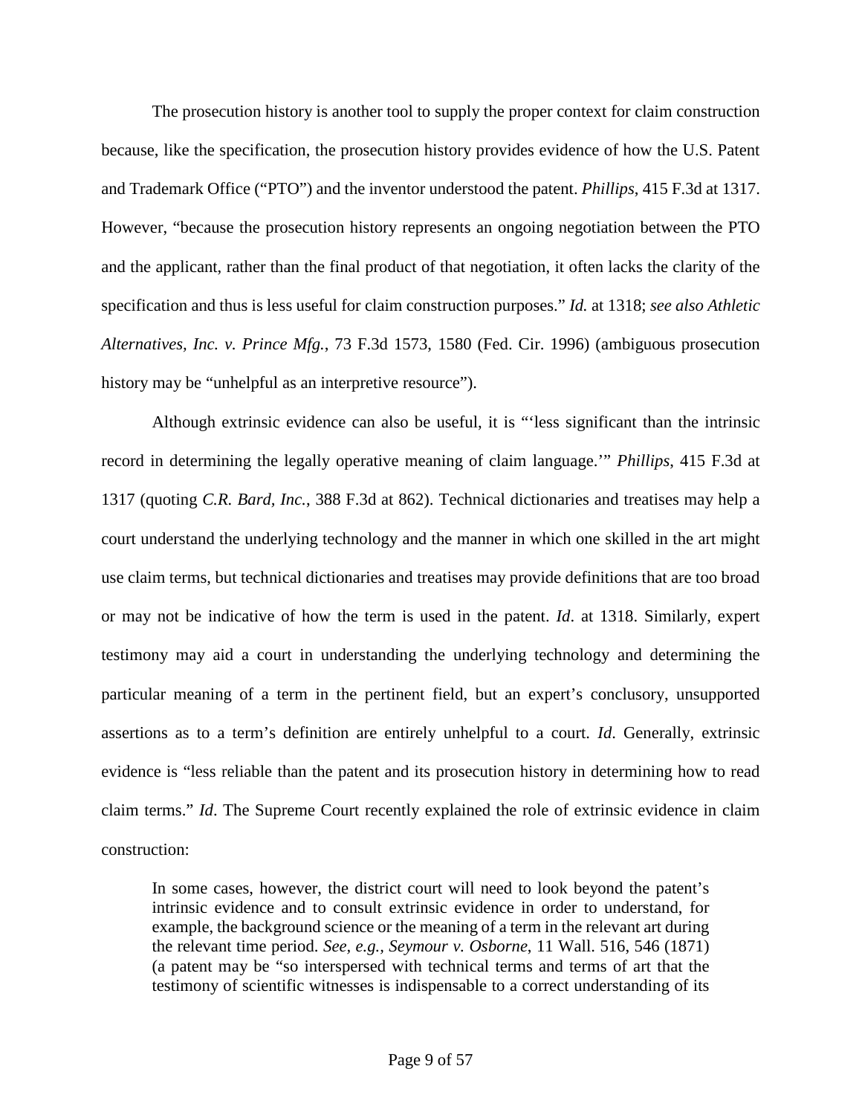The prosecution history is another tool to supply the proper context for claim construction because, like the specification, the prosecution history provides evidence of how the U.S. Patent and Trademark Office ("PTO") and the inventor understood the patent. *Phillips*, 415 F.3d at 1317. However, "because the prosecution history represents an ongoing negotiation between the PTO and the applicant, rather than the final product of that negotiation, it often lacks the clarity of the specification and thus is less useful for claim construction purposes." *Id.* at 1318; *see also Athletic Alternatives, Inc. v. Prince Mfg.*, 73 F.3d 1573, 1580 (Fed. Cir. 1996) (ambiguous prosecution history may be "unhelpful as an interpretive resource").

Although extrinsic evidence can also be useful, it is "'less significant than the intrinsic record in determining the legally operative meaning of claim language.'" *Phillips*, 415 F.3d at 1317 (quoting *C.R. Bard, Inc.*, 388 F.3d at 862). Technical dictionaries and treatises may help a court understand the underlying technology and the manner in which one skilled in the art might use claim terms, but technical dictionaries and treatises may provide definitions that are too broad or may not be indicative of how the term is used in the patent. *Id*. at 1318. Similarly, expert testimony may aid a court in understanding the underlying technology and determining the particular meaning of a term in the pertinent field, but an expert's conclusory, unsupported assertions as to a term's definition are entirely unhelpful to a court. *Id*. Generally, extrinsic evidence is "less reliable than the patent and its prosecution history in determining how to read claim terms." *Id*. The Supreme Court recently explained the role of extrinsic evidence in claim construction:

In some cases, however, the district court will need to look beyond the patent's intrinsic evidence and to consult extrinsic evidence in order to understand, for example, the background science or the meaning of a term in the relevant art during the relevant time period. *See, e.g., Seymour v. Osborne*, 11 Wall. 516, 546 (1871) (a patent may be "so interspersed with technical terms and terms of art that the testimony of scientific witnesses is indispensable to a correct understanding of its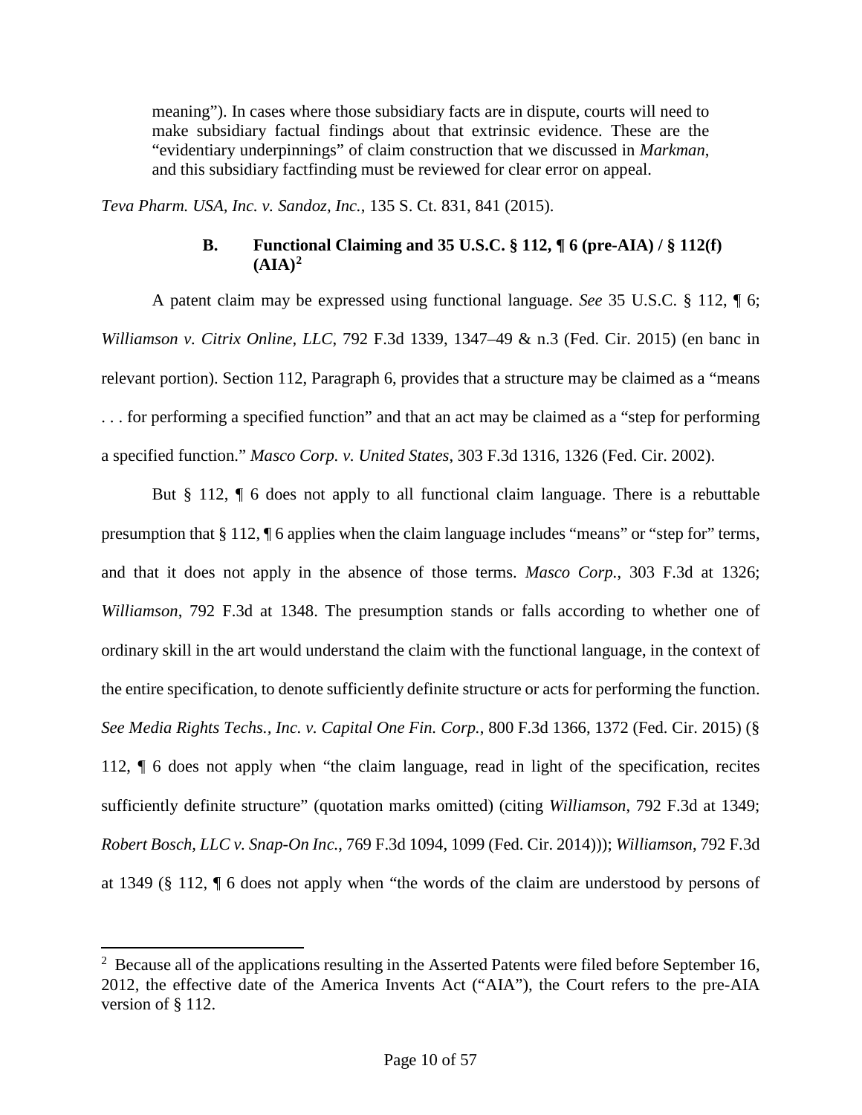meaning"). In cases where those subsidiary facts are in dispute, courts will need to make subsidiary factual findings about that extrinsic evidence. These are the "evidentiary underpinnings" of claim construction that we discussed in *Markman*, and this subsidiary factfinding must be reviewed for clear error on appeal.

*Teva Pharm. USA, Inc. v. Sandoz, Inc.*, 135 S. Ct. 831, 841 (2015).

# **B. Functional Claiming and 35 U.S.C. § 112, ¶ 6 (pre-AIA) / § 112(f)**   $(AIA)<sup>2</sup>$  $(AIA)<sup>2</sup>$  $(AIA)<sup>2</sup>$

A patent claim may be expressed using functional language. *See* 35 U.S.C. § 112, ¶ 6; *Williamson v. Citrix Online, LLC*, 792 F.3d 1339, 1347–49 & n.3 (Fed. Cir. 2015) (en banc in relevant portion). Section 112, Paragraph 6, provides that a structure may be claimed as a "means . . . for performing a specified function" and that an act may be claimed as a "step for performing a specified function." *Masco Corp. v. United States*, 303 F.3d 1316, 1326 (Fed. Cir. 2002).

But § 112, ¶ 6 does not apply to all functional claim language. There is a rebuttable presumption that § 112, ¶ 6 applies when the claim language includes "means" or "step for" terms, and that it does not apply in the absence of those terms. *Masco Corp.*, 303 F.3d at 1326; *Williamson*, 792 F.3d at 1348. The presumption stands or falls according to whether one of ordinary skill in the art would understand the claim with the functional language, in the context of the entire specification, to denote sufficiently definite structure or acts for performing the function. *See Media Rights Techs., Inc. v. Capital One Fin. Corp.*, 800 F.3d 1366, 1372 (Fed. Cir. 2015) (§ 112, ¶ 6 does not apply when "the claim language, read in light of the specification, recites sufficiently definite structure" (quotation marks omitted) (citing *Williamson*, 792 F.3d at 1349; *Robert Bosch, LLC v. Snap-On Inc.*, 769 F.3d 1094, 1099 (Fed. Cir. 2014))); *Williamson*, 792 F.3d at 1349 (§ 112, ¶ 6 does not apply when "the words of the claim are understood by persons of

l

<span id="page-9-0"></span> $2$  Because all of the applications resulting in the Asserted Patents were filed before September 16, 2012, the effective date of the America Invents Act ("AIA"), the Court refers to the pre-AIA version of § 112.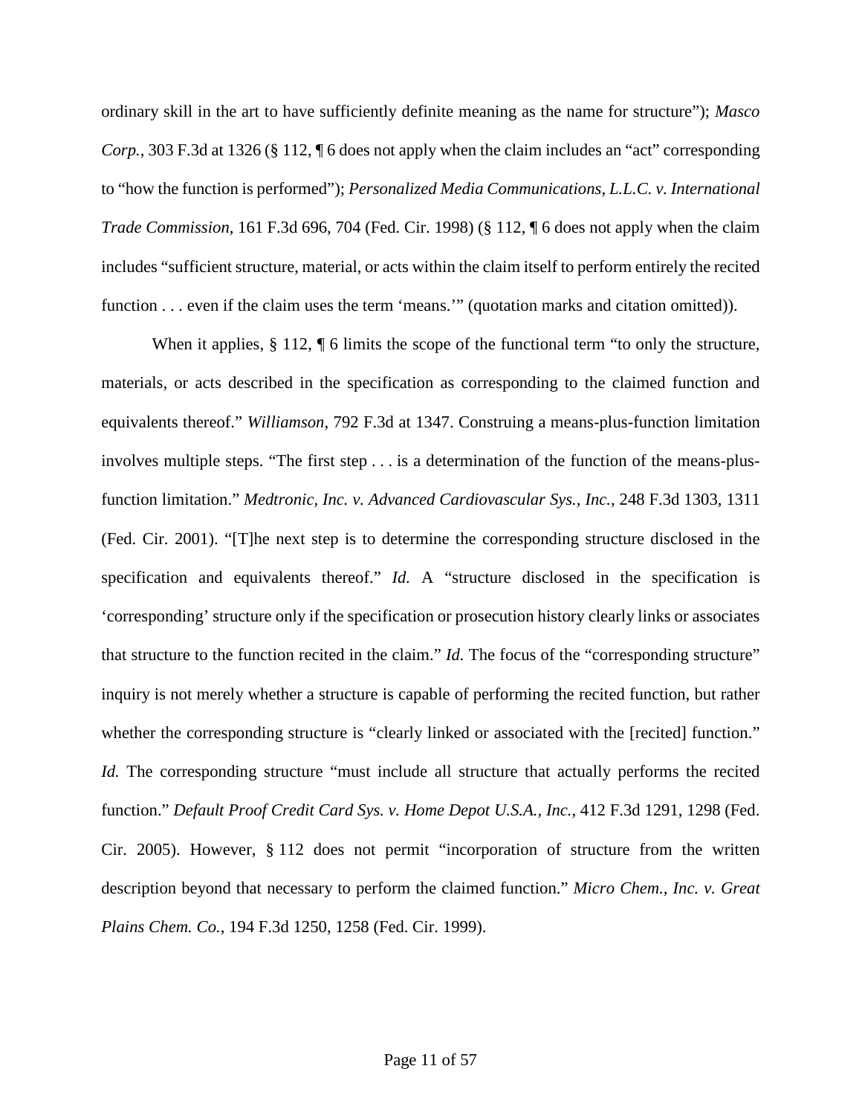ordinary skill in the art to have sufficiently definite meaning as the name for structure"); *Masco Corp.*, 303 F.3d at 1326 (§ 112, ¶ 6 does not apply when the claim includes an "act" corresponding to "how the function is performed"); *Personalized Media Communications, L.L.C. v. International Trade Commission*, 161 F.3d 696, 704 (Fed. Cir. 1998) (§ 112, ¶ 6 does not apply when the claim includes "sufficient structure, material, or acts within the claim itself to perform entirely the recited function . . . even if the claim uses the term 'means.'" (quotation marks and citation omitted)).

When it applies, § 112, ¶ 6 limits the scope of the functional term "to only the structure, materials, or acts described in the specification as corresponding to the claimed function and equivalents thereof." *Williamson*, 792 F.3d at 1347. Construing a means-plus-function limitation involves multiple steps. "The first step . . . is a determination of the function of the means-plusfunction limitation." *Medtronic, Inc. v. Advanced Cardiovascular Sys., Inc.*, 248 F.3d 1303, 1311 (Fed. Cir. 2001). "[T]he next step is to determine the corresponding structure disclosed in the specification and equivalents thereof." *Id.* A "structure disclosed in the specification is 'corresponding' structure only if the specification or prosecution history clearly links or associates that structure to the function recited in the claim." *Id.* The focus of the "corresponding structure" inquiry is not merely whether a structure is capable of performing the recited function, but rather whether the corresponding structure is "clearly linked or associated with the [recited] function." *Id.* The corresponding structure "must include all structure that actually performs the recited function." *Default Proof Credit Card Sys. v. Home Depot U.S.A., Inc.*, 412 F.3d 1291, 1298 (Fed. Cir. 2005). However, § 112 does not permit "incorporation of structure from the written description beyond that necessary to perform the claimed function." *Micro Chem., Inc. v. Great Plains Chem. Co.*, 194 F.3d 1250, 1258 (Fed. Cir. 1999).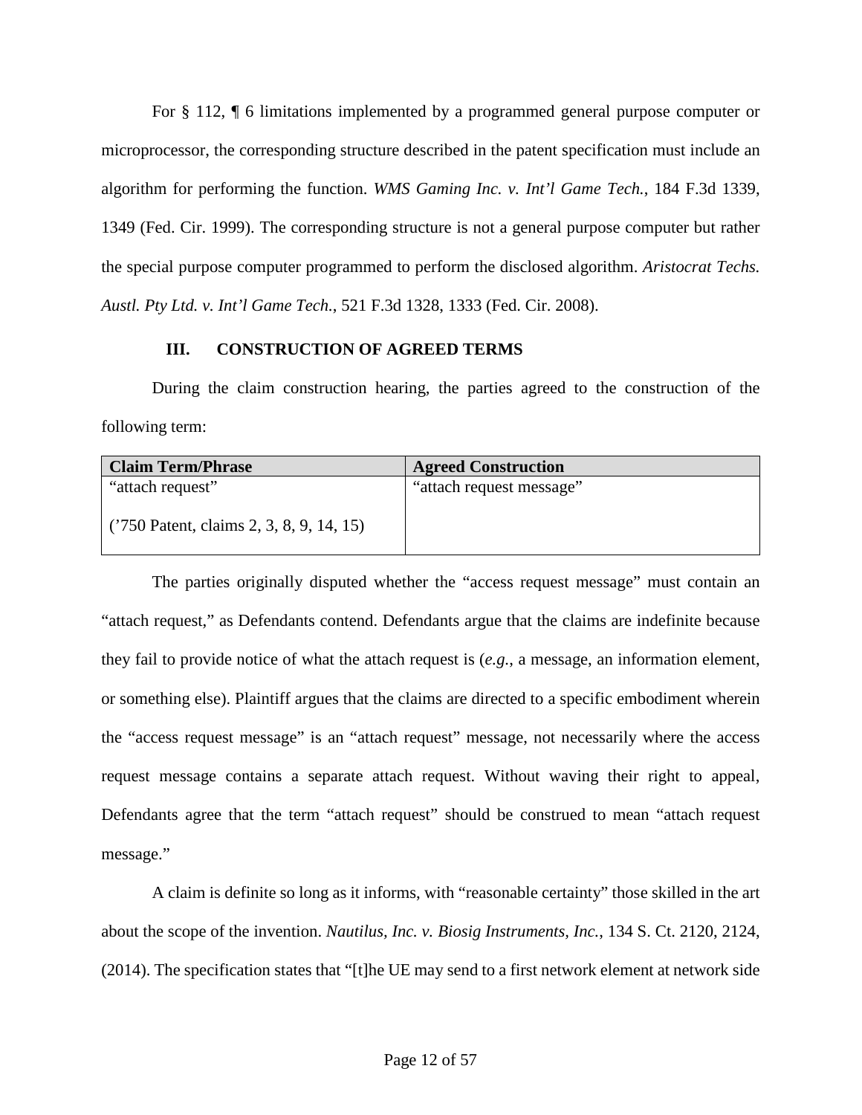For § 112, ¶ 6 limitations implemented by a programmed general purpose computer or microprocessor, the corresponding structure described in the patent specification must include an algorithm for performing the function. *WMS Gaming Inc. v. Int'l Game Tech.*, 184 F.3d 1339, 1349 (Fed. Cir. 1999). The corresponding structure is not a general purpose computer but rather the special purpose computer programmed to perform the disclosed algorithm. *Aristocrat Techs. Austl. Pty Ltd. v. Int'l Game Tech.*, 521 F.3d 1328, 1333 (Fed. Cir. 2008).

# **III. CONSTRUCTION OF AGREED TERMS**

<span id="page-11-0"></span>During the claim construction hearing, the parties agreed to the construction of the following term:

| <b>Claim Term/Phrase</b>                                      | <b>Agreed Construction</b> |
|---------------------------------------------------------------|----------------------------|
| "attach request"<br>$(750$ Patent, claims 2, 3, 8, 9, 14, 15) | "attach request message"   |

The parties originally disputed whether the "access request message" must contain an "attach request," as Defendants contend. Defendants argue that the claims are indefinite because they fail to provide notice of what the attach request is (*e.g.*, a message, an information element, or something else). Plaintiff argues that the claims are directed to a specific embodiment wherein the "access request message" is an "attach request" message, not necessarily where the access request message contains a separate attach request. Without waving their right to appeal, Defendants agree that the term "attach request" should be construed to mean "attach request message."

A claim is definite so long as it informs, with "reasonable certainty" those skilled in the art about the scope of the invention. *Nautilus, Inc. v. Biosig Instruments, Inc.*, 134 S. Ct. 2120, 2124, (2014). The specification states that "[t]he UE may send to a first network element at network side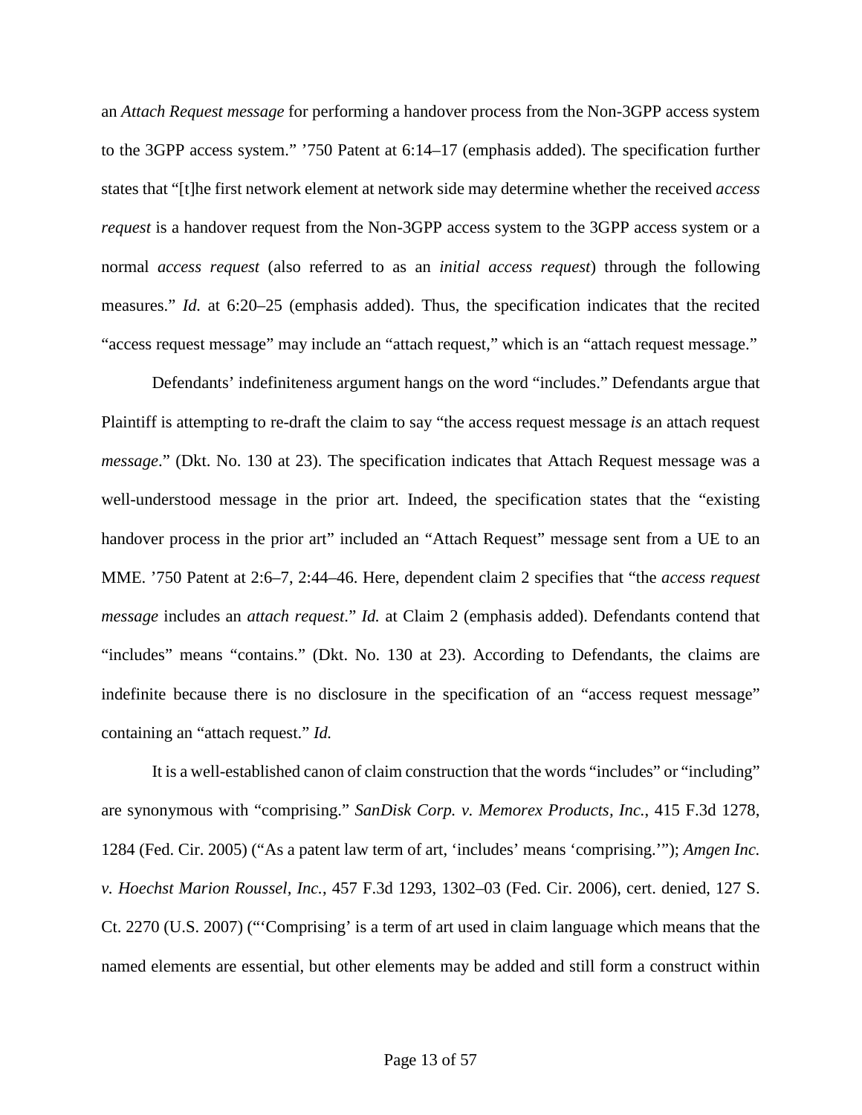an *Attach Request message* for performing a handover process from the Non-3GPP access system to the 3GPP access system." '750 Patent at 6:14–17 (emphasis added). The specification further states that "[t]he first network element at network side may determine whether the received *access request* is a handover request from the Non-3GPP access system to the 3GPP access system or a normal *access request* (also referred to as an *initial access request*) through the following measures." *Id.* at 6:20–25 (emphasis added). Thus, the specification indicates that the recited "access request message" may include an "attach request," which is an "attach request message."

Defendants' indefiniteness argument hangs on the word "includes." Defendants argue that Plaintiff is attempting to re-draft the claim to say "the access request message *is* an attach request *message*." (Dkt. No. 130 at 23). The specification indicates that Attach Request message was a well-understood message in the prior art. Indeed, the specification states that the "existing handover process in the prior art" included an "Attach Request" message sent from a UE to an MME. '750 Patent at 2:6–7, 2:44–46. Here, dependent claim 2 specifies that "the *access request message* includes an *attach request*." *Id.* at Claim 2 (emphasis added). Defendants contend that "includes" means "contains." (Dkt. No. 130 at 23). According to Defendants, the claims are indefinite because there is no disclosure in the specification of an "access request message" containing an "attach request." *Id.*

It is a well-established canon of claim construction that the words "includes" or "including" are synonymous with "comprising." *SanDisk Corp. v. Memorex Products, Inc.*, 415 F.3d 1278, 1284 (Fed. Cir. 2005) ("As a patent law term of art, 'includes' means 'comprising.'"); *Amgen Inc. v. Hoechst Marion Roussel, Inc.*, 457 F.3d 1293, 1302–03 (Fed. Cir. 2006), cert. denied, 127 S. Ct. 2270 (U.S. 2007) ("'Comprising' is a term of art used in claim language which means that the named elements are essential, but other elements may be added and still form a construct within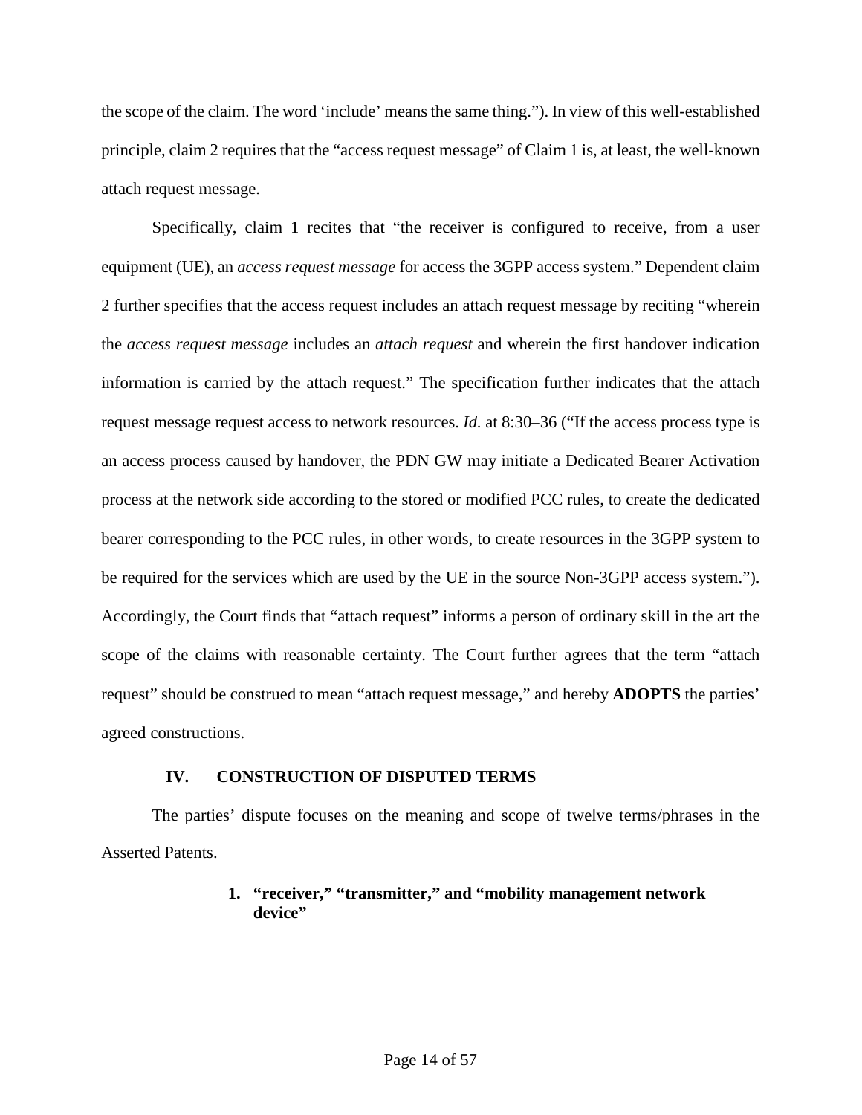the scope of the claim. The word 'include' means the same thing."). In view of this well-established principle, claim 2 requires that the "access request message" of Claim 1 is, at least, the well-known attach request message.

Specifically, claim 1 recites that "the receiver is configured to receive, from a user equipment (UE), an *access request message* for access the 3GPP access system." Dependent claim 2 further specifies that the access request includes an attach request message by reciting "wherein the *access request message* includes an *attach request* and wherein the first handover indication information is carried by the attach request." The specification further indicates that the attach request message request access to network resources. *Id.* at 8:30–36 ("If the access process type is an access process caused by handover, the PDN GW may initiate a Dedicated Bearer Activation process at the network side according to the stored or modified PCC rules, to create the dedicated bearer corresponding to the PCC rules, in other words, to create resources in the 3GPP system to be required for the services which are used by the UE in the source Non-3GPP access system."). Accordingly, the Court finds that "attach request" informs a person of ordinary skill in the art the scope of the claims with reasonable certainty. The Court further agrees that the term "attach request" should be construed to mean "attach request message," and hereby **ADOPTS** the parties' agreed constructions.

### **IV. CONSTRUCTION OF DISPUTED TERMS**

<span id="page-13-1"></span><span id="page-13-0"></span>The parties' dispute focuses on the meaning and scope of twelve terms/phrases in the Asserted Patents.

# **1. "receiver," "transmitter," and "mobility management network device"**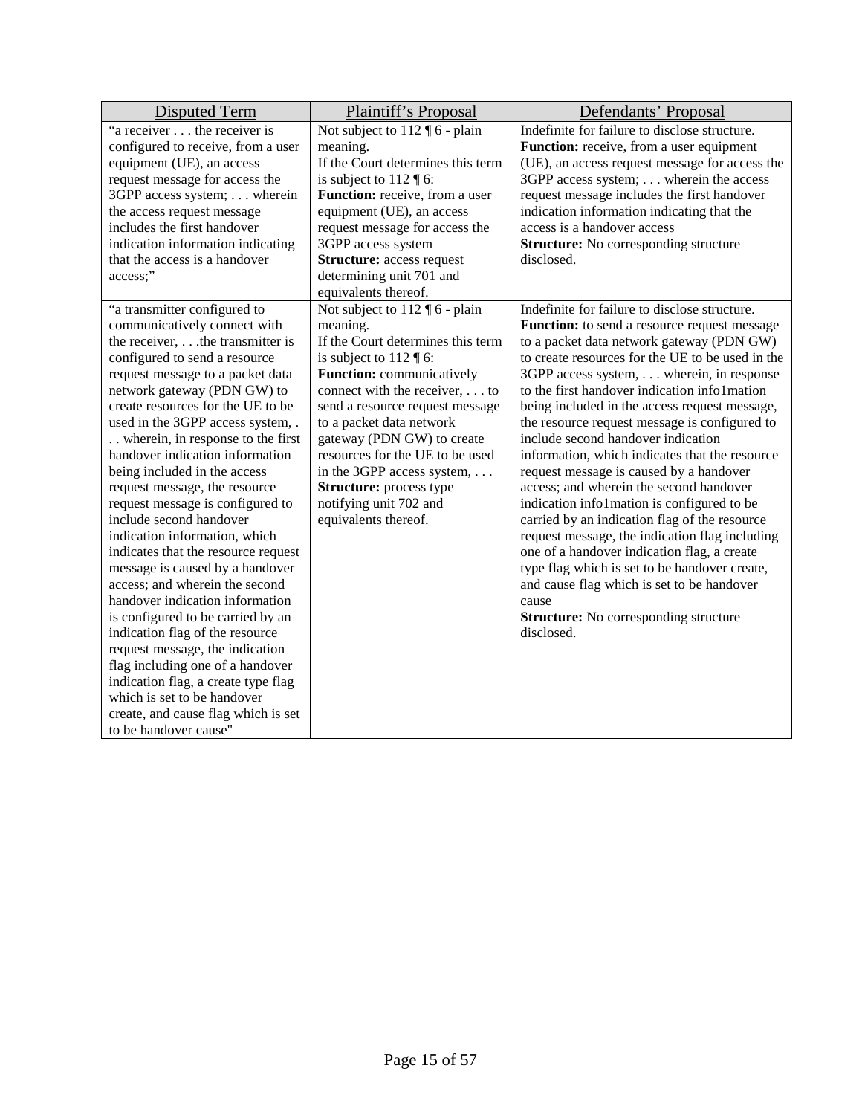| Disputed Term                       | Plaintiff's Proposal                                       | Defendants' Proposal                             |
|-------------------------------------|------------------------------------------------------------|--------------------------------------------------|
| "a receiver the receiver is         | Not subject to $112 \text{ } \text{\textdegree}$ 6 - plain | Indefinite for failure to disclose structure.    |
| configured to receive, from a user  | meaning.                                                   | <b>Function:</b> receive, from a user equipment  |
| equipment (UE), an access           | If the Court determines this term                          | (UE), an access request message for access the   |
| request message for access the      | is subject to $112 \text{ } \text{\textdegree}\text{}$ 6:  | 3GPP access system; wherein the access           |
| 3GPP access system; wherein         | Function: receive, from a user                             | request message includes the first handover      |
| the access request message          | equipment (UE), an access                                  | indication information indicating that the       |
| includes the first handover         | request message for access the                             | access is a handover access                      |
| indication information indicating   | 3GPP access system                                         | <b>Structure:</b> No corresponding structure     |
| that the access is a handover       | <b>Structure:</b> access request                           | disclosed.                                       |
| access;"                            | determining unit 701 and                                   |                                                  |
|                                     | equivalents thereof.                                       |                                                  |
| "a transmitter configured to        | Not subject to $112 \text{ } \text{\textdegree}$ 6 - plain | Indefinite for failure to disclose structure.    |
| communicatively connect with        | meaning.                                                   | Function: to send a resource request message     |
| the receiver, the transmitter is    | If the Court determines this term                          | to a packet data network gateway (PDN GW)        |
| configured to send a resource       | is subject to $112 \text{ } \P 6$ :                        | to create resources for the UE to be used in the |
| request message to a packet data    | Function: communicatively                                  | 3GPP access system, wherein, in response         |
| network gateway (PDN GW) to         | connect with the receiver, to                              | to the first handover indication info1mation     |
| create resources for the UE to be   | send a resource request message                            | being included in the access request message,    |
| used in the 3GPP access system, .   | to a packet data network                                   | the resource request message is configured to    |
| wherein, in response to the first   | gateway (PDN GW) to create                                 | include second handover indication               |
| handover indication information     | resources for the UE to be used                            | information, which indicates that the resource   |
| being included in the access        | in the 3GPP access system,                                 | request message is caused by a handover          |
| request message, the resource       | <b>Structure:</b> process type                             | access; and wherein the second handover          |
| request message is configured to    | notifying unit 702 and                                     | indication info1mation is configured to be       |
| include second handover             | equivalents thereof.                                       | carried by an indication flag of the resource    |
| indication information, which       |                                                            | request message, the indication flag including   |
| indicates that the resource request |                                                            | one of a handover indication flag, a create      |
| message is caused by a handover     |                                                            | type flag which is set to be handover create,    |
| access; and wherein the second      |                                                            | and cause flag which is set to be handover       |
| handover indication information     |                                                            | cause                                            |
| is configured to be carried by an   |                                                            | <b>Structure:</b> No corresponding structure     |
| indication flag of the resource     |                                                            | disclosed.                                       |
| request message, the indication     |                                                            |                                                  |
| flag including one of a handover    |                                                            |                                                  |
| indication flag, a create type flag |                                                            |                                                  |
| which is set to be handover         |                                                            |                                                  |
| create, and cause flag which is set |                                                            |                                                  |
| to be handover cause"               |                                                            |                                                  |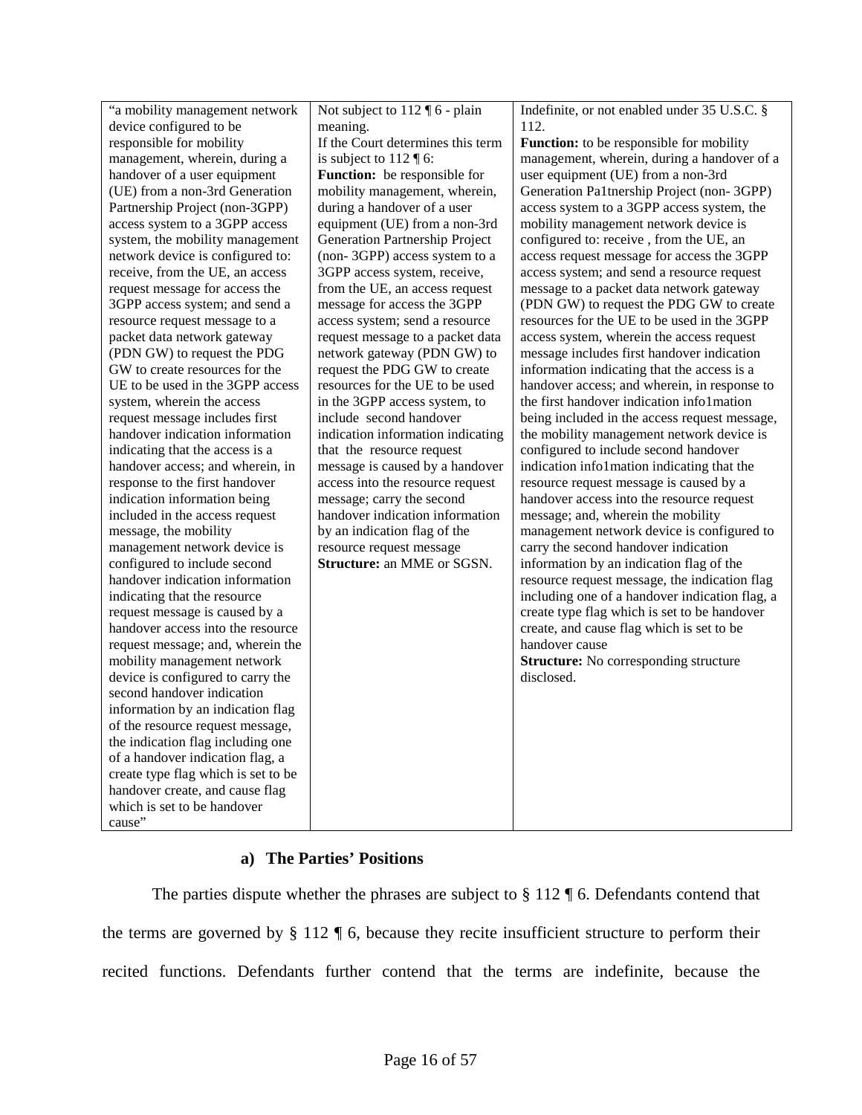|                                                           | Not subject to 112 ¶ 6 - plain                            |                                                      |
|-----------------------------------------------------------|-----------------------------------------------------------|------------------------------------------------------|
| "a mobility management network<br>device configured to be | meaning.                                                  | Indefinite, or not enabled under 35 U.S.C. §<br>112. |
| responsible for mobility                                  | If the Court determines this term                         | <b>Function:</b> to be responsible for mobility      |
| management, wherein, during a                             | is subject to $112 \text{ } \text{\textdegree}\text{}$ 6: | management, wherein, during a handover of a          |
| handover of a user equipment                              | Function: be responsible for                              | user equipment (UE) from a non-3rd                   |
| (UE) from a non-3rd Generation                            | mobility management, wherein,                             | Generation Pa1tnership Project (non-3GPP)            |
|                                                           | during a handover of a user                               | access system to a 3GPP access system, the           |
| Partnership Project (non-3GPP)                            |                                                           |                                                      |
| access system to a 3GPP access                            | equipment (UE) from a non-3rd                             | mobility management network device is                |
| system, the mobility management                           | Generation Partnership Project                            | configured to: receive, from the UE, an              |
| network device is configured to:                          | (non-3GPP) access system to a                             | access request message for access the 3GPP           |
| receive, from the UE, an access                           | 3GPP access system, receive,                              | access system; and send a resource request           |
| request message for access the                            | from the UE, an access request                            | message to a packet data network gateway             |
| 3GPP access system; and send a                            | message for access the 3GPP                               | (PDN GW) to request the PDG GW to create             |
| resource request message to a                             | access system; send a resource                            | resources for the UE to be used in the 3GPP          |
| packet data network gateway                               | request message to a packet data                          | access system, wherein the access request            |
| (PDN GW) to request the PDG                               | network gateway (PDN GW) to                               | message includes first handover indication           |
| GW to create resources for the                            | request the PDG GW to create                              | information indicating that the access is a          |
| UE to be used in the 3GPP access                          | resources for the UE to be used                           | handover access; and wherein, in response to         |
| system, wherein the access                                | in the 3GPP access system, to                             | the first handover indication info1mation            |
| request message includes first                            | include second handover                                   | being included in the access request message,        |
| handover indication information                           | indication information indicating                         | the mobility management network device is            |
| indicating that the access is a                           | that the resource request                                 | configured to include second handover                |
| handover access; and wherein, in                          | message is caused by a handover                           | indication info1mation indicating that the           |
| response to the first handover                            | access into the resource request                          | resource request message is caused by a              |
| indication information being                              | message; carry the second                                 | handover access into the resource request            |
| included in the access request                            | handover indication information                           | message; and, wherein the mobility                   |
| message, the mobility                                     | by an indication flag of the                              | management network device is configured to           |
| management network device is                              | resource request message                                  | carry the second handover indication                 |
| configured to include second                              | <b>Structure:</b> an MME or SGSN.                         | information by an indication flag of the             |
| handover indication information                           |                                                           | resource request message, the indication flag        |
| indicating that the resource                              |                                                           | including one of a handover indication flag, a       |
| request message is caused by a                            |                                                           | create type flag which is set to be handover         |
| handover access into the resource                         |                                                           | create, and cause flag which is set to be            |
| request message; and, wherein the                         |                                                           | handover cause                                       |
| mobility management network                               |                                                           | <b>Structure:</b> No corresponding structure         |
| device is configured to carry the                         |                                                           | disclosed.                                           |
| second handover indication                                |                                                           |                                                      |
| information by an indication flag                         |                                                           |                                                      |
| of the resource request message,                          |                                                           |                                                      |
| the indication flag including one                         |                                                           |                                                      |
| of a handover indication flag, a                          |                                                           |                                                      |
| create type flag which is set to be                       |                                                           |                                                      |
| handover create, and cause flag                           |                                                           |                                                      |
| which is set to be handover                               |                                                           |                                                      |
| cause"                                                    |                                                           |                                                      |

### **a) The Parties' Positions**

The parties dispute whether the phrases are subject to § 112 ¶ 6. Defendants contend that the terms are governed by § 112 ¶ 6, because they recite insufficient structure to perform their recited functions. Defendants further contend that the terms are indefinite, because the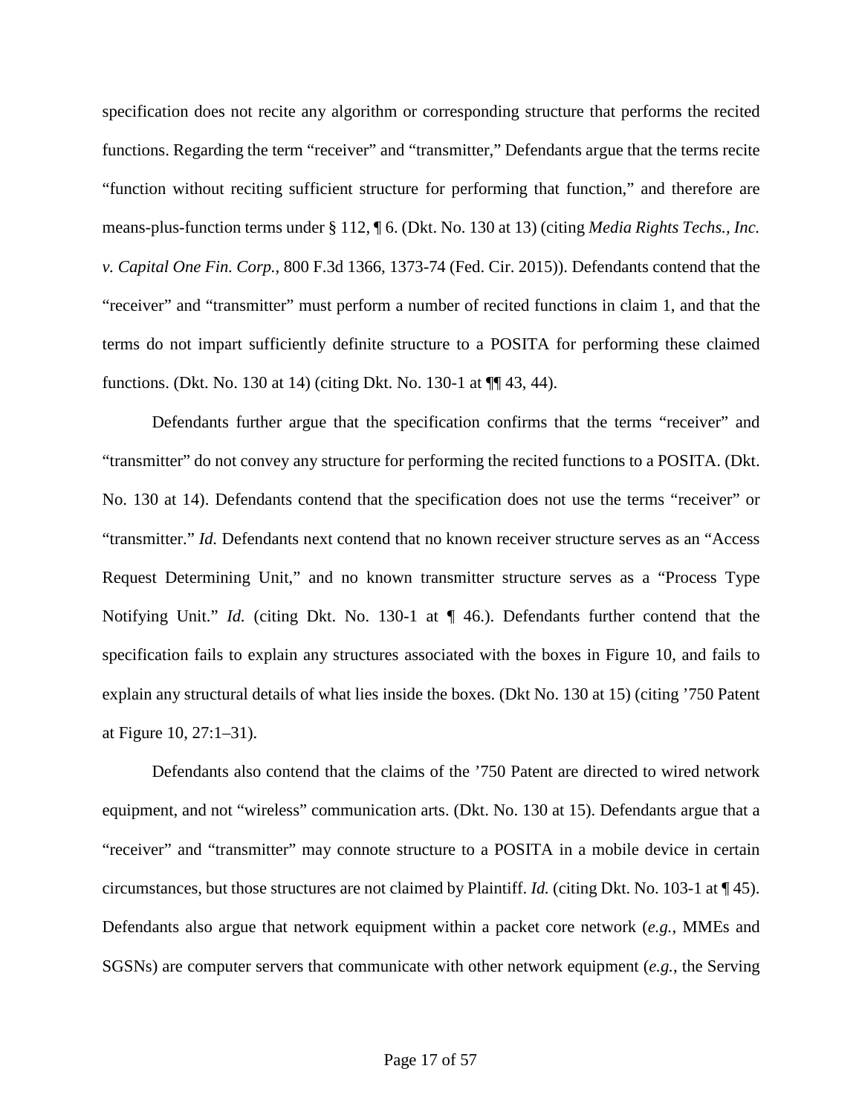specification does not recite any algorithm or corresponding structure that performs the recited functions. Regarding the term "receiver" and "transmitter," Defendants argue that the terms recite "function without reciting sufficient structure for performing that function," and therefore are means-plus-function terms under § 112, ¶ 6. (Dkt. No. 130 at 13) (citing *Media Rights Techs., Inc. v. Capital One Fin. Corp.*, 800 F.3d 1366, 1373-74 (Fed. Cir. 2015)). Defendants contend that the "receiver" and "transmitter" must perform a number of recited functions in claim 1, and that the terms do not impart sufficiently definite structure to a POSITA for performing these claimed functions. (Dkt. No. 130 at 14) (citing Dkt. No. 130-1 at ¶¶ 43, 44).

Defendants further argue that the specification confirms that the terms "receiver" and "transmitter" do not convey any structure for performing the recited functions to a POSITA. (Dkt. No. 130 at 14). Defendants contend that the specification does not use the terms "receiver" or "transmitter." *Id.* Defendants next contend that no known receiver structure serves as an "Access" Request Determining Unit," and no known transmitter structure serves as a "Process Type Notifying Unit." *Id.* (citing Dkt. No. 130-1 at  $\P$  46.). Defendants further contend that the specification fails to explain any structures associated with the boxes in Figure 10, and fails to explain any structural details of what lies inside the boxes. (Dkt No. 130 at 15) (citing '750 Patent at Figure 10, 27:1–31).

Defendants also contend that the claims of the '750 Patent are directed to wired network equipment, and not "wireless" communication arts. (Dkt. No. 130 at 15). Defendants argue that a "receiver" and "transmitter" may connote structure to a POSITA in a mobile device in certain circumstances, but those structures are not claimed by Plaintiff. *Id.* (citing Dkt. No. 103-1 at ¶ 45). Defendants also argue that network equipment within a packet core network (*e.g.*, MMEs and SGSNs) are computer servers that communicate with other network equipment (*e.g.*, the Serving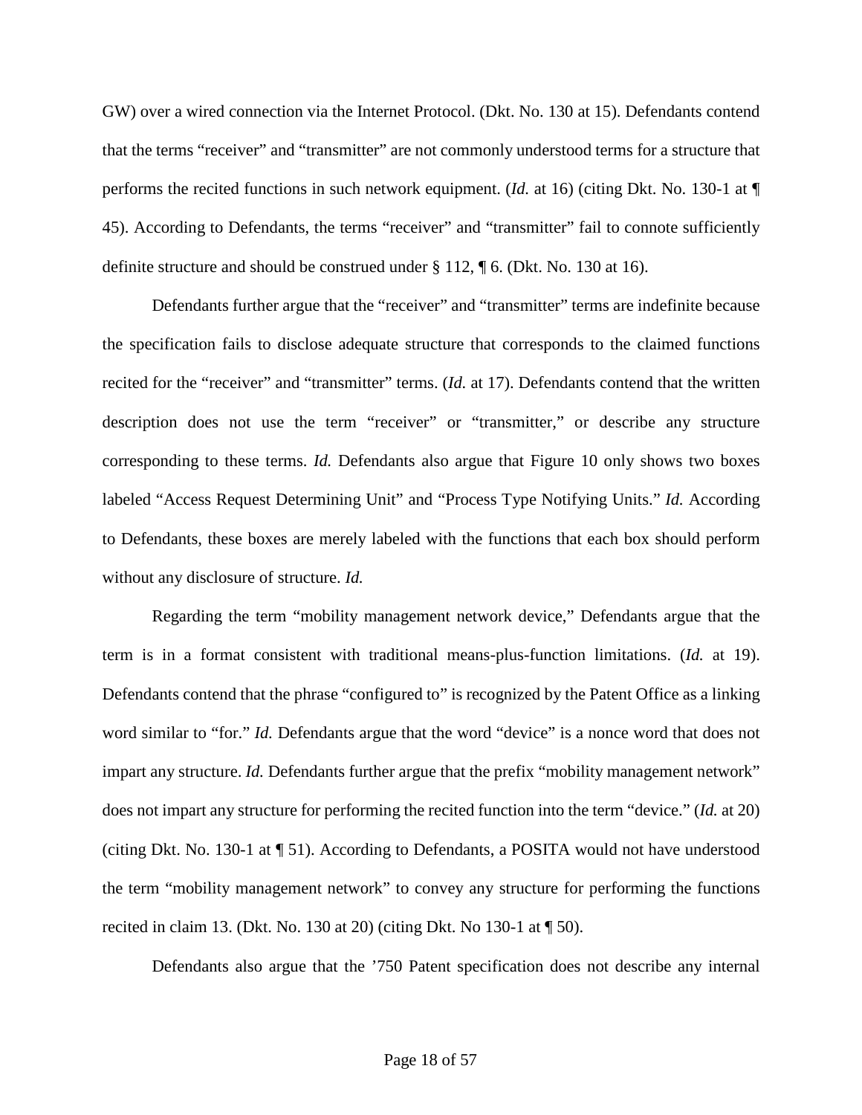GW) over a wired connection via the Internet Protocol. (Dkt. No. 130 at 15). Defendants contend that the terms "receiver" and "transmitter" are not commonly understood terms for a structure that performs the recited functions in such network equipment. (*Id.* at 16) (citing Dkt. No. 130-1 at ¶ 45). According to Defendants, the terms "receiver" and "transmitter" fail to connote sufficiently definite structure and should be construed under  $\S 112$ ,  $\P 6$ . (Dkt. No. 130 at 16).

Defendants further argue that the "receiver" and "transmitter" terms are indefinite because the specification fails to disclose adequate structure that corresponds to the claimed functions recited for the "receiver" and "transmitter" terms. (*Id.* at 17). Defendants contend that the written description does not use the term "receiver" or "transmitter," or describe any structure corresponding to these terms. *Id.* Defendants also argue that Figure 10 only shows two boxes labeled "Access Request Determining Unit" and "Process Type Notifying Units." *Id.* According to Defendants, these boxes are merely labeled with the functions that each box should perform without any disclosure of structure. *Id.*

Regarding the term "mobility management network device," Defendants argue that the term is in a format consistent with traditional means-plus-function limitations. (*Id.* at 19). Defendants contend that the phrase "configured to" is recognized by the Patent Office as a linking word similar to "for." *Id.* Defendants argue that the word "device" is a nonce word that does not impart any structure. *Id.* Defendants further argue that the prefix "mobility management network" does not impart any structure for performing the recited function into the term "device." (*Id.* at 20) (citing Dkt. No. 130-1 at ¶ 51). According to Defendants, a POSITA would not have understood the term "mobility management network" to convey any structure for performing the functions recited in claim 13. (Dkt. No. 130 at 20) (citing Dkt. No 130-1 at  $\P$  50).

Defendants also argue that the '750 Patent specification does not describe any internal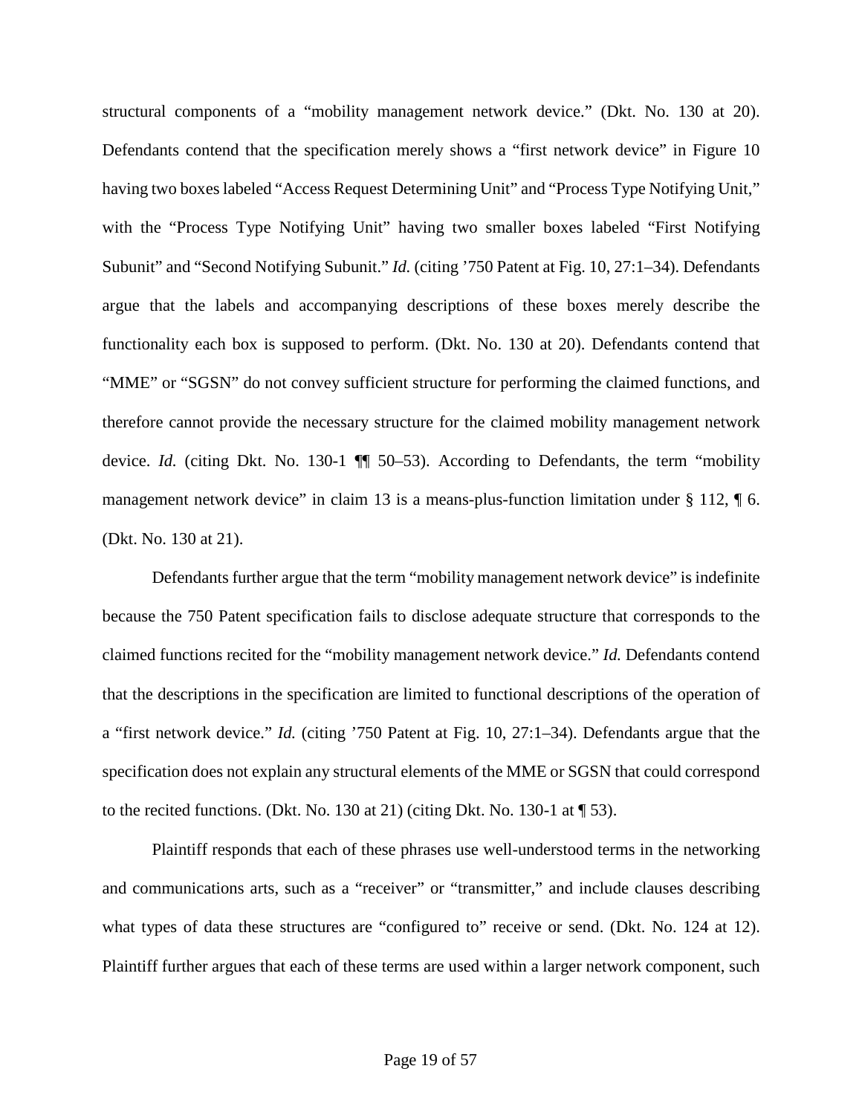structural components of a "mobility management network device." (Dkt. No. 130 at 20). Defendants contend that the specification merely shows a "first network device" in Figure 10 having two boxes labeled "Access Request Determining Unit" and "Process Type Notifying Unit," with the "Process Type Notifying Unit" having two smaller boxes labeled "First Notifying Subunit" and "Second Notifying Subunit." *Id.* (citing '750 Patent at Fig. 10, 27:1–34). Defendants argue that the labels and accompanying descriptions of these boxes merely describe the functionality each box is supposed to perform. (Dkt. No. 130 at 20). Defendants contend that "MME" or "SGSN" do not convey sufficient structure for performing the claimed functions, and therefore cannot provide the necessary structure for the claimed mobility management network device. *Id.* (citing Dkt. No. 130-1  $\P\P$  50–53). According to Defendants, the term "mobility management network device" in claim 13 is a means-plus-function limitation under § 112, ¶ 6. (Dkt. No. 130 at 21).

Defendants further argue that the term "mobility management network device" is indefinite because the 750 Patent specification fails to disclose adequate structure that corresponds to the claimed functions recited for the "mobility management network device." *Id.* Defendants contend that the descriptions in the specification are limited to functional descriptions of the operation of a "first network device." *Id.* (citing '750 Patent at Fig. 10, 27:1–34). Defendants argue that the specification does not explain any structural elements of the MME or SGSN that could correspond to the recited functions. (Dkt. No. 130 at 21) (citing Dkt. No. 130-1 at  $\P$  53).

Plaintiff responds that each of these phrases use well-understood terms in the networking and communications arts, such as a "receiver" or "transmitter," and include clauses describing what types of data these structures are "configured to" receive or send. (Dkt. No. 124 at 12). Plaintiff further argues that each of these terms are used within a larger network component, such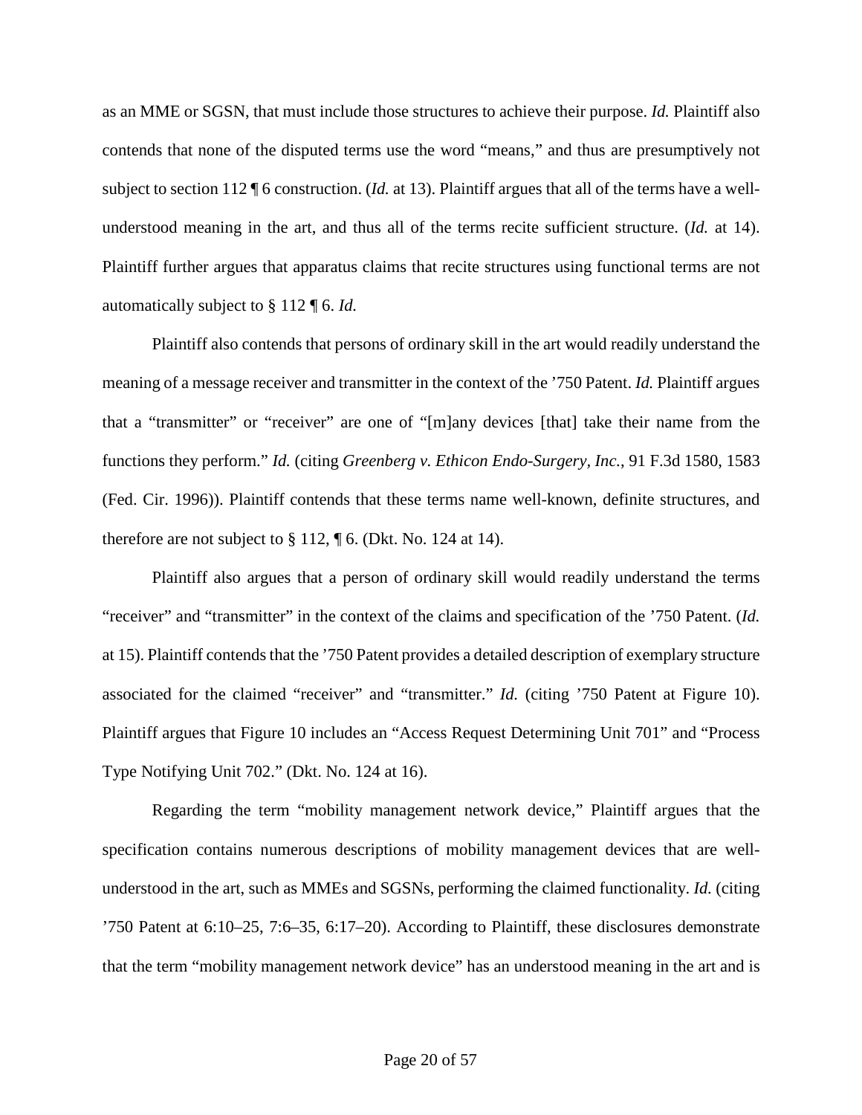as an MME or SGSN, that must include those structures to achieve their purpose. *Id.* Plaintiff also contends that none of the disputed terms use the word "means," and thus are presumptively not subject to section 112 ¶ 6 construction. (*Id.* at 13). Plaintiff argues that all of the terms have a wellunderstood meaning in the art, and thus all of the terms recite sufficient structure. (*Id.* at 14). Plaintiff further argues that apparatus claims that recite structures using functional terms are not automatically subject to § 112 ¶ 6. *Id.*

Plaintiff also contends that persons of ordinary skill in the art would readily understand the meaning of a message receiver and transmitter in the context of the '750 Patent. *Id.* Plaintiff argues that a "transmitter" or "receiver" are one of "[m]any devices [that] take their name from the functions they perform." *Id.* (citing *Greenberg v. Ethicon Endo-Surgery, Inc.*, 91 F.3d 1580, 1583 (Fed. Cir. 1996)). Plaintiff contends that these terms name well-known, definite structures, and therefore are not subject to  $\S 112$ ,  $\P 6$ . (Dkt. No. 124 at 14).

Plaintiff also argues that a person of ordinary skill would readily understand the terms "receiver" and "transmitter" in the context of the claims and specification of the '750 Patent. (*Id.* at 15). Plaintiff contends that the '750 Patent provides a detailed description of exemplary structure associated for the claimed "receiver" and "transmitter." *Id.* (citing '750 Patent at Figure 10). Plaintiff argues that Figure 10 includes an "Access Request Determining Unit 701" and "Process Type Notifying Unit 702." (Dkt. No. 124 at 16).

Regarding the term "mobility management network device," Plaintiff argues that the specification contains numerous descriptions of mobility management devices that are wellunderstood in the art, such as MMEs and SGSNs, performing the claimed functionality. *Id.* (citing '750 Patent at 6:10–25, 7:6–35, 6:17–20). According to Plaintiff, these disclosures demonstrate that the term "mobility management network device" has an understood meaning in the art and is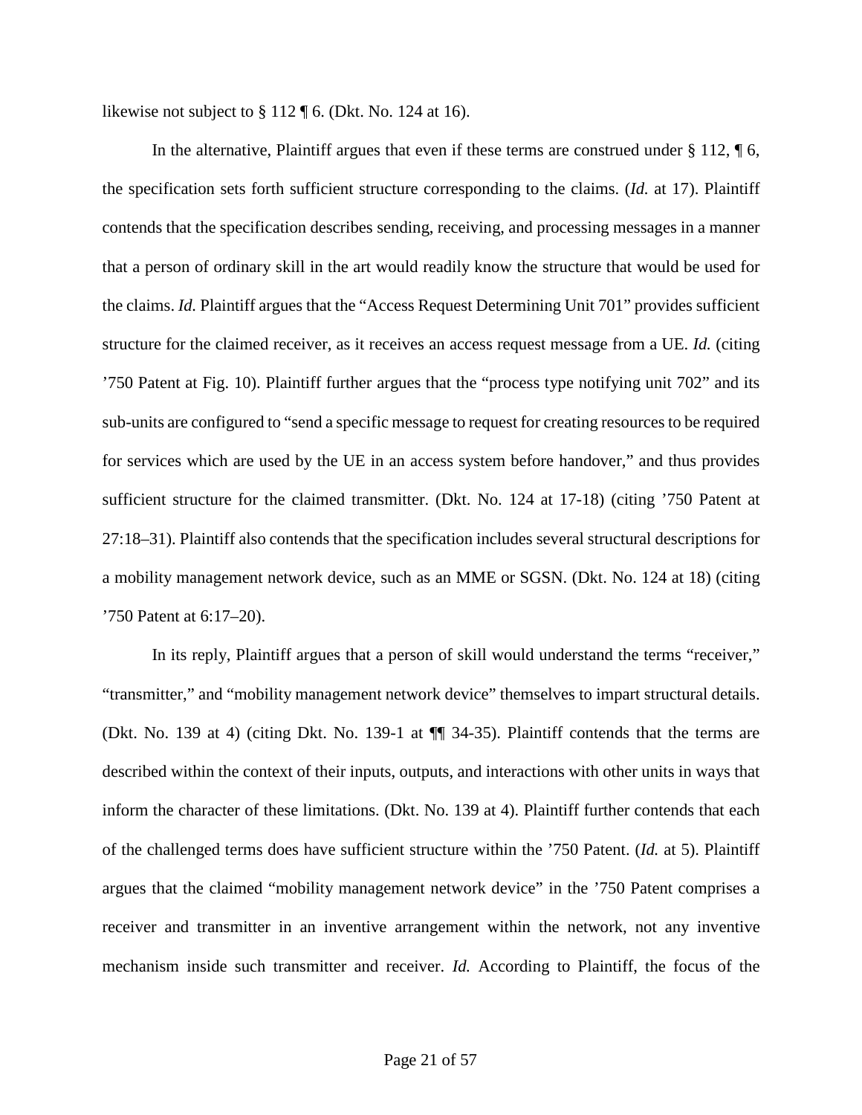likewise not subject to § 112 ¶ 6. (Dkt. No. 124 at 16).

In the alternative, Plaintiff argues that even if these terms are construed under  $\S 112$ ,  $\P 6$ , the specification sets forth sufficient structure corresponding to the claims. (*Id.* at 17). Plaintiff contends that the specification describes sending, receiving, and processing messages in a manner that a person of ordinary skill in the art would readily know the structure that would be used for the claims. *Id.* Plaintiff argues that the "Access Request Determining Unit 701" provides sufficient structure for the claimed receiver, as it receives an access request message from a UE. *Id.* (citing '750 Patent at Fig. 10). Plaintiff further argues that the "process type notifying unit 702" and its sub-units are configured to "send a specific message to request for creating resources to be required for services which are used by the UE in an access system before handover," and thus provides sufficient structure for the claimed transmitter. (Dkt. No. 124 at 17-18) (citing '750 Patent at 27:18–31). Plaintiff also contends that the specification includes several structural descriptions for a mobility management network device, such as an MME or SGSN. (Dkt. No. 124 at 18) (citing '750 Patent at 6:17–20).

In its reply, Plaintiff argues that a person of skill would understand the terms "receiver," "transmitter," and "mobility management network device" themselves to impart structural details. (Dkt. No. 139 at 4) (citing Dkt. No. 139-1 at ¶¶ 34-35). Plaintiff contends that the terms are described within the context of their inputs, outputs, and interactions with other units in ways that inform the character of these limitations. (Dkt. No. 139 at 4). Plaintiff further contends that each of the challenged terms does have sufficient structure within the '750 Patent. (*Id.* at 5). Plaintiff argues that the claimed "mobility management network device" in the '750 Patent comprises a receiver and transmitter in an inventive arrangement within the network, not any inventive mechanism inside such transmitter and receiver. *Id.* According to Plaintiff, the focus of the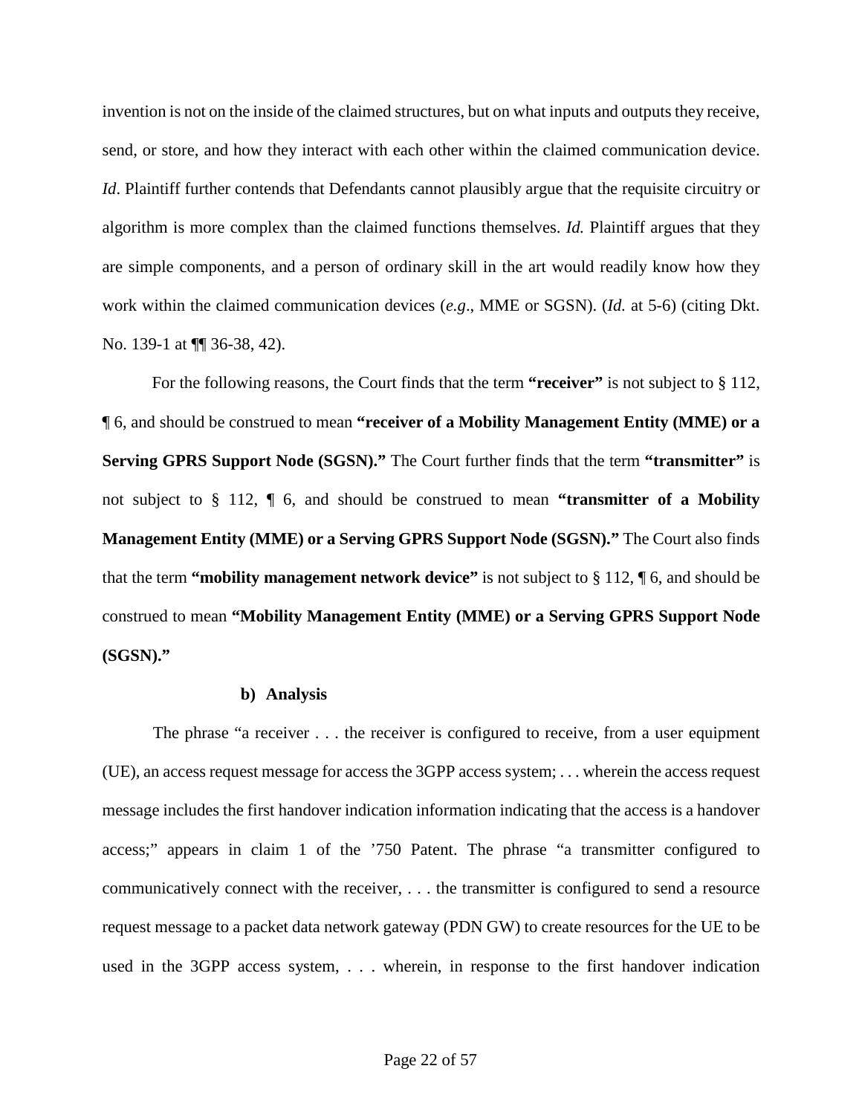invention is not on the inside of the claimed structures, but on what inputs and outputs they receive, send, or store, and how they interact with each other within the claimed communication device. *Id*. Plaintiff further contends that Defendants cannot plausibly argue that the requisite circuitry or algorithm is more complex than the claimed functions themselves. *Id.* Plaintiff argues that they are simple components, and a person of ordinary skill in the art would readily know how they work within the claimed communication devices (*e.g*., MME or SGSN). (*Id.* at 5-6) (citing Dkt. No. 139-1 at  $\P$  36-38, 42).

For the following reasons, the Court finds that the term **"receiver"** is not subject to § 112, ¶ 6, and should be construed to mean **"receiver of a Mobility Management Entity (MME) or a Serving GPRS Support Node (SGSN)."** The Court further finds that the term **"transmitter"** is not subject to § 112, ¶ 6, and should be construed to mean **"transmitter of a Mobility Management Entity (MME) or a Serving GPRS Support Node (SGSN)."** The Court also finds that the term **"mobility management network device"** is not subject to § 112, ¶ 6, and should be construed to mean **"Mobility Management Entity (MME) or a Serving GPRS Support Node (SGSN)."**

#### **b) Analysis**

The phrase "a receiver . . . the receiver is configured to receive, from a user equipment (UE), an access request message for access the 3GPP access system; . . . wherein the access request message includes the first handover indication information indicating that the access is a handover access;" appears in claim 1 of the '750 Patent. The phrase "a transmitter configured to communicatively connect with the receiver, . . . the transmitter is configured to send a resource request message to a packet data network gateway (PDN GW) to create resources for the UE to be used in the 3GPP access system, . . . wherein, in response to the first handover indication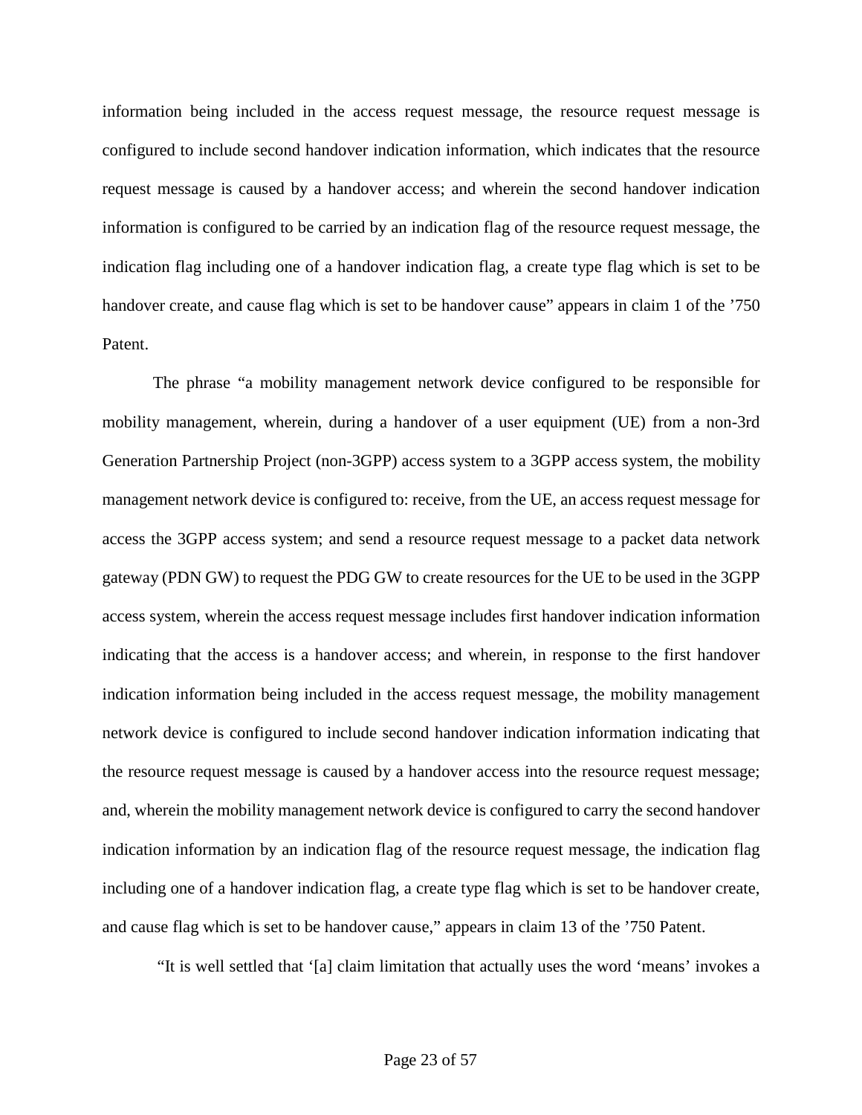information being included in the access request message, the resource request message is configured to include second handover indication information, which indicates that the resource request message is caused by a handover access; and wherein the second handover indication information is configured to be carried by an indication flag of the resource request message, the indication flag including one of a handover indication flag, a create type flag which is set to be handover create, and cause flag which is set to be handover cause" appears in claim 1 of the '750 Patent.

The phrase "a mobility management network device configured to be responsible for mobility management, wherein, during a handover of a user equipment (UE) from a non-3rd Generation Partnership Project (non-3GPP) access system to a 3GPP access system, the mobility management network device is configured to: receive, from the UE, an access request message for access the 3GPP access system; and send a resource request message to a packet data network gateway (PDN GW) to request the PDG GW to create resources for the UE to be used in the 3GPP access system, wherein the access request message includes first handover indication information indicating that the access is a handover access; and wherein, in response to the first handover indication information being included in the access request message, the mobility management network device is configured to include second handover indication information indicating that the resource request message is caused by a handover access into the resource request message; and, wherein the mobility management network device is configured to carry the second handover indication information by an indication flag of the resource request message, the indication flag including one of a handover indication flag, a create type flag which is set to be handover create, and cause flag which is set to be handover cause," appears in claim 13 of the '750 Patent.

"It is well settled that '[a] claim limitation that actually uses the word 'means' invokes a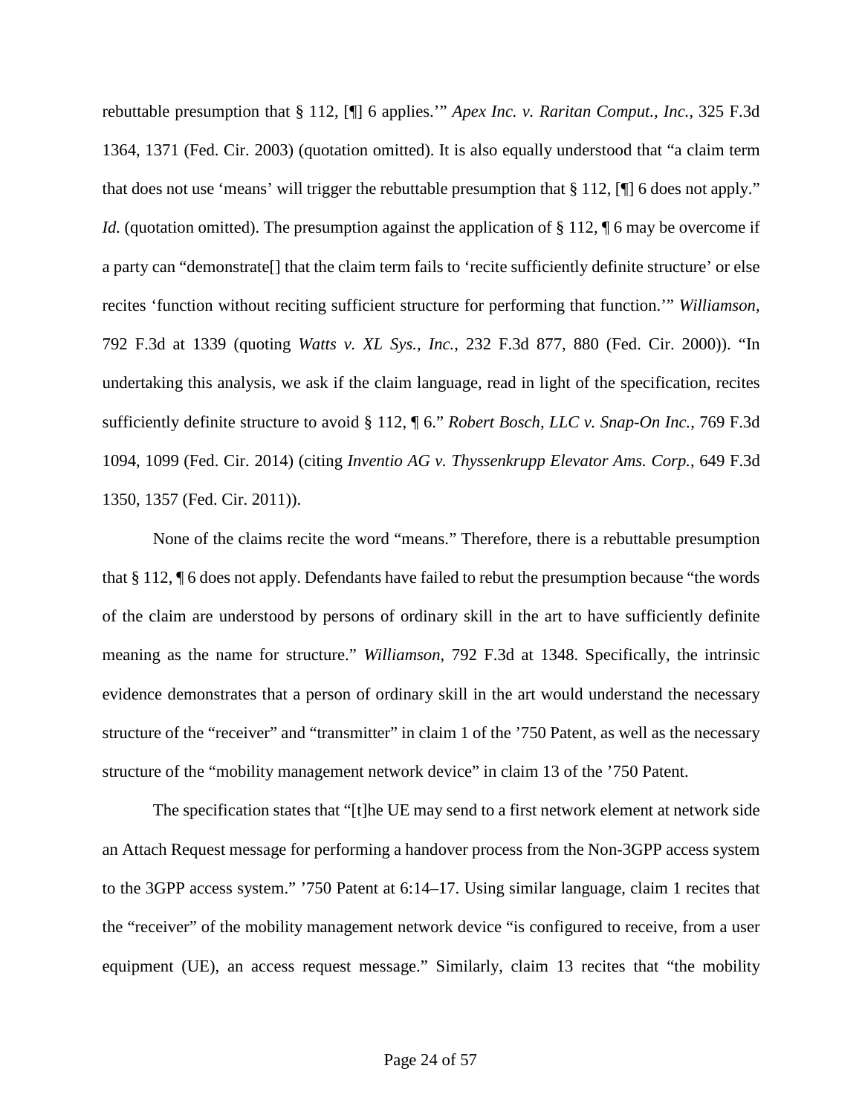rebuttable presumption that § 112, [¶] 6 applies.'" *Apex Inc. v. Raritan Comput., Inc.*, 325 F.3d 1364, 1371 (Fed. Cir. 2003) (quotation omitted). It is also equally understood that "a claim term that does not use 'means' will trigger the rebuttable presumption that § 112, [¶] 6 does not apply." *Id.* (quotation omitted). The presumption against the application of § 112, ¶ 6 may be overcome if a party can "demonstrate[] that the claim term fails to 'recite sufficiently definite structure' or else recites 'function without reciting sufficient structure for performing that function.'" *Williamson*, 792 F.3d at 1339 (quoting *Watts v. XL Sys., Inc.*, 232 F.3d 877, 880 (Fed. Cir. 2000)). "In undertaking this analysis, we ask if the claim language, read in light of the specification, recites sufficiently definite structure to avoid § 112, ¶ 6." *Robert Bosch, LLC v. Snap-On Inc.*, 769 F.3d 1094, 1099 (Fed. Cir. 2014) (citing *Inventio AG v. Thyssenkrupp Elevator Ams. Corp.*, 649 F.3d 1350, 1357 (Fed. Cir. 2011)).

None of the claims recite the word "means." Therefore, there is a rebuttable presumption that § 112, ¶ 6 does not apply. Defendants have failed to rebut the presumption because "the words of the claim are understood by persons of ordinary skill in the art to have sufficiently definite meaning as the name for structure." *Williamson*, 792 F.3d at 1348. Specifically, the intrinsic evidence demonstrates that a person of ordinary skill in the art would understand the necessary structure of the "receiver" and "transmitter" in claim 1 of the '750 Patent, as well as the necessary structure of the "mobility management network device" in claim 13 of the '750 Patent.

The specification states that "[t]he UE may send to a first network element at network side an Attach Request message for performing a handover process from the Non-3GPP access system to the 3GPP access system." '750 Patent at 6:14–17. Using similar language, claim 1 recites that the "receiver" of the mobility management network device "is configured to receive, from a user equipment (UE), an access request message." Similarly, claim 13 recites that "the mobility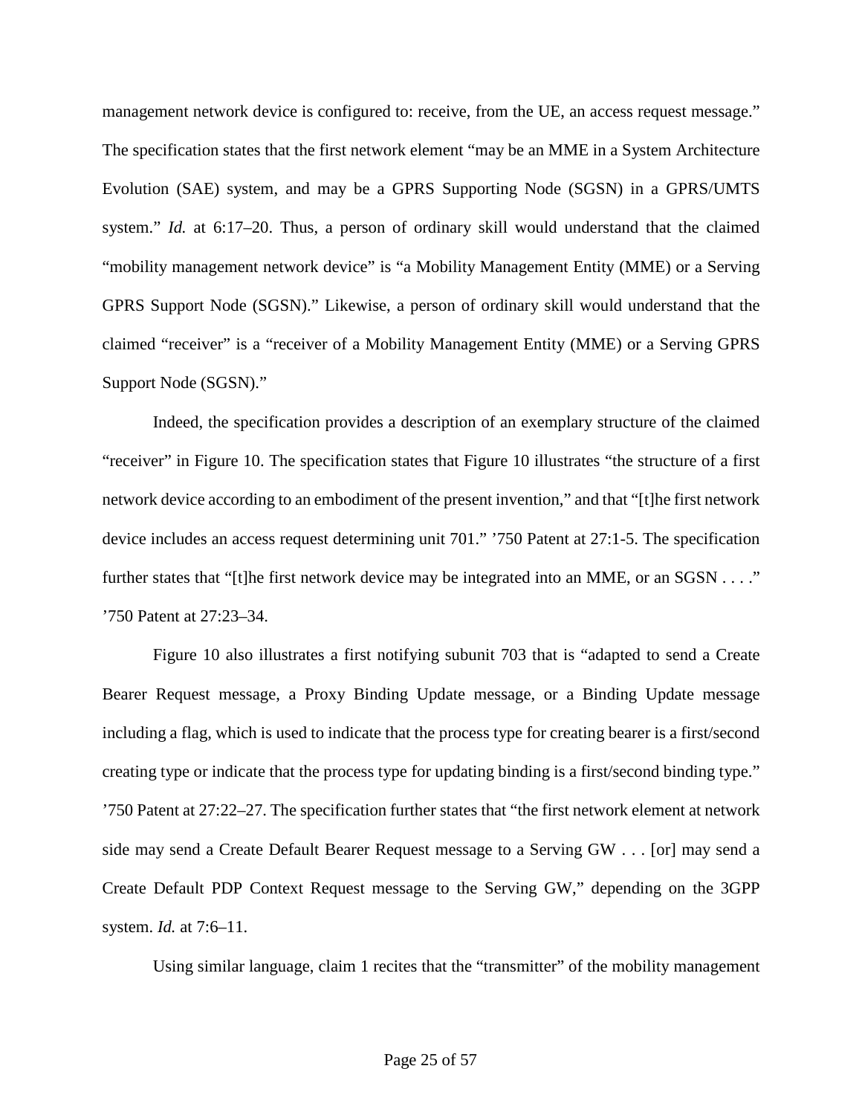management network device is configured to: receive, from the UE, an access request message." The specification states that the first network element "may be an MME in a System Architecture Evolution (SAE) system, and may be a GPRS Supporting Node (SGSN) in a GPRS/UMTS system." *Id.* at 6:17–20. Thus, a person of ordinary skill would understand that the claimed "mobility management network device" is "a Mobility Management Entity (MME) or a Serving GPRS Support Node (SGSN)." Likewise, a person of ordinary skill would understand that the claimed "receiver" is a "receiver of a Mobility Management Entity (MME) or a Serving GPRS Support Node (SGSN)."

Indeed, the specification provides a description of an exemplary structure of the claimed "receiver" in Figure 10. The specification states that Figure 10 illustrates "the structure of a first network device according to an embodiment of the present invention," and that "[t]he first network device includes an access request determining unit 701." '750 Patent at 27:1-5. The specification further states that "[t]he first network device may be integrated into an MME, or an SGSN . . . ." '750 Patent at 27:23–34.

Figure 10 also illustrates a first notifying subunit 703 that is "adapted to send a Create Bearer Request message, a Proxy Binding Update message, or a Binding Update message including a flag, which is used to indicate that the process type for creating bearer is a first/second creating type or indicate that the process type for updating binding is a first/second binding type." '750 Patent at 27:22–27. The specification further states that "the first network element at network side may send a Create Default Bearer Request message to a Serving GW . . . [or] may send a Create Default PDP Context Request message to the Serving GW," depending on the 3GPP system. *Id.* at 7:6–11.

Using similar language, claim 1 recites that the "transmitter" of the mobility management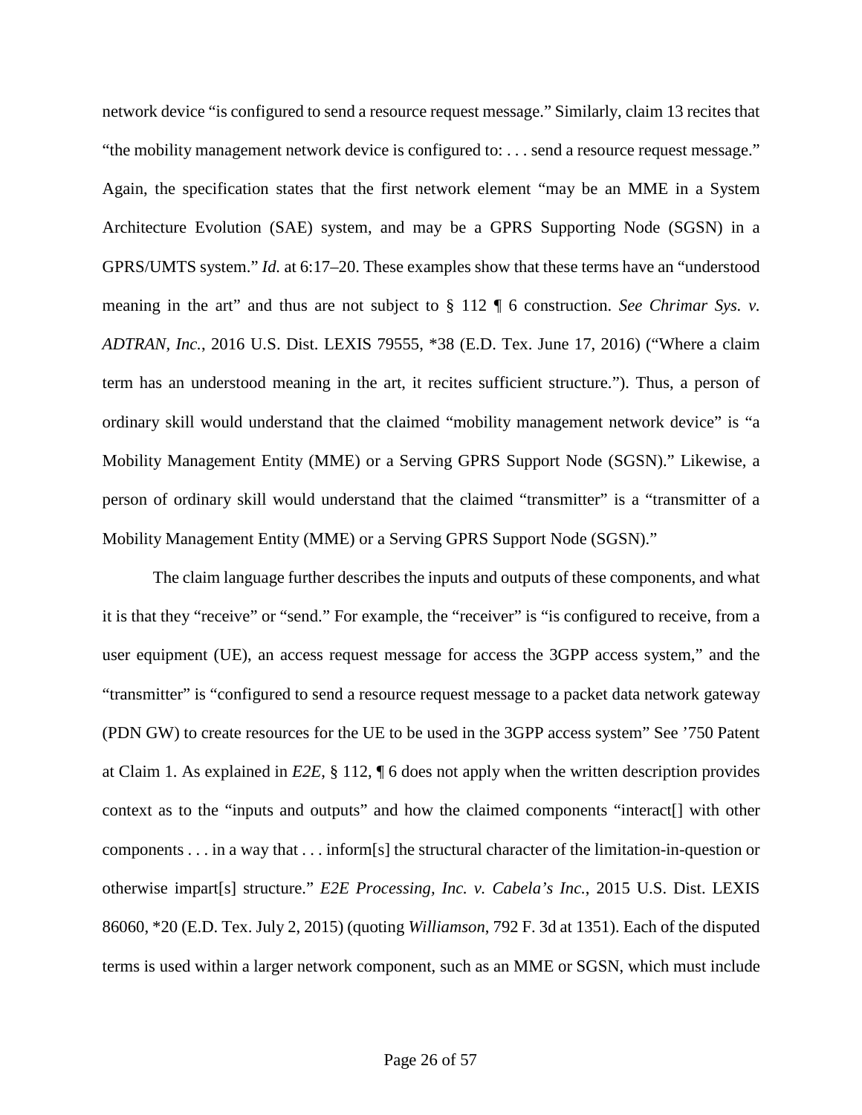network device "is configured to send a resource request message." Similarly, claim 13 recites that "the mobility management network device is configured to: . . . send a resource request message." Again, the specification states that the first network element "may be an MME in a System Architecture Evolution (SAE) system, and may be a GPRS Supporting Node (SGSN) in a GPRS/UMTS system." *Id.* at 6:17–20. These examples show that these terms have an "understood meaning in the art" and thus are not subject to § 112 ¶ 6 construction. *See Chrimar Sys. v. ADTRAN, Inc.*, 2016 U.S. Dist. LEXIS 79555, \*38 (E.D. Tex. June 17, 2016) ("Where a claim term has an understood meaning in the art, it recites sufficient structure."). Thus, a person of ordinary skill would understand that the claimed "mobility management network device" is "a Mobility Management Entity (MME) or a Serving GPRS Support Node (SGSN)." Likewise, a person of ordinary skill would understand that the claimed "transmitter" is a "transmitter of a Mobility Management Entity (MME) or a Serving GPRS Support Node (SGSN)."

The claim language further describes the inputs and outputs of these components, and what it is that they "receive" or "send." For example, the "receiver" is "is configured to receive, from a user equipment (UE), an access request message for access the 3GPP access system," and the "transmitter" is "configured to send a resource request message to a packet data network gateway (PDN GW) to create resources for the UE to be used in the 3GPP access system" See '750 Patent at Claim 1. As explained in *E2E*, § 112, ¶ 6 does not apply when the written description provides context as to the "inputs and outputs" and how the claimed components "interact[] with other components . . . in a way that . . . inform[s] the structural character of the limitation-in-question or otherwise impart[s] structure." *E2E Processing, Inc. v. Cabela's Inc.*, 2015 U.S. Dist. LEXIS 86060, \*20 (E.D. Tex. July 2, 2015) (quoting *Williamson*, 792 F. 3d at 1351). Each of the disputed terms is used within a larger network component, such as an MME or SGSN, which must include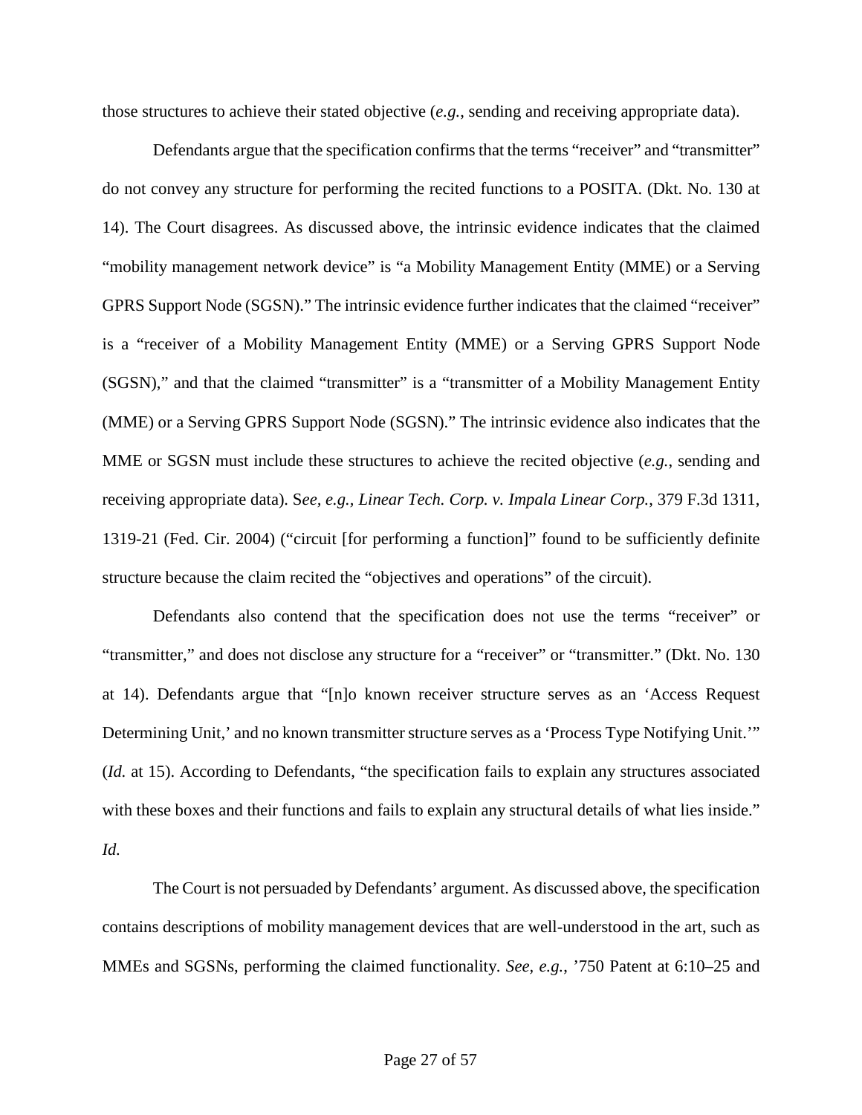those structures to achieve their stated objective (*e.g.*, sending and receiving appropriate data).

Defendants argue that the specification confirms that the terms "receiver" and "transmitter" do not convey any structure for performing the recited functions to a POSITA. (Dkt. No. 130 at 14). The Court disagrees. As discussed above, the intrinsic evidence indicates that the claimed "mobility management network device" is "a Mobility Management Entity (MME) or a Serving GPRS Support Node (SGSN)." The intrinsic evidence further indicates that the claimed "receiver" is a "receiver of a Mobility Management Entity (MME) or a Serving GPRS Support Node (SGSN)," and that the claimed "transmitter" is a "transmitter of a Mobility Management Entity (MME) or a Serving GPRS Support Node (SGSN)." The intrinsic evidence also indicates that the MME or SGSN must include these structures to achieve the recited objective (*e.g.*, sending and receiving appropriate data). S*ee, e.g., Linear Tech. Corp. v. Impala Linear Corp.*, 379 F.3d 1311, 1319-21 (Fed. Cir. 2004) ("circuit [for performing a function]" found to be sufficiently definite structure because the claim recited the "objectives and operations" of the circuit).

Defendants also contend that the specification does not use the terms "receiver" or "transmitter," and does not disclose any structure for a "receiver" or "transmitter." (Dkt. No. 130 at 14). Defendants argue that "[n]o known receiver structure serves as an 'Access Request Determining Unit,' and no known transmitter structure serves as a 'Process Type Notifying Unit.'" (*Id.* at 15). According to Defendants, "the specification fails to explain any structures associated with these boxes and their functions and fails to explain any structural details of what lies inside." *Id.*

The Court is not persuaded by Defendants' argument. As discussed above, the specification contains descriptions of mobility management devices that are well-understood in the art, such as MMEs and SGSNs, performing the claimed functionality. *See, e.g.*, '750 Patent at 6:10–25 and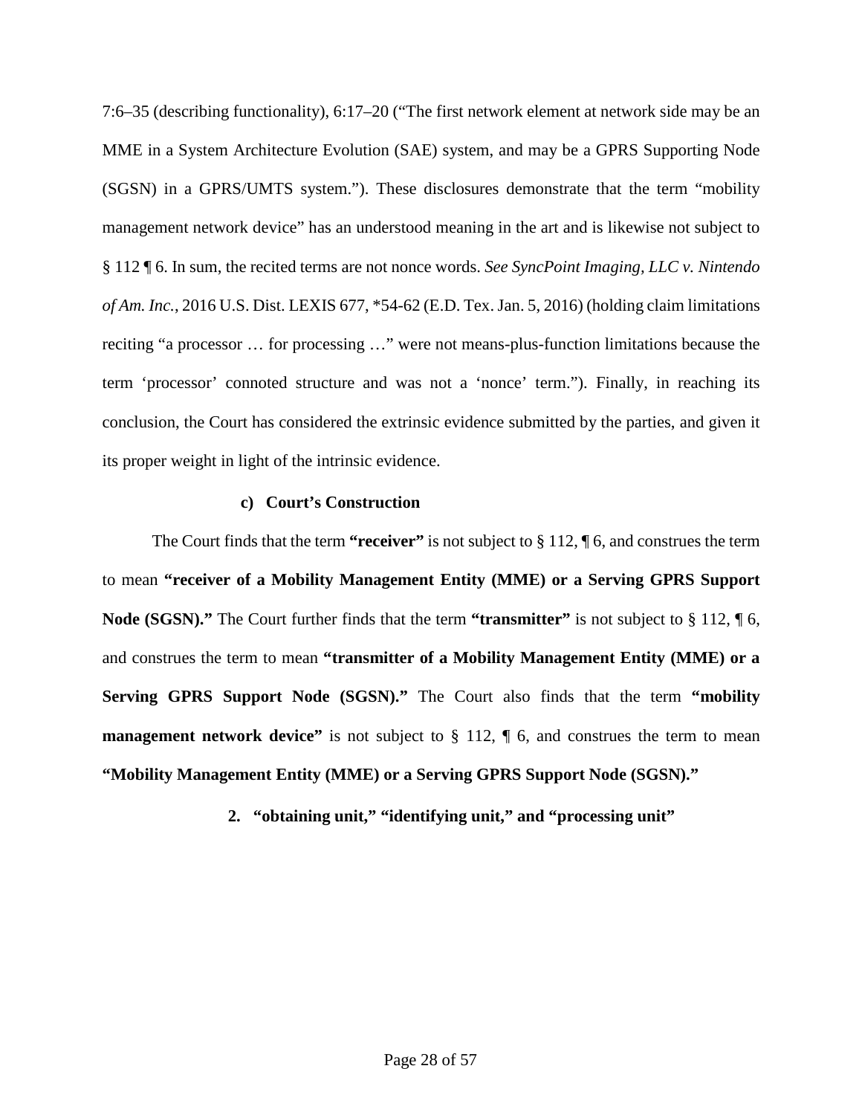7:6–35 (describing functionality), 6:17–20 ("The first network element at network side may be an MME in a System Architecture Evolution (SAE) system, and may be a GPRS Supporting Node (SGSN) in a GPRS/UMTS system."). These disclosures demonstrate that the term "mobility management network device" has an understood meaning in the art and is likewise not subject to § 112 ¶ 6. In sum, the recited terms are not nonce words. *See SyncPoint Imaging, LLC v. Nintendo of Am. Inc.*, 2016 U.S. Dist. LEXIS 677, \*54-62 (E.D. Tex. Jan. 5, 2016) (holding claim limitations reciting "a processor … for processing …" were not means-plus-function limitations because the term 'processor' connoted structure and was not a 'nonce' term."). Finally, in reaching its conclusion, the Court has considered the extrinsic evidence submitted by the parties, and given it its proper weight in light of the intrinsic evidence.

### **c) Court's Construction**

The Court finds that the term **"receiver"** is not subject to § 112, ¶ 6, and construes the term to mean **"receiver of a Mobility Management Entity (MME) or a Serving GPRS Support Node (SGSN)."** The Court further finds that the term **"transmitter"** is not subject to § 112, ¶ 6, and construes the term to mean **"transmitter of a Mobility Management Entity (MME) or a Serving GPRS Support Node (SGSN)."** The Court also finds that the term **"mobility management network device**" is not subject to § 112,  $\parallel$  6, and construes the term to mean **"Mobility Management Entity (MME) or a Serving GPRS Support Node (SGSN)."** 

<span id="page-27-0"></span>**2. "obtaining unit," "identifying unit," and "processing unit"**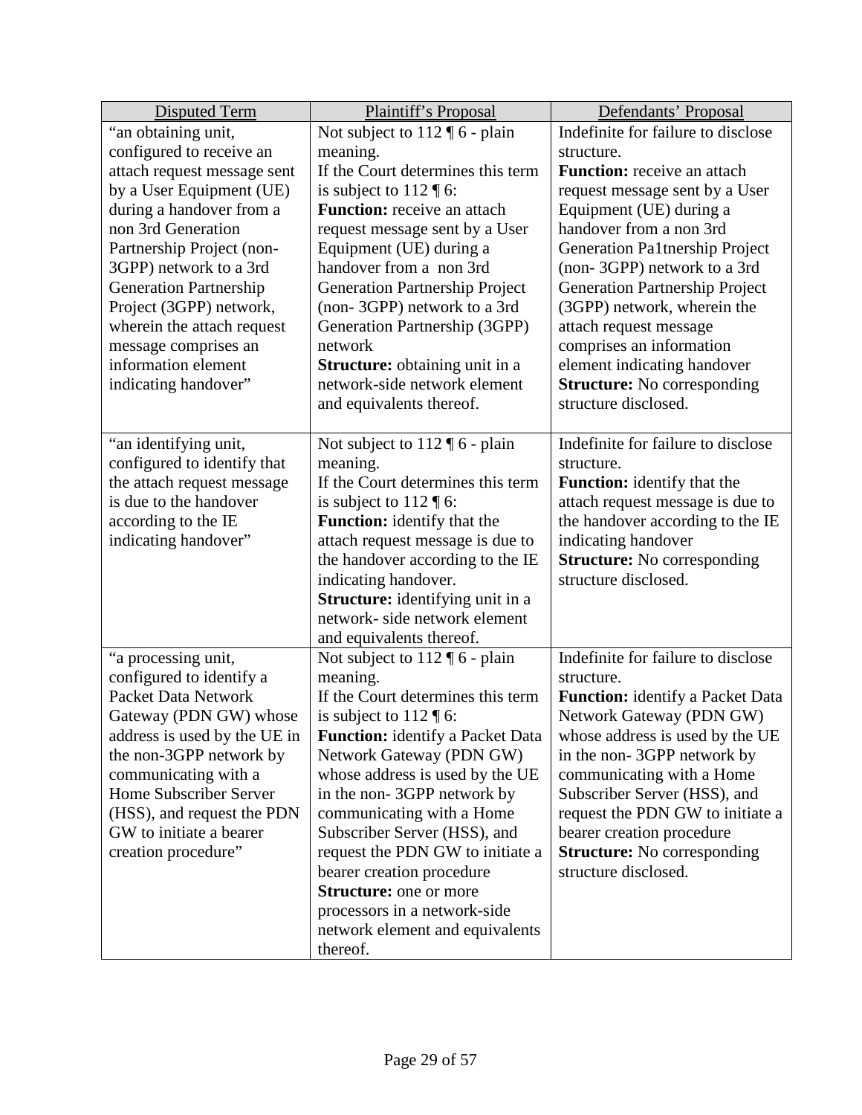| <b>Disputed Term</b>                        | Plaintiff's Proposal                                                            | Defendants' Proposal                                    |
|---------------------------------------------|---------------------------------------------------------------------------------|---------------------------------------------------------|
| "an obtaining unit,                         | Not subject to $112 \text{ } \text{\ensuremath{\mathfrak{q}}\xspace}$ 6 - plain | Indefinite for failure to disclose                      |
| configured to receive an                    | meaning.                                                                        | structure.                                              |
| attach request message sent                 | If the Court determines this term                                               | <b>Function:</b> receive an attach                      |
| by a User Equipment (UE)                    | is subject to $112 \text{ } \text{T}$ 6:                                        | request message sent by a User                          |
| during a handover from a                    | Function: receive an attach                                                     | Equipment (UE) during a                                 |
| non 3rd Generation                          | request message sent by a User                                                  | handover from a non 3rd                                 |
| Partnership Project (non-                   | Equipment (UE) during a                                                         | Generation Pa1tnership Project                          |
| 3GPP) network to a 3rd                      | handover from a non 3rd                                                         | (non-3GPP) network to a 3rd                             |
| <b>Generation Partnership</b>               | <b>Generation Partnership Project</b>                                           | <b>Generation Partnership Project</b>                   |
| Project (3GPP) network,                     | (non-3GPP) network to a 3rd                                                     | (3GPP) network, wherein the                             |
| wherein the attach request                  | Generation Partnership (3GPP)<br>network                                        | attach request message                                  |
| message comprises an<br>information element |                                                                                 | comprises an information<br>element indicating handover |
| indicating handover"                        | <b>Structure:</b> obtaining unit in a<br>network-side network element           | <b>Structure:</b> No corresponding                      |
|                                             | and equivalents thereof.                                                        | structure disclosed.                                    |
|                                             |                                                                                 |                                                         |
| "an identifying unit,                       | Not subject to $112 \text{ } \text{\ensuremath{\mathfrak{q}}\xspace}$ 6 - plain | Indefinite for failure to disclose                      |
| configured to identify that                 | meaning.                                                                        | structure.                                              |
| the attach request message                  | If the Court determines this term                                               | <b>Function:</b> identify that the                      |
| is due to the handover                      | is subject to $112 \text{ } \text{\%}$ 6:                                       | attach request message is due to                        |
| according to the IE                         | <b>Function:</b> identify that the                                              | the handover according to the IE                        |
| indicating handover"                        | attach request message is due to                                                | indicating handover                                     |
|                                             | the handover according to the IE                                                | <b>Structure:</b> No corresponding                      |
|                                             | indicating handover.                                                            | structure disclosed.                                    |
|                                             | <b>Structure:</b> identifying unit in a                                         |                                                         |
|                                             | network- side network element                                                   |                                                         |
| "a processing unit,                         | and equivalents thereof.<br>Not subject to $112 \text{ % } 6$ - plain           | Indefinite for failure to disclose                      |
| configured to identify a                    | meaning.                                                                        | structure.                                              |
| Packet Data Network                         | If the Court determines this term                                               | <b>Function:</b> identify a Packet Data                 |
| Gateway (PDN GW) whose                      | is subject to $112 \text{ } \text{\textdegree}\text{}$ 6:                       | Network Gateway (PDN GW)                                |
| address is used by the UE in                | Function: identify a Packet Data                                                | whose address is used by the UE                         |
| the non-3GPP network by                     | Network Gateway (PDN GW)                                                        | in the non-3GPP network by                              |
| communicating with a                        | whose address is used by the UE                                                 | communicating with a Home                               |
| Home Subscriber Server                      | in the non-3GPP network by                                                      | Subscriber Server (HSS), and                            |
| (HSS), and request the PDN                  | communicating with a Home                                                       | request the PDN GW to initiate a                        |
| GW to initiate a bearer                     | Subscriber Server (HSS), and                                                    | bearer creation procedure                               |
| creation procedure"                         | request the PDN GW to initiate a                                                | <b>Structure:</b> No corresponding                      |
|                                             | bearer creation procedure                                                       | structure disclosed.                                    |
|                                             | Structure: one or more                                                          |                                                         |
|                                             | processors in a network-side                                                    |                                                         |
|                                             | network element and equivalents                                                 |                                                         |
|                                             | thereof.                                                                        |                                                         |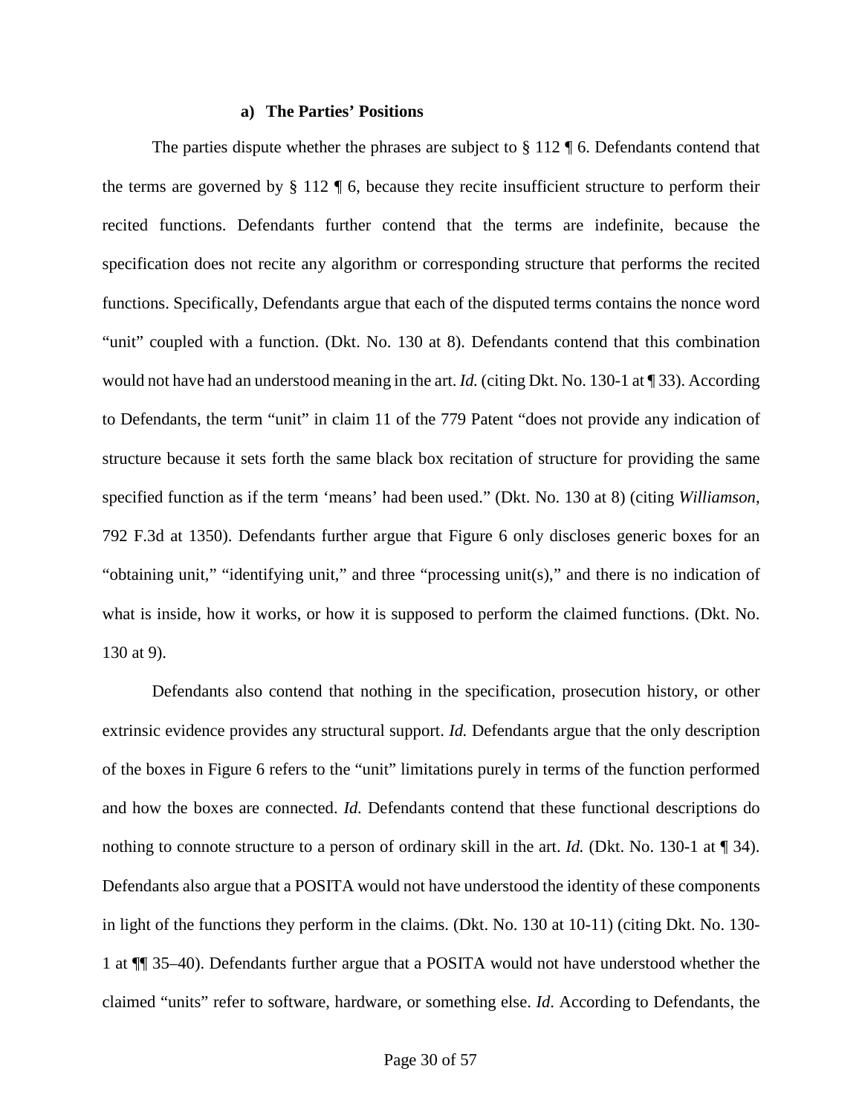#### **a) The Parties' Positions**

The parties dispute whether the phrases are subject to  $\S 112 \text{ T}$  6. Defendants contend that the terms are governed by  $\S 112 \text{ T}$  6, because they recite insufficient structure to perform their recited functions. Defendants further contend that the terms are indefinite, because the specification does not recite any algorithm or corresponding structure that performs the recited functions. Specifically, Defendants argue that each of the disputed terms contains the nonce word "unit" coupled with a function. (Dkt. No. 130 at 8). Defendants contend that this combination would not have had an understood meaning in the art. *Id.* (citing Dkt. No. 130-1 at \ine 33). According to Defendants, the term "unit" in claim 11 of the 779 Patent "does not provide any indication of structure because it sets forth the same black box recitation of structure for providing the same specified function as if the term 'means' had been used." (Dkt. No. 130 at 8) (citing *Williamson*, 792 F.3d at 1350). Defendants further argue that Figure 6 only discloses generic boxes for an "obtaining unit," "identifying unit," and three "processing unit(s)," and there is no indication of what is inside, how it works, or how it is supposed to perform the claimed functions. (Dkt. No. 130 at 9).

Defendants also contend that nothing in the specification, prosecution history, or other extrinsic evidence provides any structural support. *Id.* Defendants argue that the only description of the boxes in Figure 6 refers to the "unit" limitations purely in terms of the function performed and how the boxes are connected. *Id.* Defendants contend that these functional descriptions do nothing to connote structure to a person of ordinary skill in the art. *Id.* (Dkt. No. 130-1 at  $\P$  34). Defendants also argue that a POSITA would not have understood the identity of these components in light of the functions they perform in the claims. (Dkt. No. 130 at 10-11) (citing Dkt. No. 130- 1 at ¶¶ 35–40). Defendants further argue that a POSITA would not have understood whether the claimed "units" refer to software, hardware, or something else. *Id*. According to Defendants, the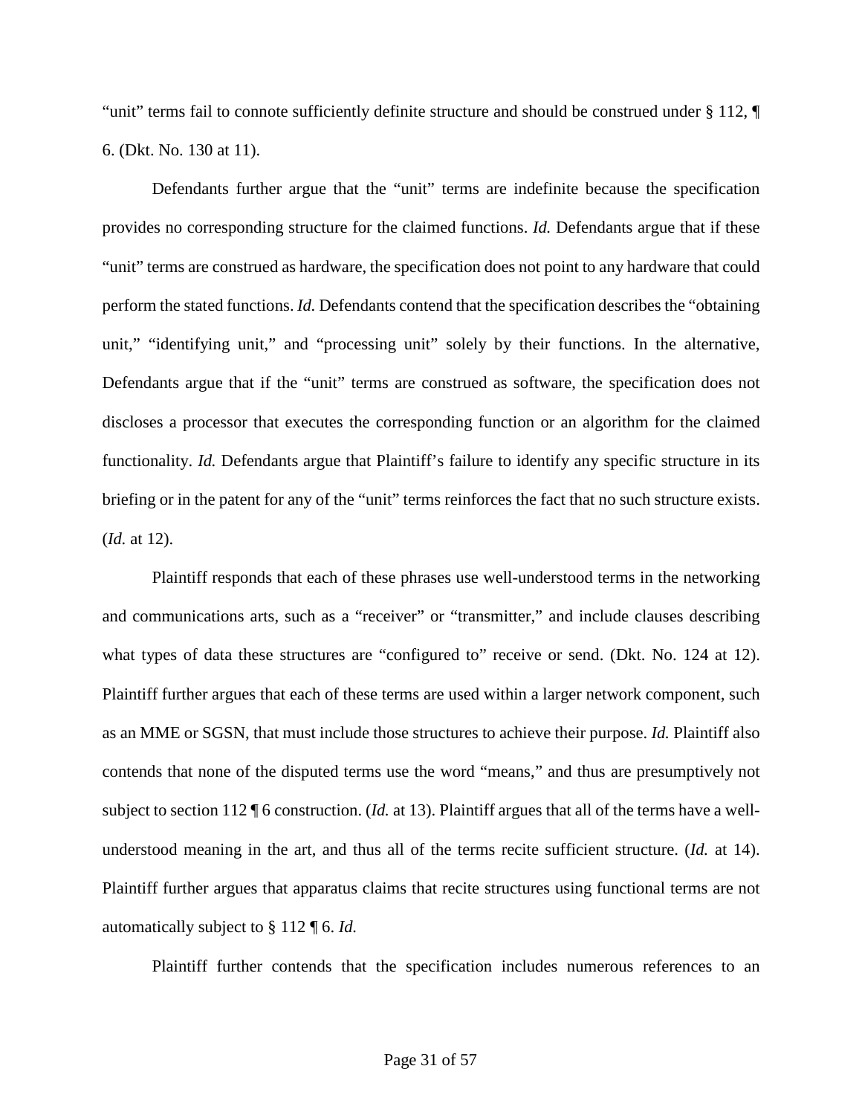"unit" terms fail to connote sufficiently definite structure and should be construed under § 112, ¶ 6. (Dkt. No. 130 at 11).

Defendants further argue that the "unit" terms are indefinite because the specification provides no corresponding structure for the claimed functions. *Id.* Defendants argue that if these "unit" terms are construed as hardware, the specification does not point to any hardware that could perform the stated functions. *Id.* Defendants contend that the specification describes the "obtaining unit," "identifying unit," and "processing unit" solely by their functions. In the alternative, Defendants argue that if the "unit" terms are construed as software, the specification does not discloses a processor that executes the corresponding function or an algorithm for the claimed functionality. *Id.* Defendants argue that Plaintiff's failure to identify any specific structure in its briefing or in the patent for any of the "unit" terms reinforces the fact that no such structure exists. (*Id.* at 12).

Plaintiff responds that each of these phrases use well-understood terms in the networking and communications arts, such as a "receiver" or "transmitter," and include clauses describing what types of data these structures are "configured to" receive or send. (Dkt. No. 124 at 12). Plaintiff further argues that each of these terms are used within a larger network component, such as an MME or SGSN, that must include those structures to achieve their purpose. *Id.* Plaintiff also contends that none of the disputed terms use the word "means," and thus are presumptively not subject to section 112 ¶ 6 construction. (*Id.* at 13). Plaintiff argues that all of the terms have a wellunderstood meaning in the art, and thus all of the terms recite sufficient structure. (*Id.* at 14). Plaintiff further argues that apparatus claims that recite structures using functional terms are not automatically subject to § 112 ¶ 6. *Id.*

Plaintiff further contends that the specification includes numerous references to an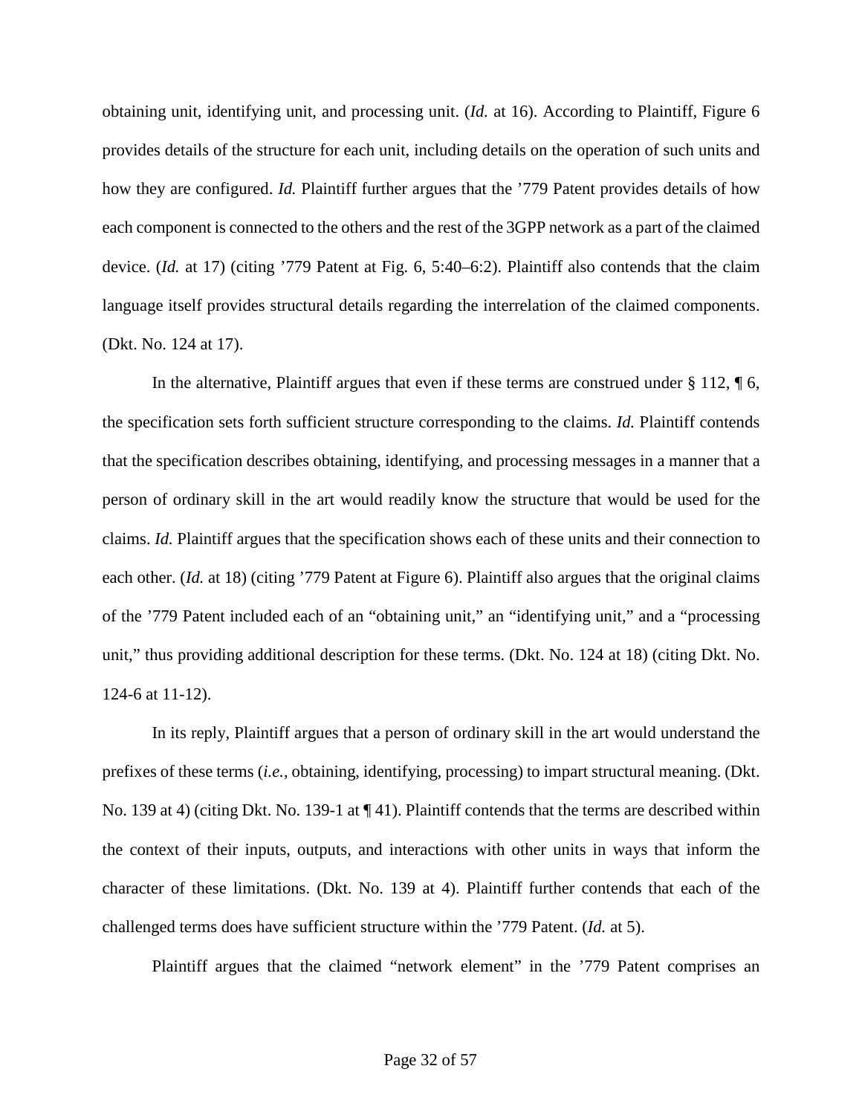obtaining unit, identifying unit, and processing unit. (*Id.* at 16). According to Plaintiff, Figure 6 provides details of the structure for each unit, including details on the operation of such units and how they are configured. *Id.* Plaintiff further argues that the '779 Patent provides details of how each component is connected to the others and the rest of the 3GPP network as a part of the claimed device. (*Id.* at 17) (citing '779 Patent at Fig. 6, 5:40–6:2). Plaintiff also contends that the claim language itself provides structural details regarding the interrelation of the claimed components. (Dkt. No. 124 at 17).

In the alternative, Plaintiff argues that even if these terms are construed under  $\S 112$ ,  $\P 6$ , the specification sets forth sufficient structure corresponding to the claims. *Id.* Plaintiff contends that the specification describes obtaining, identifying, and processing messages in a manner that a person of ordinary skill in the art would readily know the structure that would be used for the claims. *Id.* Plaintiff argues that the specification shows each of these units and their connection to each other. (*Id.* at 18) (citing '779 Patent at Figure 6). Plaintiff also argues that the original claims of the '779 Patent included each of an "obtaining unit," an "identifying unit," and a "processing unit," thus providing additional description for these terms. (Dkt. No. 124 at 18) (citing Dkt. No. 124-6 at 11-12).

In its reply, Plaintiff argues that a person of ordinary skill in the art would understand the prefixes of these terms (*i.e.*, obtaining, identifying, processing) to impart structural meaning. (Dkt. No. 139 at 4) (citing Dkt. No. 139-1 at  $\P$  41). Plaintiff contends that the terms are described within the context of their inputs, outputs, and interactions with other units in ways that inform the character of these limitations. (Dkt. No. 139 at 4). Plaintiff further contends that each of the challenged terms does have sufficient structure within the '779 Patent. (*Id.* at 5).

Plaintiff argues that the claimed "network element" in the '779 Patent comprises an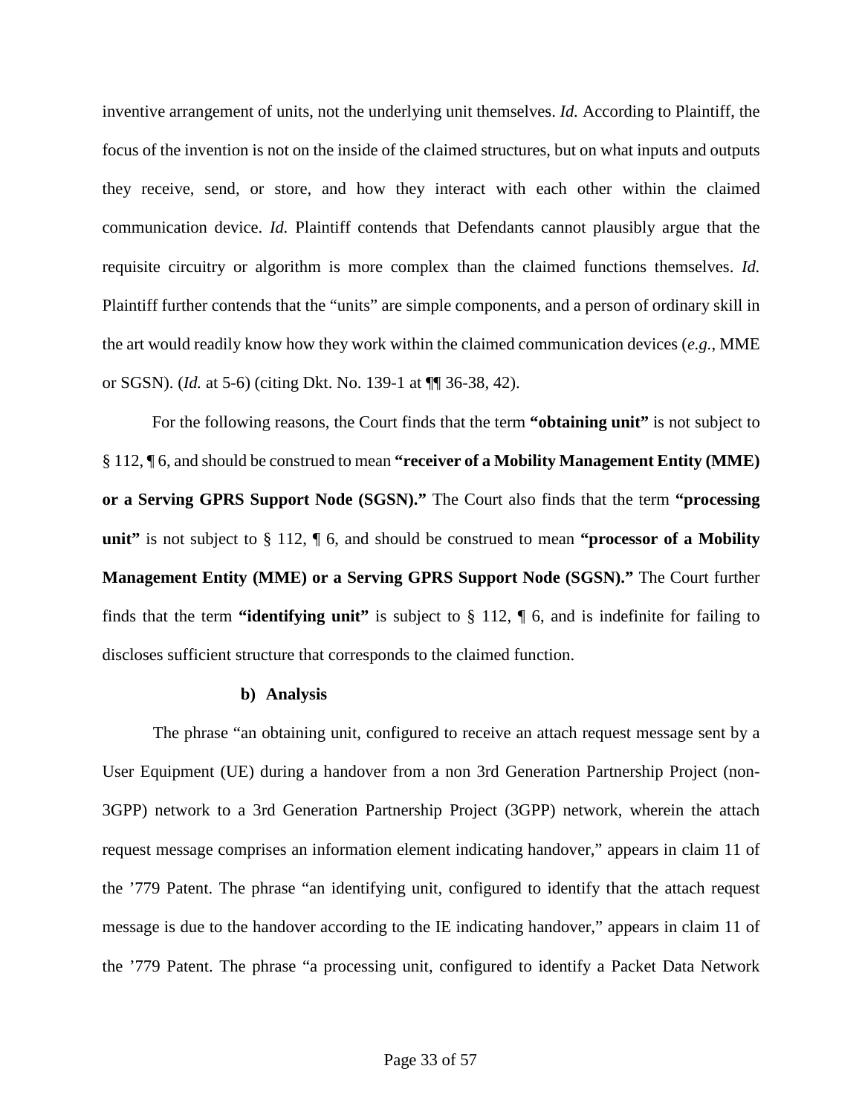inventive arrangement of units, not the underlying unit themselves. *Id.* According to Plaintiff, the focus of the invention is not on the inside of the claimed structures, but on what inputs and outputs they receive, send, or store, and how they interact with each other within the claimed communication device. *Id.* Plaintiff contends that Defendants cannot plausibly argue that the requisite circuitry or algorithm is more complex than the claimed functions themselves. *Id.* Plaintiff further contends that the "units" are simple components, and a person of ordinary skill in the art would readily know how they work within the claimed communication devices (*e.g.*, MME or SGSN). (*Id.* at 5-6) (citing Dkt. No. 139-1 at ¶¶ 36-38, 42).

For the following reasons, the Court finds that the term **"obtaining unit"** is not subject to § 112, ¶ 6, and should be construed to mean **"receiver of a Mobility Management Entity (MME) or a Serving GPRS Support Node (SGSN)."** The Court also finds that the term **"processing unit"** is not subject to § 112, ¶ 6, and should be construed to mean **"processor of a Mobility Management Entity (MME) or a Serving GPRS Support Node (SGSN)."** The Court further finds that the term **"identifying unit"** is subject to § 112, ¶ 6, and is indefinite for failing to discloses sufficient structure that corresponds to the claimed function.

### **b) Analysis**

The phrase "an obtaining unit, configured to receive an attach request message sent by a User Equipment (UE) during a handover from a non 3rd Generation Partnership Project (non-3GPP) network to a 3rd Generation Partnership Project (3GPP) network, wherein the attach request message comprises an information element indicating handover," appears in claim 11 of the '779 Patent. The phrase "an identifying unit, configured to identify that the attach request message is due to the handover according to the IE indicating handover," appears in claim 11 of the '779 Patent. The phrase "a processing unit, configured to identify a Packet Data Network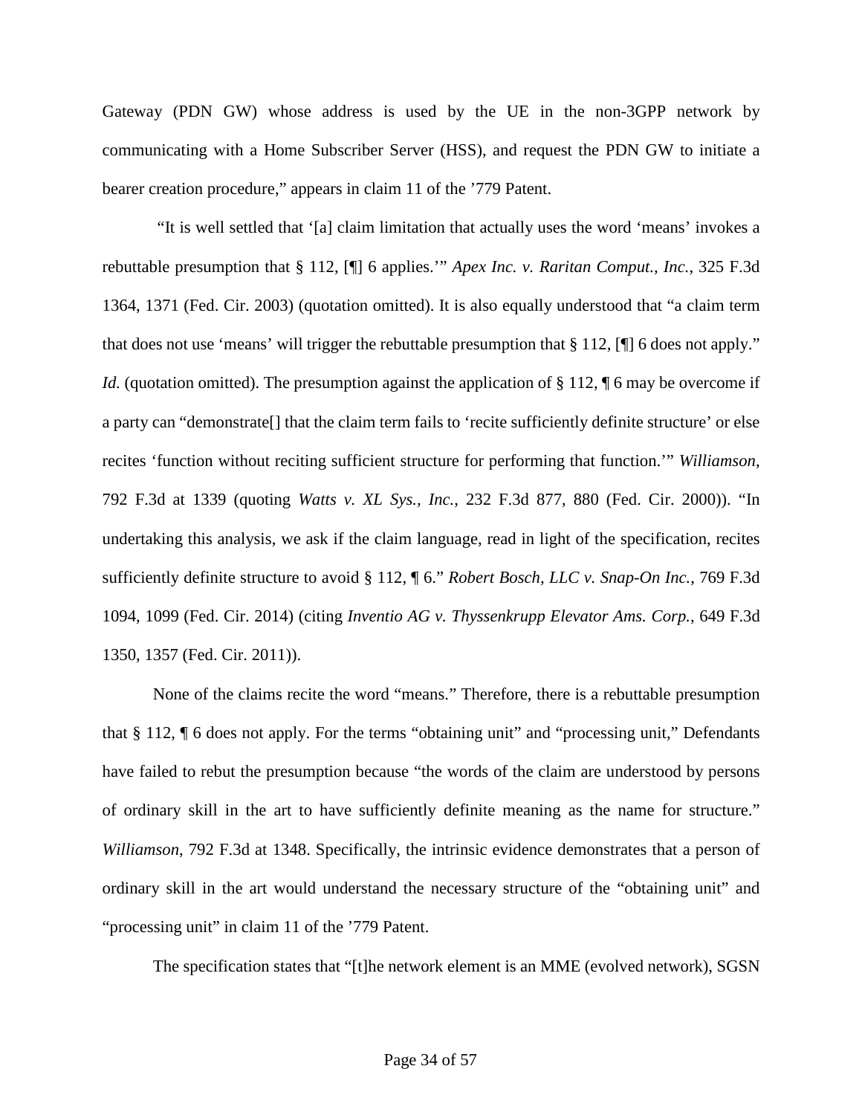Gateway (PDN GW) whose address is used by the UE in the non-3GPP network by communicating with a Home Subscriber Server (HSS), and request the PDN GW to initiate a bearer creation procedure," appears in claim 11 of the '779 Patent.

"It is well settled that '[a] claim limitation that actually uses the word 'means' invokes a rebuttable presumption that § 112, [¶] 6 applies.'" *Apex Inc. v. Raritan Comput., Inc.*, 325 F.3d 1364, 1371 (Fed. Cir. 2003) (quotation omitted). It is also equally understood that "a claim term that does not use 'means' will trigger the rebuttable presumption that § 112, [¶] 6 does not apply." *Id.* (quotation omitted). The presumption against the application of § 112, ¶ 6 may be overcome if a party can "demonstrate[] that the claim term fails to 'recite sufficiently definite structure' or else recites 'function without reciting sufficient structure for performing that function.'" *Williamson*, 792 F.3d at 1339 (quoting *Watts v. XL Sys., Inc.*, 232 F.3d 877, 880 (Fed. Cir. 2000)). "In undertaking this analysis, we ask if the claim language, read in light of the specification, recites sufficiently definite structure to avoid § 112, ¶ 6." *Robert Bosch, LLC v. Snap-On Inc.*, 769 F.3d 1094, 1099 (Fed. Cir. 2014) (citing *Inventio AG v. Thyssenkrupp Elevator Ams. Corp.*, 649 F.3d 1350, 1357 (Fed. Cir. 2011)).

None of the claims recite the word "means." Therefore, there is a rebuttable presumption that § 112, ¶ 6 does not apply. For the terms "obtaining unit" and "processing unit," Defendants have failed to rebut the presumption because "the words of the claim are understood by persons of ordinary skill in the art to have sufficiently definite meaning as the name for structure." *Williamson*, 792 F.3d at 1348. Specifically, the intrinsic evidence demonstrates that a person of ordinary skill in the art would understand the necessary structure of the "obtaining unit" and "processing unit" in claim 11 of the '779 Patent.

The specification states that "[t]he network element is an MME (evolved network), SGSN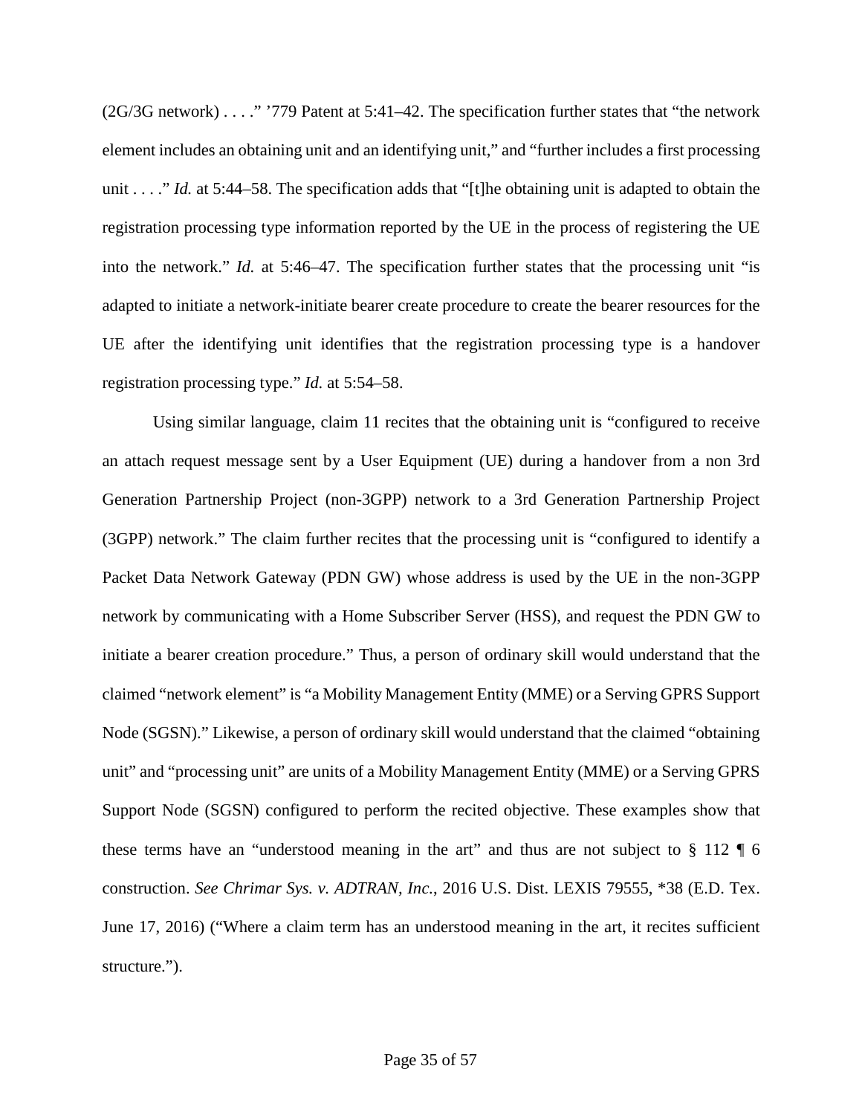(2G/3G network) . . . ." '779 Patent at 5:41–42. The specification further states that "the network element includes an obtaining unit and an identifying unit," and "further includes a first processing unit . . . ." *Id.* at 5:44–58. The specification adds that "[t]he obtaining unit is adapted to obtain the registration processing type information reported by the UE in the process of registering the UE into the network." *Id.* at 5:46–47. The specification further states that the processing unit "is adapted to initiate a network-initiate bearer create procedure to create the bearer resources for the UE after the identifying unit identifies that the registration processing type is a handover registration processing type." *Id.* at 5:54–58.

Using similar language, claim 11 recites that the obtaining unit is "configured to receive an attach request message sent by a User Equipment (UE) during a handover from a non 3rd Generation Partnership Project (non-3GPP) network to a 3rd Generation Partnership Project (3GPP) network." The claim further recites that the processing unit is "configured to identify a Packet Data Network Gateway (PDN GW) whose address is used by the UE in the non-3GPP network by communicating with a Home Subscriber Server (HSS), and request the PDN GW to initiate a bearer creation procedure." Thus, a person of ordinary skill would understand that the claimed "network element" is "a Mobility Management Entity (MME) or a Serving GPRS Support Node (SGSN)." Likewise, a person of ordinary skill would understand that the claimed "obtaining unit" and "processing unit" are units of a Mobility Management Entity (MME) or a Serving GPRS Support Node (SGSN) configured to perform the recited objective. These examples show that these terms have an "understood meaning in the art" and thus are not subject to  $\S 112 \text{ }\mathsf{ }6$ construction. *See Chrimar Sys. v. ADTRAN, Inc.*, 2016 U.S. Dist. LEXIS 79555, \*38 (E.D. Tex. June 17, 2016) ("Where a claim term has an understood meaning in the art, it recites sufficient structure.").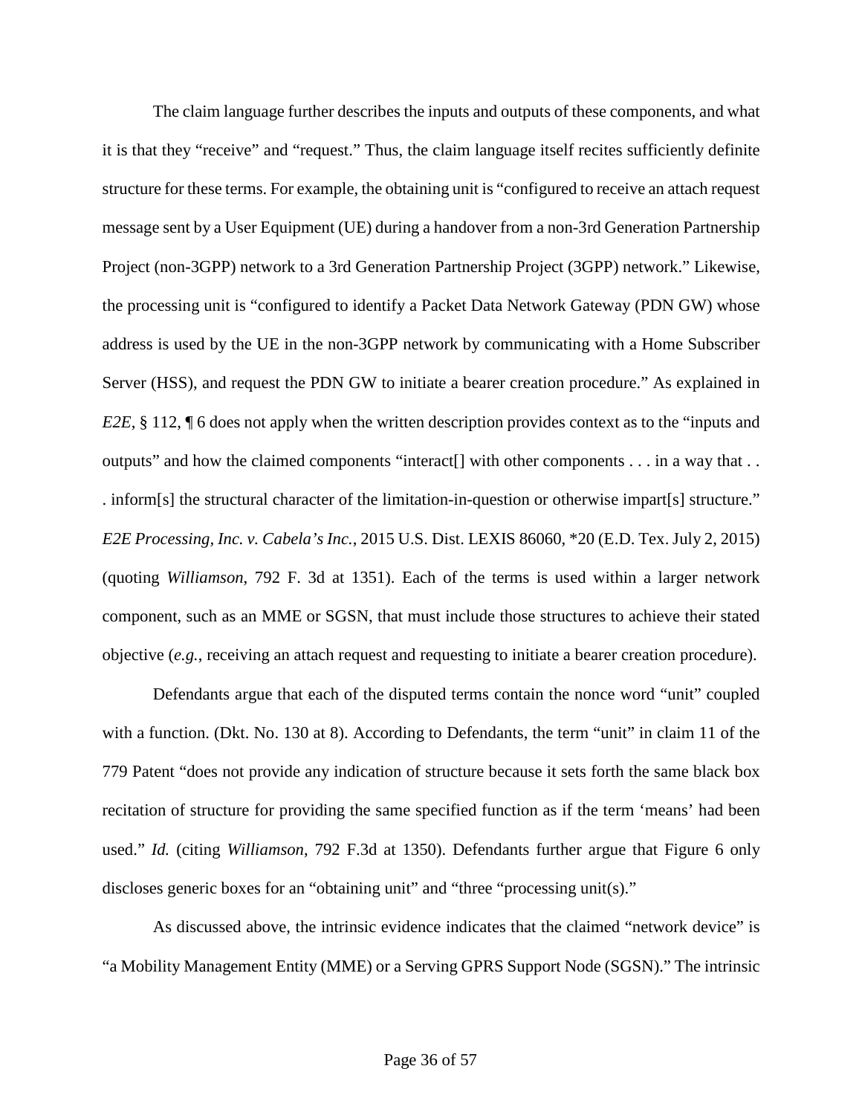The claim language further describes the inputs and outputs of these components, and what it is that they "receive" and "request." Thus, the claim language itself recites sufficiently definite structure for these terms. For example, the obtaining unit is "configured to receive an attach request message sent by a User Equipment (UE) during a handover from a non-3rd Generation Partnership Project (non-3GPP) network to a 3rd Generation Partnership Project (3GPP) network." Likewise, the processing unit is "configured to identify a Packet Data Network Gateway (PDN GW) whose address is used by the UE in the non-3GPP network by communicating with a Home Subscriber Server (HSS), and request the PDN GW to initiate a bearer creation procedure." As explained in *E2E*, § 112, ¶ 6 does not apply when the written description provides context as to the "inputs and outputs" and how the claimed components "interact[] with other components . . . in a way that . . . inform[s] the structural character of the limitation-in-question or otherwise impart[s] structure." *E2E Processing, Inc. v. Cabela's Inc.*, 2015 U.S. Dist. LEXIS 86060, \*20 (E.D. Tex. July 2, 2015) (quoting *Williamson*, 792 F. 3d at 1351). Each of the terms is used within a larger network component, such as an MME or SGSN, that must include those structures to achieve their stated objective (*e.g.*, receiving an attach request and requesting to initiate a bearer creation procedure).

Defendants argue that each of the disputed terms contain the nonce word "unit" coupled with a function. (Dkt. No. 130 at 8). According to Defendants, the term "unit" in claim 11 of the 779 Patent "does not provide any indication of structure because it sets forth the same black box recitation of structure for providing the same specified function as if the term 'means' had been used." *Id.* (citing *Williamson*, 792 F.3d at 1350). Defendants further argue that Figure 6 only discloses generic boxes for an "obtaining unit" and "three "processing unit(s)."

As discussed above, the intrinsic evidence indicates that the claimed "network device" is "a Mobility Management Entity (MME) or a Serving GPRS Support Node (SGSN)." The intrinsic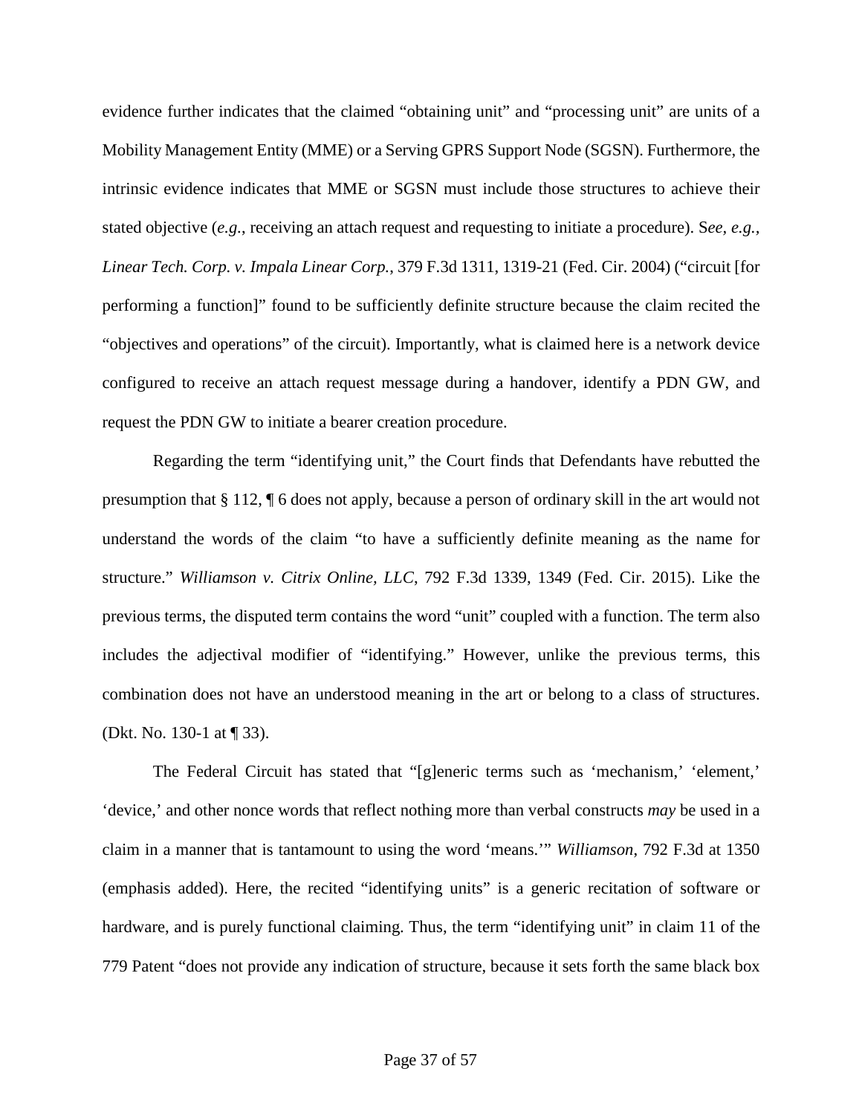evidence further indicates that the claimed "obtaining unit" and "processing unit" are units of a Mobility Management Entity (MME) or a Serving GPRS Support Node (SGSN). Furthermore, the intrinsic evidence indicates that MME or SGSN must include those structures to achieve their stated objective (*e.g.*, receiving an attach request and requesting to initiate a procedure). S*ee, e.g., Linear Tech. Corp. v. Impala Linear Corp.*, 379 F.3d 1311, 1319-21 (Fed. Cir. 2004) ("circuit [for performing a function]" found to be sufficiently definite structure because the claim recited the "objectives and operations" of the circuit). Importantly, what is claimed here is a network device configured to receive an attach request message during a handover, identify a PDN GW, and request the PDN GW to initiate a bearer creation procedure.

Regarding the term "identifying unit," the Court finds that Defendants have rebutted the presumption that § 112, ¶ 6 does not apply, because a person of ordinary skill in the art would not understand the words of the claim "to have a sufficiently definite meaning as the name for structure." *Williamson v. Citrix Online, LLC*, 792 F.3d 1339, 1349 (Fed. Cir. 2015). Like the previous terms, the disputed term contains the word "unit" coupled with a function. The term also includes the adjectival modifier of "identifying." However, unlike the previous terms, this combination does not have an understood meaning in the art or belong to a class of structures. (Dkt. No. 130-1 at ¶ 33).

The Federal Circuit has stated that "[g]eneric terms such as 'mechanism,' 'element,' 'device,' and other nonce words that reflect nothing more than verbal constructs *may* be used in a claim in a manner that is tantamount to using the word 'means.'" *Williamson*, 792 F.3d at 1350 (emphasis added). Here, the recited "identifying units" is a generic recitation of software or hardware, and is purely functional claiming. Thus, the term "identifying unit" in claim 11 of the 779 Patent "does not provide any indication of structure, because it sets forth the same black box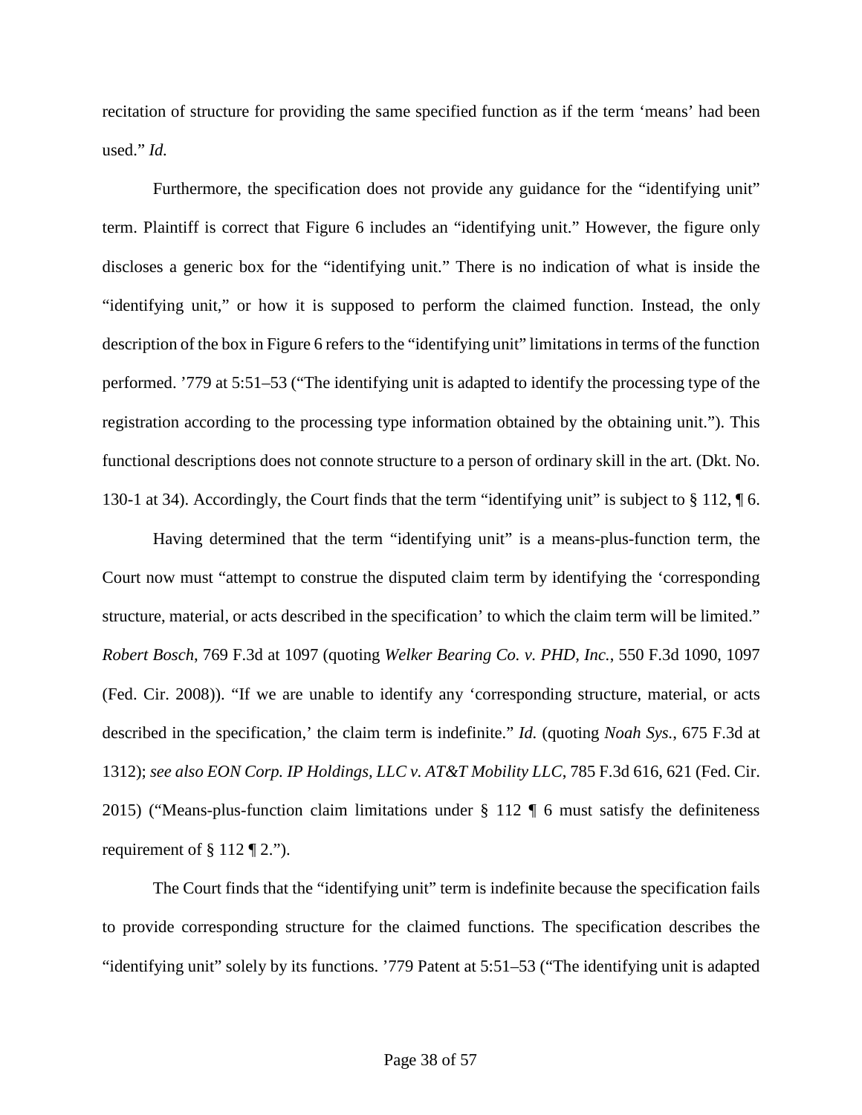recitation of structure for providing the same specified function as if the term 'means' had been used." *Id.* 

Furthermore, the specification does not provide any guidance for the "identifying unit" term. Plaintiff is correct that Figure 6 includes an "identifying unit." However, the figure only discloses a generic box for the "identifying unit." There is no indication of what is inside the "identifying unit," or how it is supposed to perform the claimed function. Instead, the only description of the box in Figure 6 refers to the "identifying unit" limitations in terms of the function performed. '779 at 5:51–53 ("The identifying unit is adapted to identify the processing type of the registration according to the processing type information obtained by the obtaining unit."). This functional descriptions does not connote structure to a person of ordinary skill in the art. (Dkt. No. 130-1 at 34). Accordingly, the Court finds that the term "identifying unit" is subject to § 112, ¶ 6.

Having determined that the term "identifying unit" is a means-plus-function term, the Court now must "attempt to construe the disputed claim term by identifying the 'corresponding structure, material, or acts described in the specification' to which the claim term will be limited." *Robert Bosch*, 769 F.3d at 1097 (quoting *Welker Bearing Co. v. PHD, Inc.*, 550 F.3d 1090, 1097 (Fed. Cir. 2008)). "If we are unable to identify any 'corresponding structure, material, or acts described in the specification,' the claim term is indefinite." *Id.* (quoting *Noah Sys.*, 675 F.3d at 1312); *see also EON Corp. IP Holdings, LLC v. AT&T Mobility LLC*, 785 F.3d 616, 621 (Fed. Cir. 2015) ("Means-plus-function claim limitations under  $\S 112 \text{ T}$  6 must satisfy the definiteness requirement of  $\S 112 \text{ T2}$ .").

The Court finds that the "identifying unit" term is indefinite because the specification fails to provide corresponding structure for the claimed functions. The specification describes the "identifying unit" solely by its functions. '779 Patent at 5:51–53 ("The identifying unit is adapted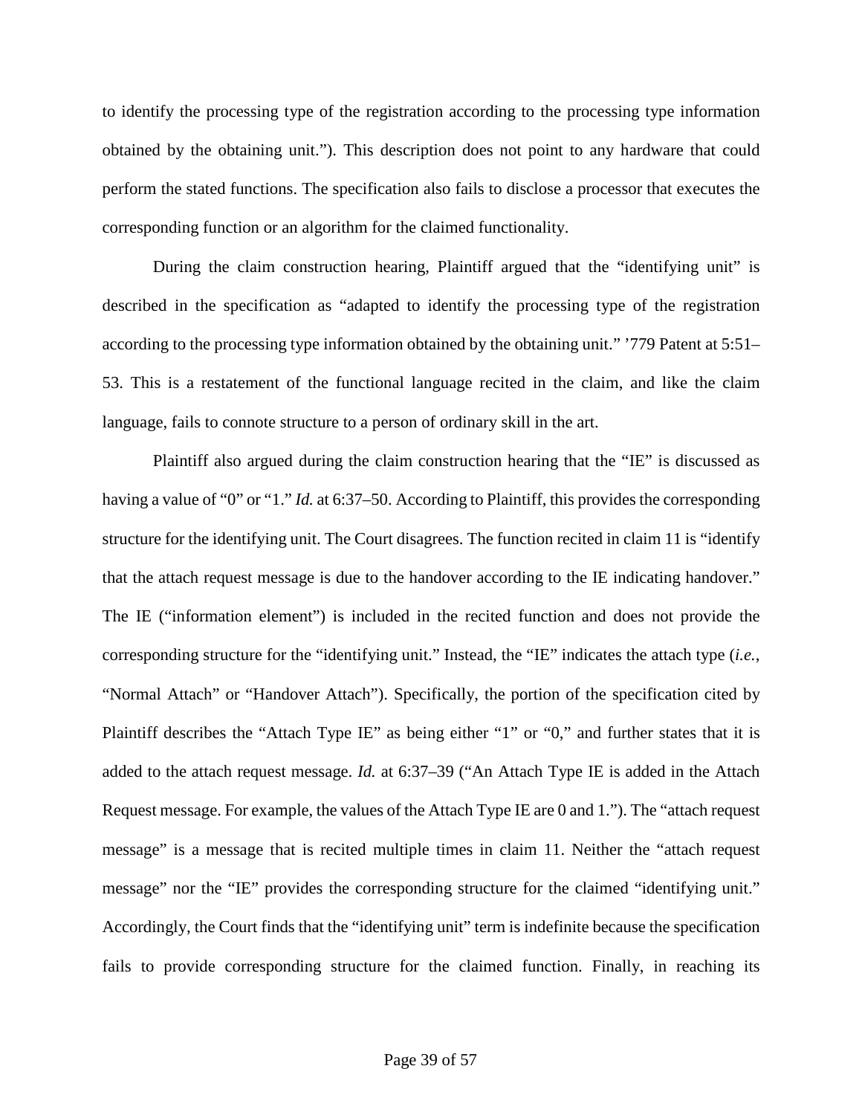to identify the processing type of the registration according to the processing type information obtained by the obtaining unit."). This description does not point to any hardware that could perform the stated functions. The specification also fails to disclose a processor that executes the corresponding function or an algorithm for the claimed functionality.

During the claim construction hearing, Plaintiff argued that the "identifying unit" is described in the specification as "adapted to identify the processing type of the registration according to the processing type information obtained by the obtaining unit." '779 Patent at 5:51– 53. This is a restatement of the functional language recited in the claim, and like the claim language, fails to connote structure to a person of ordinary skill in the art.

Plaintiff also argued during the claim construction hearing that the "IE" is discussed as having a value of "0" or "1." *Id.* at 6:37–50. According to Plaintiff, this provides the corresponding structure for the identifying unit. The Court disagrees. The function recited in claim 11 is "identify that the attach request message is due to the handover according to the IE indicating handover." The IE ("information element") is included in the recited function and does not provide the corresponding structure for the "identifying unit." Instead, the "IE" indicates the attach type (*i.e.*, "Normal Attach" or "Handover Attach"). Specifically, the portion of the specification cited by Plaintiff describes the "Attach Type IE" as being either "1" or "0," and further states that it is added to the attach request message. *Id.* at 6:37–39 ("An Attach Type IE is added in the Attach Request message. For example, the values of the Attach Type IE are 0 and 1."). The "attach request message" is a message that is recited multiple times in claim 11. Neither the "attach request message" nor the "IE" provides the corresponding structure for the claimed "identifying unit." Accordingly, the Court finds that the "identifying unit" term is indefinite because the specification fails to provide corresponding structure for the claimed function. Finally, in reaching its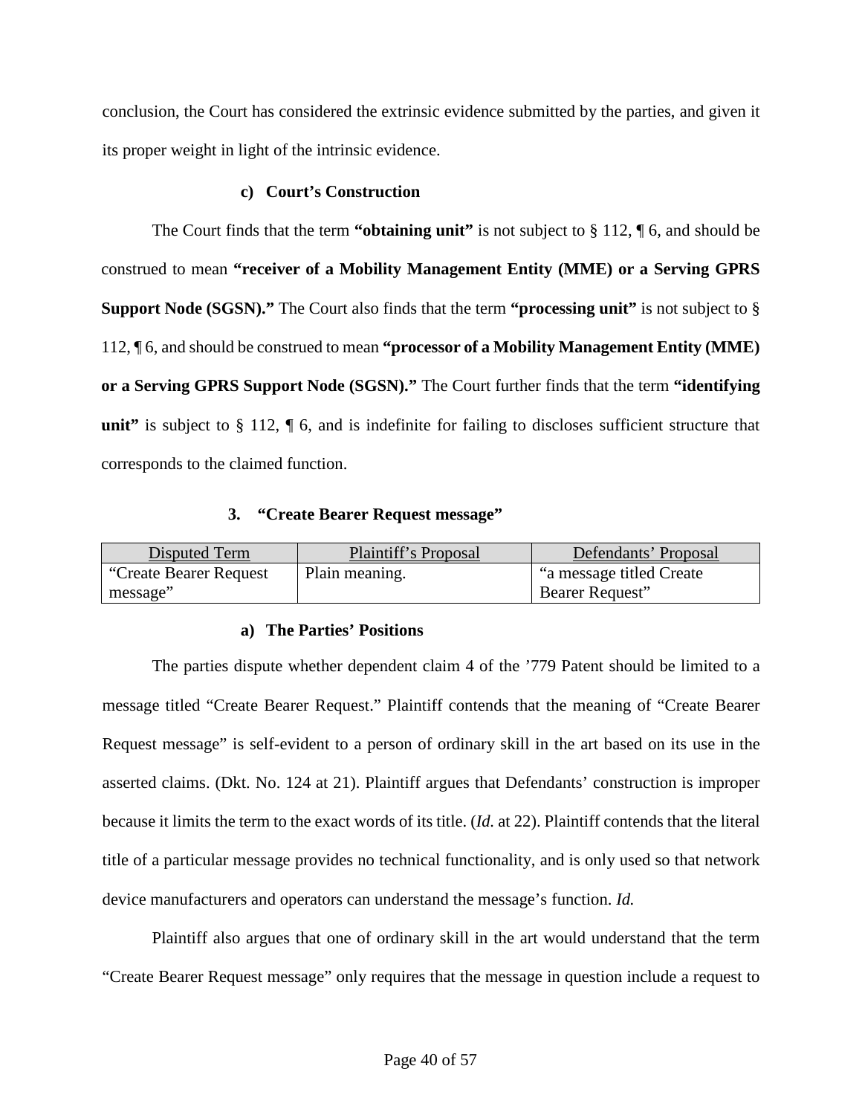conclusion, the Court has considered the extrinsic evidence submitted by the parties, and given it its proper weight in light of the intrinsic evidence.

### **c) Court's Construction**

The Court finds that the term **"obtaining unit"** is not subject to § 112, ¶ 6, and should be construed to mean **"receiver of a Mobility Management Entity (MME) or a Serving GPRS Support Node (SGSN)."** The Court also finds that the term **"processing unit"** is not subject to § 112, ¶ 6, and should be construed to mean **"processor of a Mobility Management Entity (MME) or a Serving GPRS Support Node (SGSN)."** The Court further finds that the term **"identifying**  unit" is subject to  $\S 112$ ,  $\P 6$ , and is indefinite for failing to discloses sufficient structure that corresponds to the claimed function.

# <span id="page-39-0"></span>**3. "Create Bearer Request message"**

| Disputed Term           | Plaintiff's Proposal | Defendants' Proposal      |
|-------------------------|----------------------|---------------------------|
| "Create Bearer Request" | Plain meaning.       | "a message titled Create" |
| message"                |                      | Bearer Request"           |

### **a) The Parties' Positions**

The parties dispute whether dependent claim 4 of the '779 Patent should be limited to a message titled "Create Bearer Request." Plaintiff contends that the meaning of "Create Bearer Request message" is self-evident to a person of ordinary skill in the art based on its use in the asserted claims. (Dkt. No. 124 at 21). Plaintiff argues that Defendants' construction is improper because it limits the term to the exact words of its title. (*Id.* at 22). Plaintiff contends that the literal title of a particular message provides no technical functionality, and is only used so that network device manufacturers and operators can understand the message's function. *Id.*

Plaintiff also argues that one of ordinary skill in the art would understand that the term "Create Bearer Request message" only requires that the message in question include a request to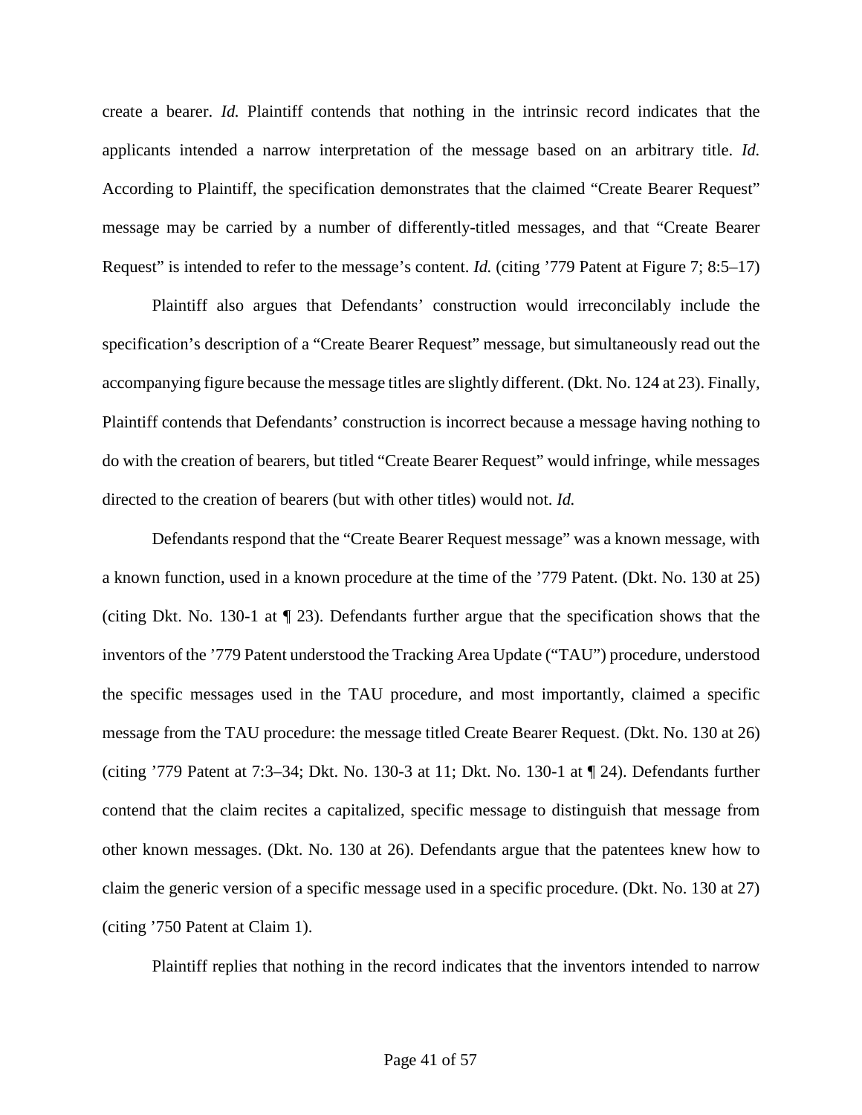create a bearer. *Id.* Plaintiff contends that nothing in the intrinsic record indicates that the applicants intended a narrow interpretation of the message based on an arbitrary title. *Id.* According to Plaintiff, the specification demonstrates that the claimed "Create Bearer Request" message may be carried by a number of differently-titled messages, and that "Create Bearer Request" is intended to refer to the message's content. *Id.* (citing '779 Patent at Figure 7; 8:5–17)

Plaintiff also argues that Defendants' construction would irreconcilably include the specification's description of a "Create Bearer Request" message, but simultaneously read out the accompanying figure because the message titles are slightly different. (Dkt. No. 124 at 23). Finally, Plaintiff contends that Defendants' construction is incorrect because a message having nothing to do with the creation of bearers, but titled "Create Bearer Request" would infringe, while messages directed to the creation of bearers (but with other titles) would not. *Id.*

Defendants respond that the "Create Bearer Request message" was a known message, with a known function, used in a known procedure at the time of the '779 Patent. (Dkt. No. 130 at 25) (citing Dkt. No. 130-1 at ¶ 23). Defendants further argue that the specification shows that the inventors of the '779 Patent understood the Tracking Area Update ("TAU") procedure, understood the specific messages used in the TAU procedure, and most importantly, claimed a specific message from the TAU procedure: the message titled Create Bearer Request. (Dkt. No. 130 at 26) (citing '779 Patent at 7:3–34; Dkt. No. 130-3 at 11; Dkt. No. 130-1 at ¶ 24). Defendants further contend that the claim recites a capitalized, specific message to distinguish that message from other known messages. (Dkt. No. 130 at 26). Defendants argue that the patentees knew how to claim the generic version of a specific message used in a specific procedure. (Dkt. No. 130 at 27) (citing '750 Patent at Claim 1).

Plaintiff replies that nothing in the record indicates that the inventors intended to narrow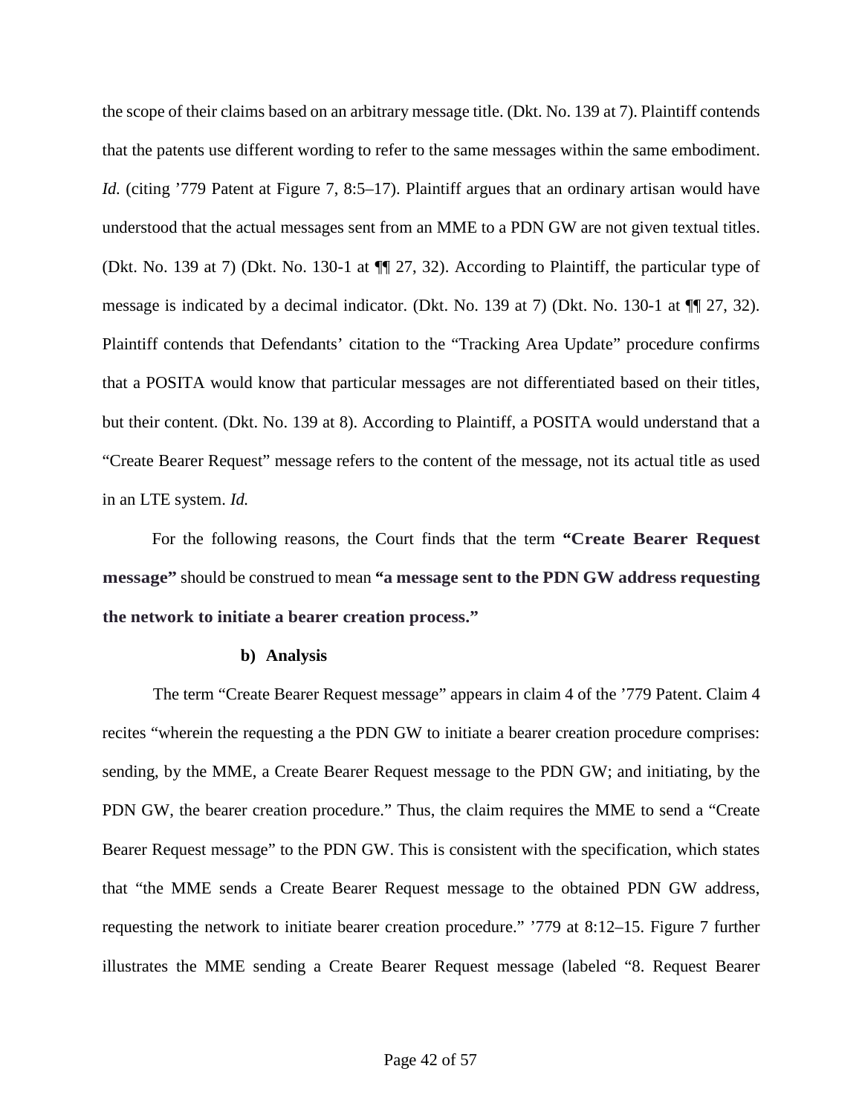the scope of their claims based on an arbitrary message title. (Dkt. No. 139 at 7). Plaintiff contends that the patents use different wording to refer to the same messages within the same embodiment. *Id.* (citing '779 Patent at Figure 7, 8:5–17). Plaintiff argues that an ordinary artisan would have understood that the actual messages sent from an MME to a PDN GW are not given textual titles. (Dkt. No. 139 at 7) (Dkt. No. 130-1 at ¶¶ 27, 32). According to Plaintiff, the particular type of message is indicated by a decimal indicator. (Dkt. No. 139 at 7) (Dkt. No. 130-1 at ¶¶ 27, 32). Plaintiff contends that Defendants' citation to the "Tracking Area Update" procedure confirms that a POSITA would know that particular messages are not differentiated based on their titles, but their content. (Dkt. No. 139 at 8). According to Plaintiff, a POSITA would understand that a "Create Bearer Request" message refers to the content of the message, not its actual title as used in an LTE system. *Id.*

For the following reasons, the Court finds that the term **"Create Bearer Request message"** should be construed to mean **"a message sent to the PDN GW address requesting the network to initiate a bearer creation process."**

#### **b) Analysis**

The term "Create Bearer Request message" appears in claim 4 of the '779 Patent. Claim 4 recites "wherein the requesting a the PDN GW to initiate a bearer creation procedure comprises: sending, by the MME, a Create Bearer Request message to the PDN GW; and initiating, by the PDN GW, the bearer creation procedure." Thus, the claim requires the MME to send a "Create Bearer Request message" to the PDN GW. This is consistent with the specification, which states that "the MME sends a Create Bearer Request message to the obtained PDN GW address, requesting the network to initiate bearer creation procedure." '779 at 8:12–15. Figure 7 further illustrates the MME sending a Create Bearer Request message (labeled "8. Request Bearer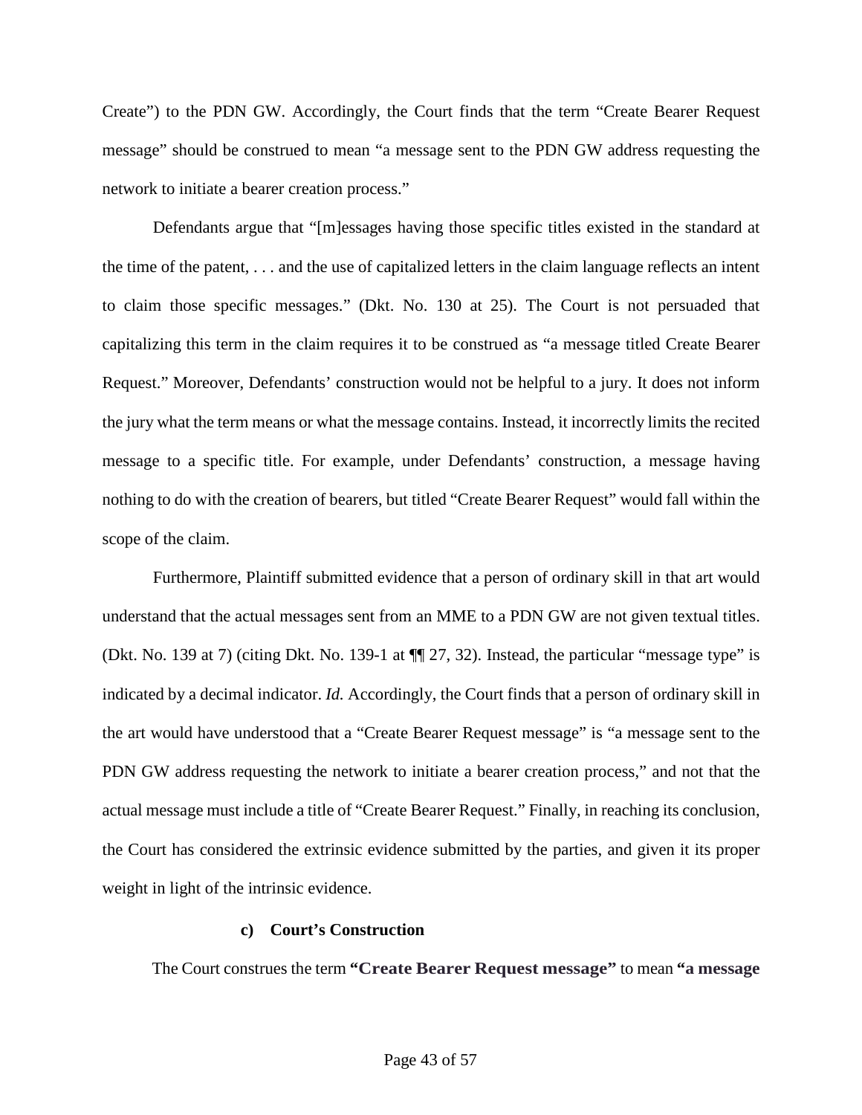Create") to the PDN GW. Accordingly, the Court finds that the term "Create Bearer Request message" should be construed to mean "a message sent to the PDN GW address requesting the network to initiate a bearer creation process."

Defendants argue that "[m]essages having those specific titles existed in the standard at the time of the patent, . . . and the use of capitalized letters in the claim language reflects an intent to claim those specific messages." (Dkt. No. 130 at 25). The Court is not persuaded that capitalizing this term in the claim requires it to be construed as "a message titled Create Bearer Request." Moreover, Defendants' construction would not be helpful to a jury. It does not inform the jury what the term means or what the message contains. Instead, it incorrectly limits the recited message to a specific title. For example, under Defendants' construction, a message having nothing to do with the creation of bearers, but titled "Create Bearer Request" would fall within the scope of the claim.

Furthermore, Plaintiff submitted evidence that a person of ordinary skill in that art would understand that the actual messages sent from an MME to a PDN GW are not given textual titles. (Dkt. No. 139 at 7) (citing Dkt. No. 139-1 at ¶¶ 27, 32). Instead, the particular "message type" is indicated by a decimal indicator. *Id.* Accordingly, the Court finds that a person of ordinary skill in the art would have understood that a "Create Bearer Request message" is "a message sent to the PDN GW address requesting the network to initiate a bearer creation process," and not that the actual message must include a title of "Create Bearer Request." Finally, in reaching its conclusion, the Court has considered the extrinsic evidence submitted by the parties, and given it its proper weight in light of the intrinsic evidence.

### **c) Court's Construction**

The Court construes the term **"Create Bearer Request message"** to mean **"a message**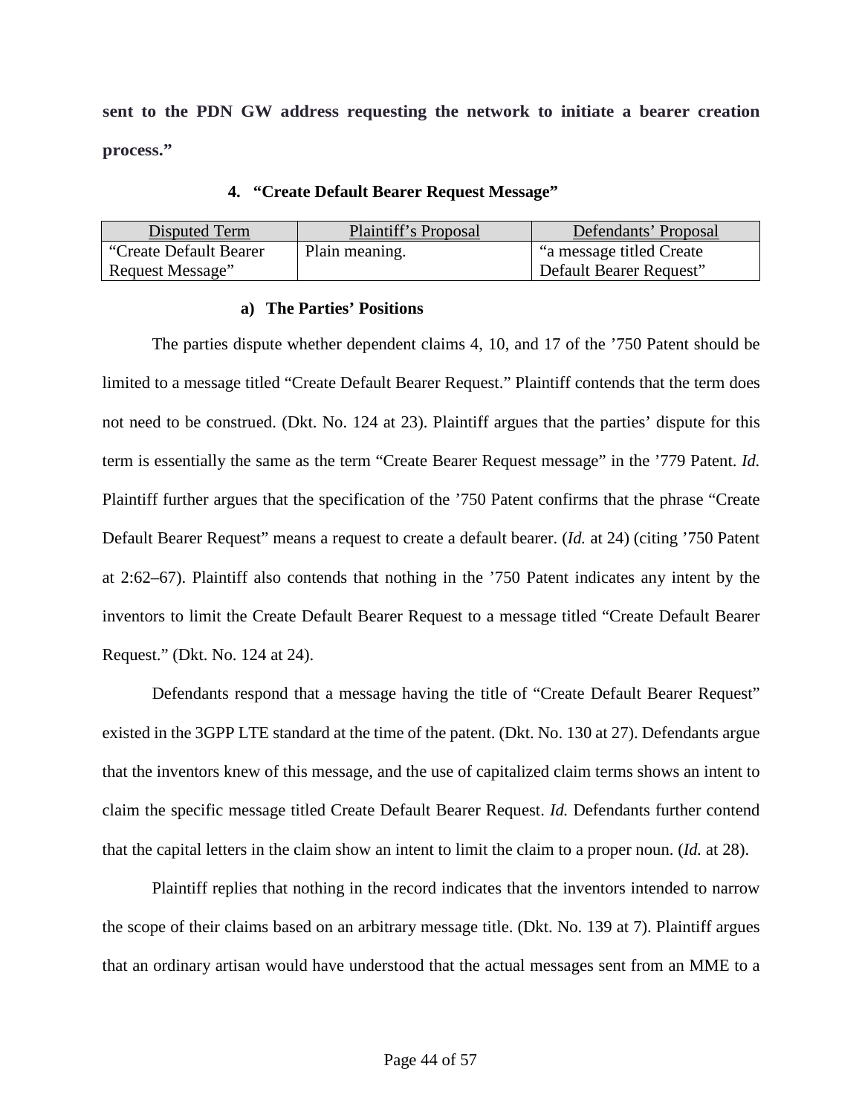**sent to the PDN GW address requesting the network to initiate a bearer creation process."**

# **4. "Create Default Bearer Request Message"**

<span id="page-43-0"></span>

| Disputed Term           | Plaintiff's Proposal | Defendants' Proposal      |
|-------------------------|----------------------|---------------------------|
| "Create Default Bearer" | Plain meaning.       | "a message titled Create" |
| Request Message"        |                      | Default Bearer Request"   |

### **a) The Parties' Positions**

The parties dispute whether dependent claims 4, 10, and 17 of the '750 Patent should be limited to a message titled "Create Default Bearer Request." Plaintiff contends that the term does not need to be construed. (Dkt. No. 124 at 23). Plaintiff argues that the parties' dispute for this term is essentially the same as the term "Create Bearer Request message" in the '779 Patent. *Id.* Plaintiff further argues that the specification of the '750 Patent confirms that the phrase "Create Default Bearer Request" means a request to create a default bearer. (*Id.* at 24) (citing '750 Patent at 2:62–67). Plaintiff also contends that nothing in the '750 Patent indicates any intent by the inventors to limit the Create Default Bearer Request to a message titled "Create Default Bearer Request." (Dkt. No. 124 at 24).

Defendants respond that a message having the title of "Create Default Bearer Request" existed in the 3GPP LTE standard at the time of the patent. (Dkt. No. 130 at 27). Defendants argue that the inventors knew of this message, and the use of capitalized claim terms shows an intent to claim the specific message titled Create Default Bearer Request. *Id.* Defendants further contend that the capital letters in the claim show an intent to limit the claim to a proper noun. (*Id.* at 28).

Plaintiff replies that nothing in the record indicates that the inventors intended to narrow the scope of their claims based on an arbitrary message title. (Dkt. No. 139 at 7). Plaintiff argues that an ordinary artisan would have understood that the actual messages sent from an MME to a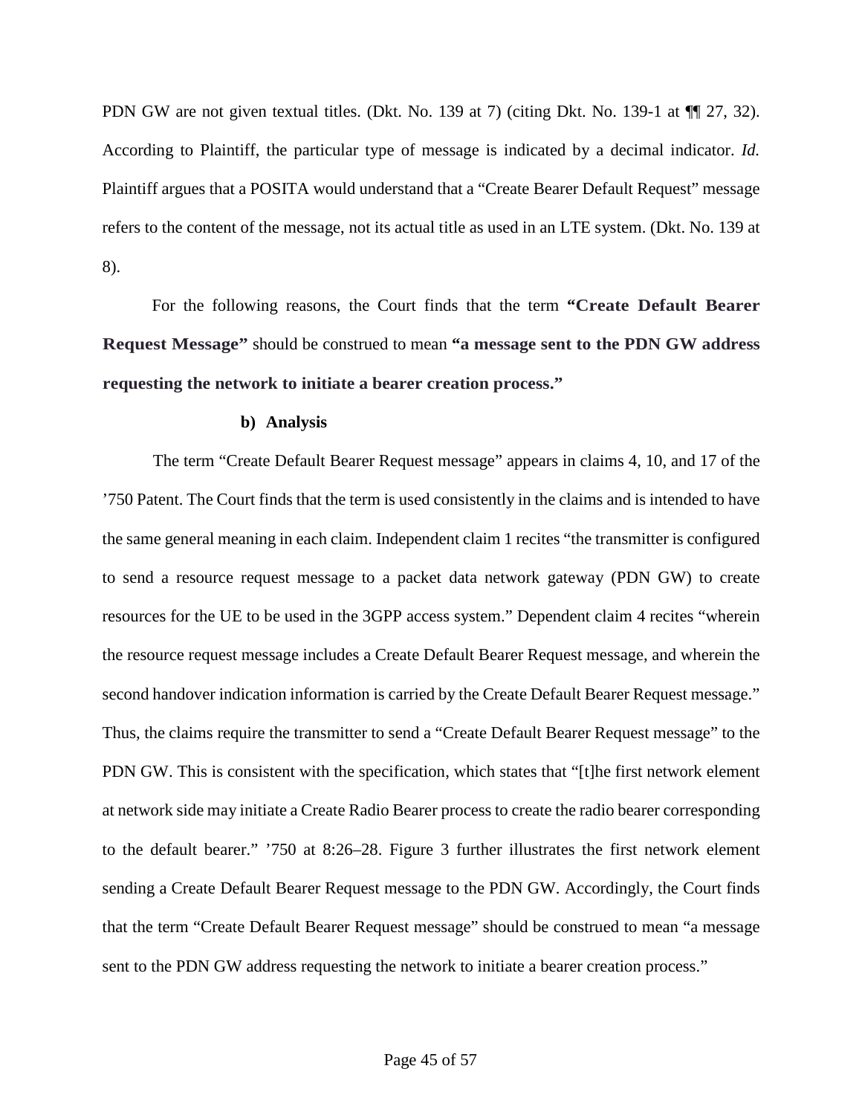PDN GW are not given textual titles. (Dkt. No. 139 at 7) (citing Dkt. No. 139-1 at ¶¶ 27, 32). According to Plaintiff, the particular type of message is indicated by a decimal indicator. *Id.* Plaintiff argues that a POSITA would understand that a "Create Bearer Default Request" message refers to the content of the message, not its actual title as used in an LTE system. (Dkt. No. 139 at 8).

For the following reasons, the Court finds that the term **"Create Default Bearer Request Message"** should be construed to mean **"a message sent to the PDN GW address requesting the network to initiate a bearer creation process."**

### **b) Analysis**

The term "Create Default Bearer Request message" appears in claims 4, 10, and 17 of the '750 Patent. The Court finds that the term is used consistently in the claims and is intended to have the same general meaning in each claim. Independent claim 1 recites "the transmitter is configured to send a resource request message to a packet data network gateway (PDN GW) to create resources for the UE to be used in the 3GPP access system." Dependent claim 4 recites "wherein the resource request message includes a Create Default Bearer Request message, and wherein the second handover indication information is carried by the Create Default Bearer Request message." Thus, the claims require the transmitter to send a "Create Default Bearer Request message" to the PDN GW. This is consistent with the specification, which states that "[t]he first network element at network side may initiate a Create Radio Bearer process to create the radio bearer corresponding to the default bearer." '750 at 8:26–28. Figure 3 further illustrates the first network element sending a Create Default Bearer Request message to the PDN GW. Accordingly, the Court finds that the term "Create Default Bearer Request message" should be construed to mean "a message sent to the PDN GW address requesting the network to initiate a bearer creation process."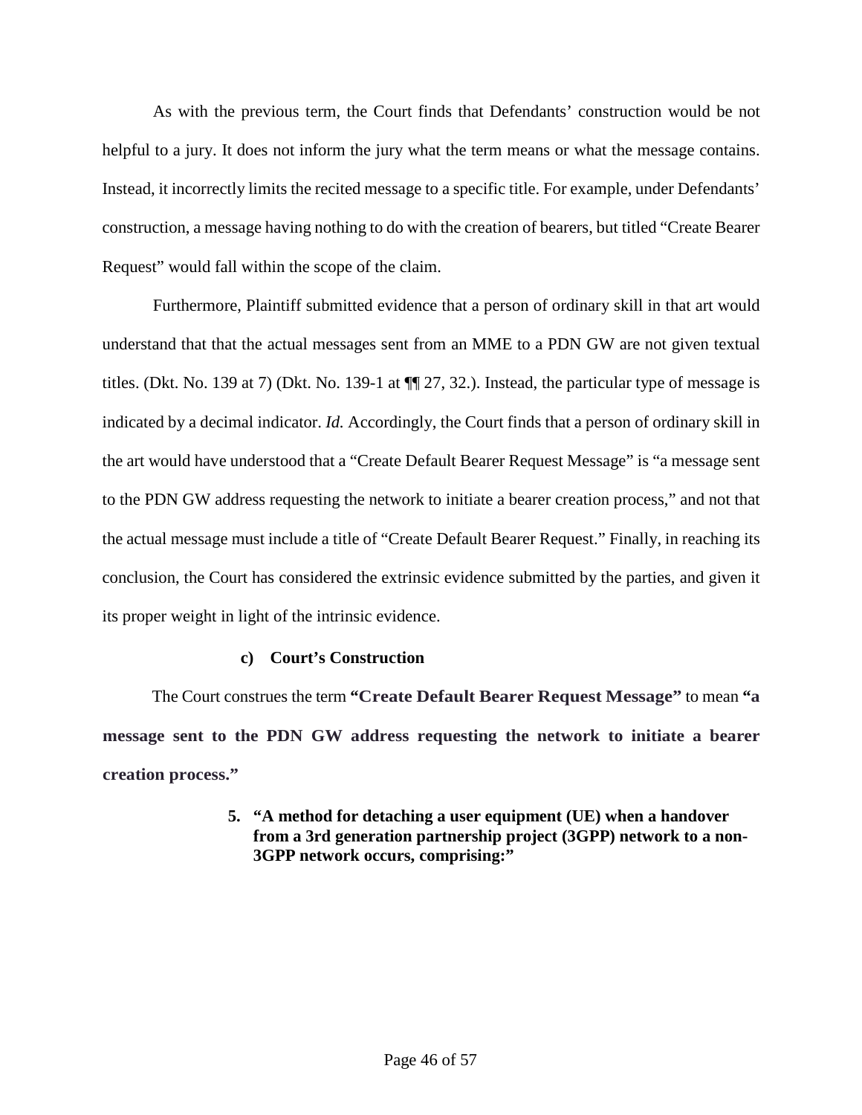As with the previous term, the Court finds that Defendants' construction would be not helpful to a jury. It does not inform the jury what the term means or what the message contains. Instead, it incorrectly limits the recited message to a specific title. For example, under Defendants' construction, a message having nothing to do with the creation of bearers, but titled "Create Bearer Request" would fall within the scope of the claim.

Furthermore, Plaintiff submitted evidence that a person of ordinary skill in that art would understand that that the actual messages sent from an MME to a PDN GW are not given textual titles. (Dkt. No. 139 at 7) (Dkt. No. 139-1 at ¶¶ 27, 32.). Instead, the particular type of message is indicated by a decimal indicator. *Id.* Accordingly, the Court finds that a person of ordinary skill in the art would have understood that a "Create Default Bearer Request Message" is "a message sent to the PDN GW address requesting the network to initiate a bearer creation process," and not that the actual message must include a title of "Create Default Bearer Request." Finally, in reaching its conclusion, the Court has considered the extrinsic evidence submitted by the parties, and given it its proper weight in light of the intrinsic evidence.

### **c) Court's Construction**

<span id="page-45-0"></span>The Court construes the term **"Create Default Bearer Request Message"** to mean **"a message sent to the PDN GW address requesting the network to initiate a bearer creation process."**

> **5. "A method for detaching a user equipment (UE) when a handover from a 3rd generation partnership project (3GPP) network to a non-3GPP network occurs, comprising:"**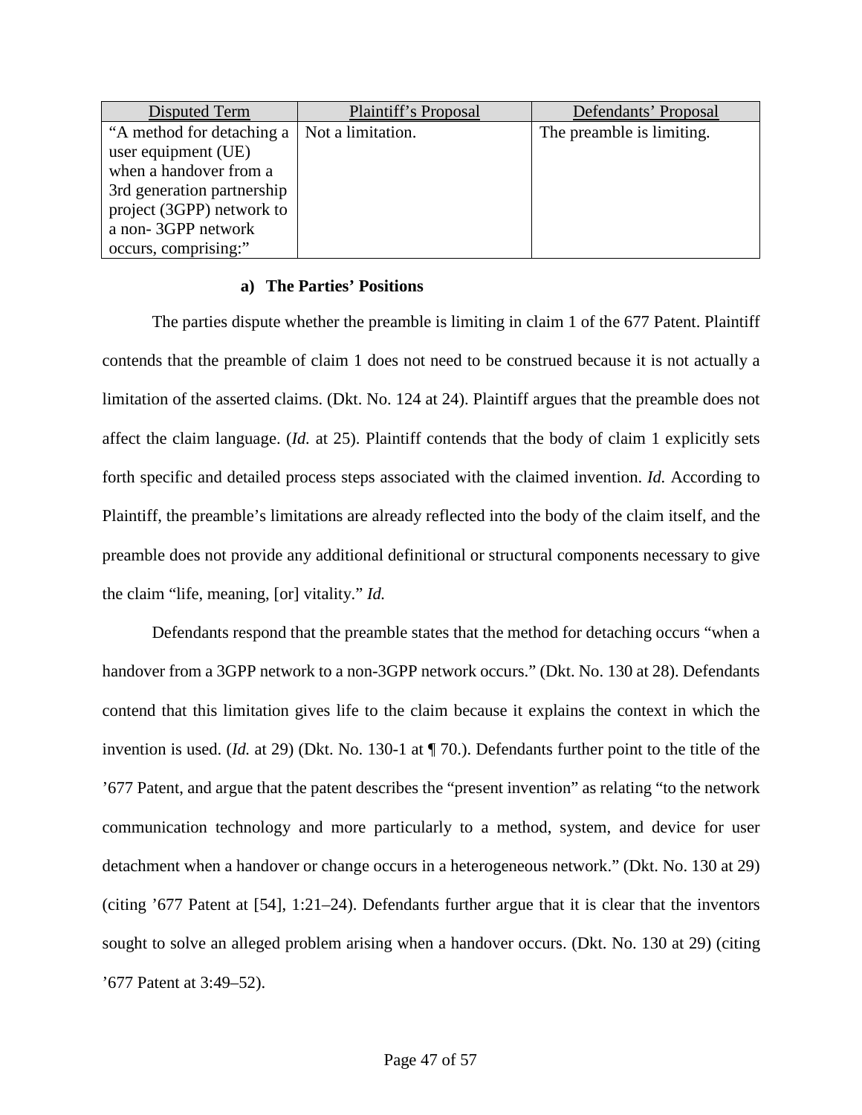| Disputed Term              | Plaintiff's Proposal | Defendants' Proposal      |
|----------------------------|----------------------|---------------------------|
| "A method for detaching a  | Not a limitation.    | The preamble is limiting. |
| user equipment (UE)        |                      |                           |
| when a handover from a     |                      |                           |
| 3rd generation partnership |                      |                           |
| project (3GPP) network to  |                      |                           |
| a non-3GPP network         |                      |                           |
| occurs, comprising:"       |                      |                           |

### **a) The Parties' Positions**

The parties dispute whether the preamble is limiting in claim 1 of the 677 Patent. Plaintiff contends that the preamble of claim 1 does not need to be construed because it is not actually a limitation of the asserted claims. (Dkt. No. 124 at 24). Plaintiff argues that the preamble does not affect the claim language. (*Id.* at 25). Plaintiff contends that the body of claim 1 explicitly sets forth specific and detailed process steps associated with the claimed invention. *Id.* According to Plaintiff, the preamble's limitations are already reflected into the body of the claim itself, and the preamble does not provide any additional definitional or structural components necessary to give the claim "life, meaning, [or] vitality." *Id.*

Defendants respond that the preamble states that the method for detaching occurs "when a handover from a 3GPP network to a non-3GPP network occurs." (Dkt. No. 130 at 28). Defendants contend that this limitation gives life to the claim because it explains the context in which the invention is used. (*Id.* at 29) (Dkt. No. 130-1 at ¶ 70.). Defendants further point to the title of the '677 Patent, and argue that the patent describes the "present invention" as relating "to the network communication technology and more particularly to a method, system, and device for user detachment when a handover or change occurs in a heterogeneous network." (Dkt. No. 130 at 29) (citing '677 Patent at [54], 1:21–24). Defendants further argue that it is clear that the inventors sought to solve an alleged problem arising when a handover occurs. (Dkt. No. 130 at 29) (citing '677 Patent at 3:49–52).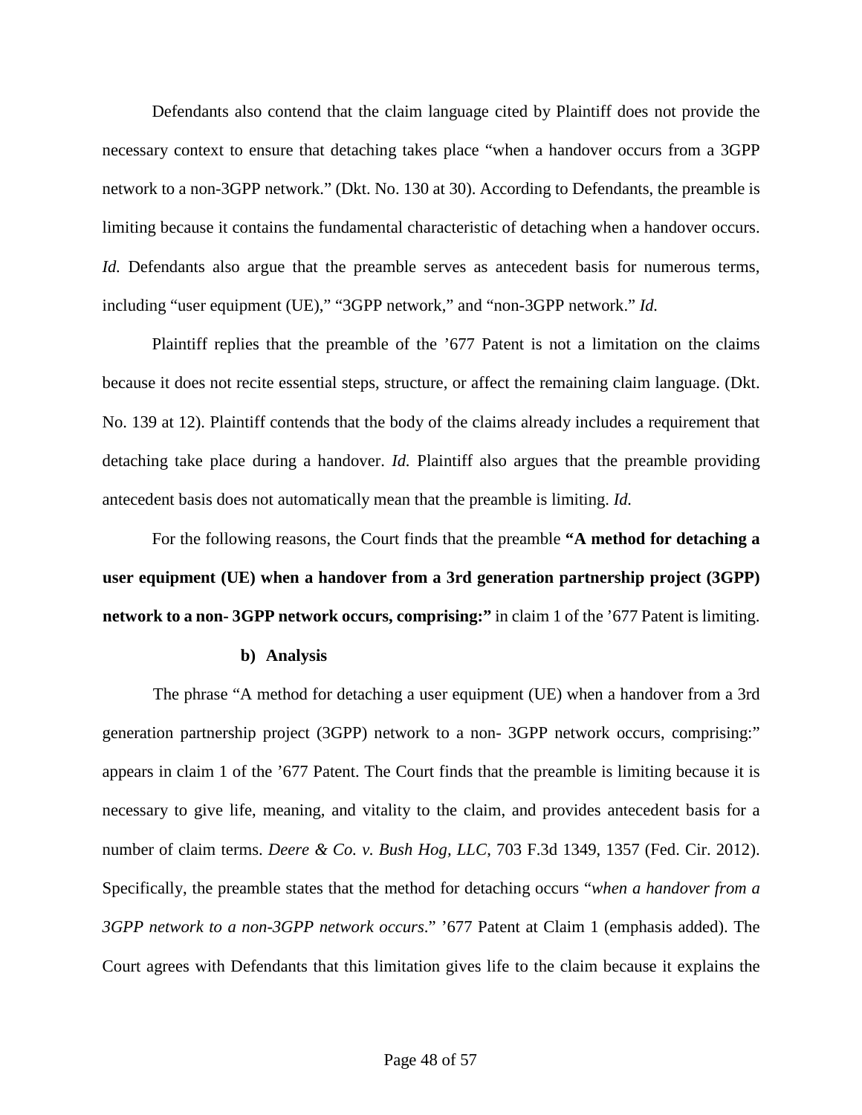Defendants also contend that the claim language cited by Plaintiff does not provide the necessary context to ensure that detaching takes place "when a handover occurs from a 3GPP network to a non-3GPP network." (Dkt. No. 130 at 30). According to Defendants, the preamble is limiting because it contains the fundamental characteristic of detaching when a handover occurs. *Id.* Defendants also argue that the preamble serves as antecedent basis for numerous terms, including "user equipment (UE)," "3GPP network," and "non-3GPP network." *Id.*

Plaintiff replies that the preamble of the '677 Patent is not a limitation on the claims because it does not recite essential steps, structure, or affect the remaining claim language. (Dkt. No. 139 at 12). Plaintiff contends that the body of the claims already includes a requirement that detaching take place during a handover. *Id.* Plaintiff also argues that the preamble providing antecedent basis does not automatically mean that the preamble is limiting. *Id.*

For the following reasons, the Court finds that the preamble **"A method for detaching a user equipment (UE) when a handover from a 3rd generation partnership project (3GPP) network to a non- 3GPP network occurs, comprising:"** in claim 1 of the '677 Patent is limiting.

#### **b) Analysis**

The phrase "A method for detaching a user equipment (UE) when a handover from a 3rd generation partnership project (3GPP) network to a non- 3GPP network occurs, comprising:" appears in claim 1 of the '677 Patent. The Court finds that the preamble is limiting because it is necessary to give life, meaning, and vitality to the claim, and provides antecedent basis for a number of claim terms. *Deere & Co. v. Bush Hog, LLC*, 703 F.3d 1349, 1357 (Fed. Cir. 2012). Specifically, the preamble states that the method for detaching occurs "*when a handover from a 3GPP network to a non-3GPP network occurs*." '677 Patent at Claim 1 (emphasis added). The Court agrees with Defendants that this limitation gives life to the claim because it explains the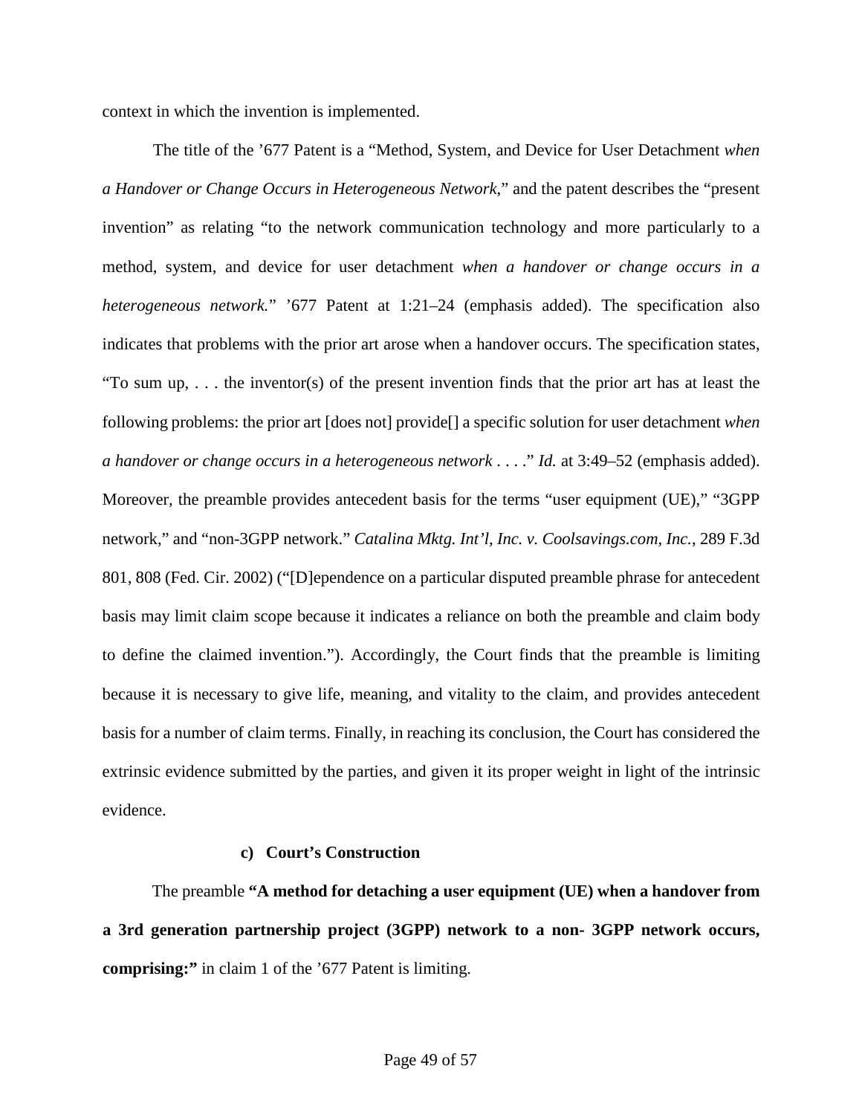context in which the invention is implemented.

The title of the '677 Patent is a "Method, System, and Device for User Detachment *when a Handover or Change Occurs in Heterogeneous Network*," and the patent describes the "present invention" as relating "to the network communication technology and more particularly to a method, system, and device for user detachment *when a handover or change occurs in a heterogeneous network.*" '677 Patent at 1:21–24 (emphasis added). The specification also indicates that problems with the prior art arose when a handover occurs. The specification states, "To sum up, . . . the inventor(s) of the present invention finds that the prior art has at least the following problems: the prior art [does not] provide[] a specific solution for user detachment *when a handover or change occurs in a heterogeneous network* . . . ." *Id.* at 3:49–52 (emphasis added). Moreover, the preamble provides antecedent basis for the terms "user equipment (UE)," "3GPP network," and "non-3GPP network." *Catalina Mktg. Int'l, Inc. v. Coolsavings.com, Inc.*, 289 F.3d 801, 808 (Fed. Cir. 2002) ("[D]ependence on a particular disputed preamble phrase for antecedent basis may limit claim scope because it indicates a reliance on both the preamble and claim body to define the claimed invention."). Accordingly, the Court finds that the preamble is limiting because it is necessary to give life, meaning, and vitality to the claim, and provides antecedent basis for a number of claim terms. Finally, in reaching its conclusion, the Court has considered the extrinsic evidence submitted by the parties, and given it its proper weight in light of the intrinsic evidence.

# **c) Court's Construction**

The preamble **"A method for detaching a user equipment (UE) when a handover from a 3rd generation partnership project (3GPP) network to a non- 3GPP network occurs, comprising:"** in claim 1 of the '677 Patent is limiting.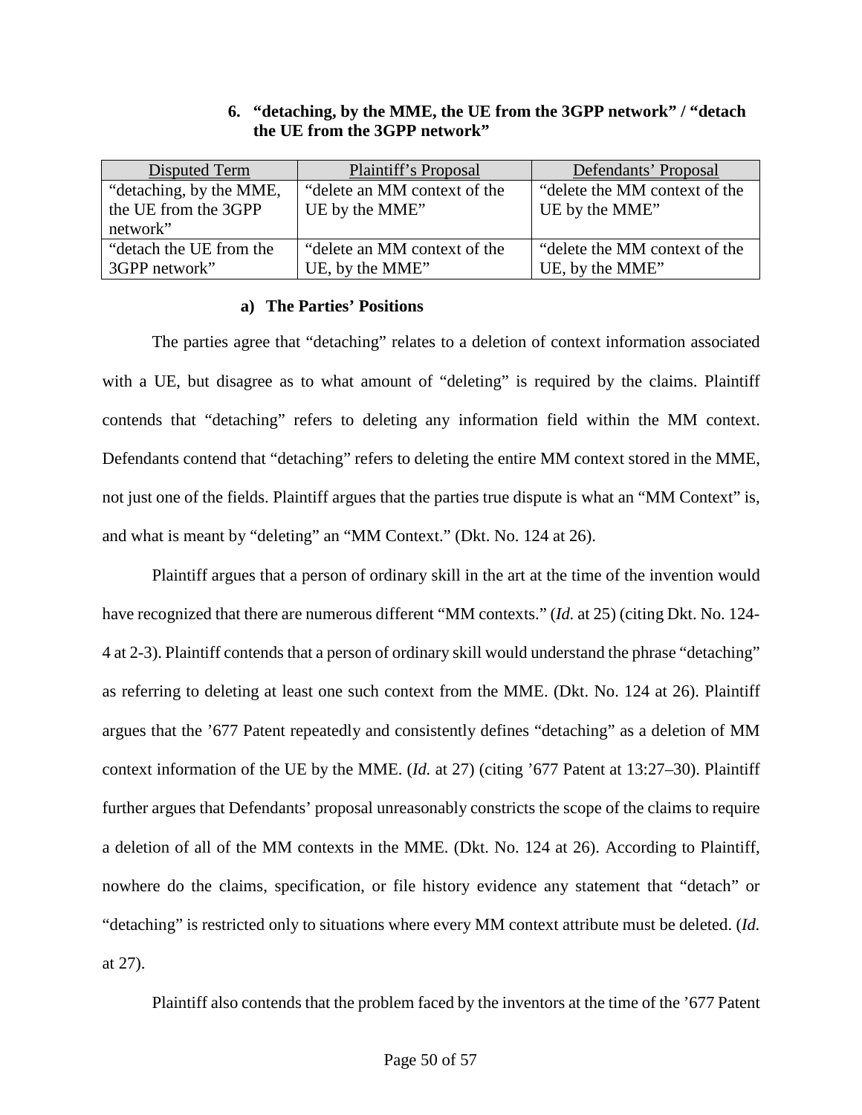# **6. "detaching, by the MME, the UE from the 3GPP network" / "detach the UE from the 3GPP network"**

<span id="page-49-0"></span>

| Disputed Term           | <b>Plaintiff's Proposal</b>  | Defendants' Proposal          |
|-------------------------|------------------------------|-------------------------------|
| "detaching, by the MME, | "delete an MM context of the | "delete the MM context of the |
| the UE from the 3GPP    | UE by the MME"               | UE by the MME"                |
| network"                |                              |                               |
| "detach the UE from the | "delete an MM context of the | "delete the MM context of the |
| 3GPP network"           | UE, by the MME"              | UE, by the MME"               |

#### **a) The Parties' Positions**

The parties agree that "detaching" relates to a deletion of context information associated with a UE, but disagree as to what amount of "deleting" is required by the claims. Plaintiff contends that "detaching" refers to deleting any information field within the MM context. Defendants contend that "detaching" refers to deleting the entire MM context stored in the MME, not just one of the fields. Plaintiff argues that the parties true dispute is what an "MM Context" is, and what is meant by "deleting" an "MM Context." (Dkt. No. 124 at 26).

Plaintiff argues that a person of ordinary skill in the art at the time of the invention would have recognized that there are numerous different "MM contexts." (*Id.* at 25) (citing Dkt. No. 124- 4 at 2-3). Plaintiff contends that a person of ordinary skill would understand the phrase "detaching" as referring to deleting at least one such context from the MME. (Dkt. No. 124 at 26). Plaintiff argues that the '677 Patent repeatedly and consistently defines "detaching" as a deletion of MM context information of the UE by the MME. (*Id.* at 27) (citing '677 Patent at 13:27–30). Plaintiff further argues that Defendants' proposal unreasonably constricts the scope of the claims to require a deletion of all of the MM contexts in the MME. (Dkt. No. 124 at 26). According to Plaintiff, nowhere do the claims, specification, or file history evidence any statement that "detach" or "detaching" is restricted only to situations where every MM context attribute must be deleted. (*Id.* at 27).

Plaintiff also contends that the problem faced by the inventors at the time of the '677 Patent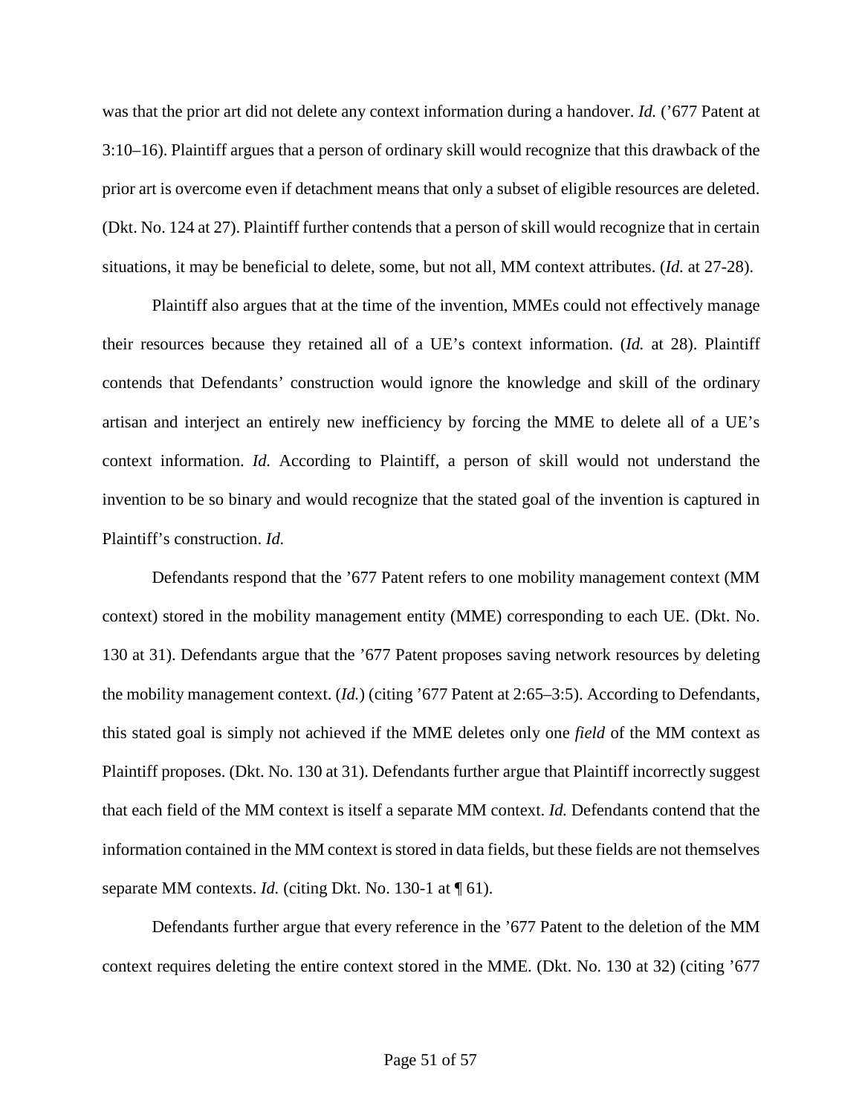was that the prior art did not delete any context information during a handover. *Id.* ('677 Patent at 3:10–16). Plaintiff argues that a person of ordinary skill would recognize that this drawback of the prior art is overcome even if detachment means that only a subset of eligible resources are deleted. (Dkt. No. 124 at 27). Plaintiff further contends that a person of skill would recognize that in certain situations, it may be beneficial to delete, some, but not all, MM context attributes. (*Id.* at 27-28).

Plaintiff also argues that at the time of the invention, MMEs could not effectively manage their resources because they retained all of a UE's context information. (*Id.* at 28). Plaintiff contends that Defendants' construction would ignore the knowledge and skill of the ordinary artisan and interject an entirely new inefficiency by forcing the MME to delete all of a UE's context information. *Id.* According to Plaintiff, a person of skill would not understand the invention to be so binary and would recognize that the stated goal of the invention is captured in Plaintiff's construction. *Id.*

Defendants respond that the '677 Patent refers to one mobility management context (MM context) stored in the mobility management entity (MME) corresponding to each UE. (Dkt. No. 130 at 31). Defendants argue that the '677 Patent proposes saving network resources by deleting the mobility management context. (*Id.*) (citing '677 Patent at 2:65–3:5). According to Defendants, this stated goal is simply not achieved if the MME deletes only one *field* of the MM context as Plaintiff proposes. (Dkt. No. 130 at 31). Defendants further argue that Plaintiff incorrectly suggest that each field of the MM context is itself a separate MM context. *Id.* Defendants contend that the information contained in the MM context is stored in data fields, but these fields are not themselves separate MM contexts. *Id.* (citing Dkt. No. 130-1 at  $\P$  61).

Defendants further argue that every reference in the '677 Patent to the deletion of the MM context requires deleting the entire context stored in the MME. (Dkt. No. 130 at 32) (citing '677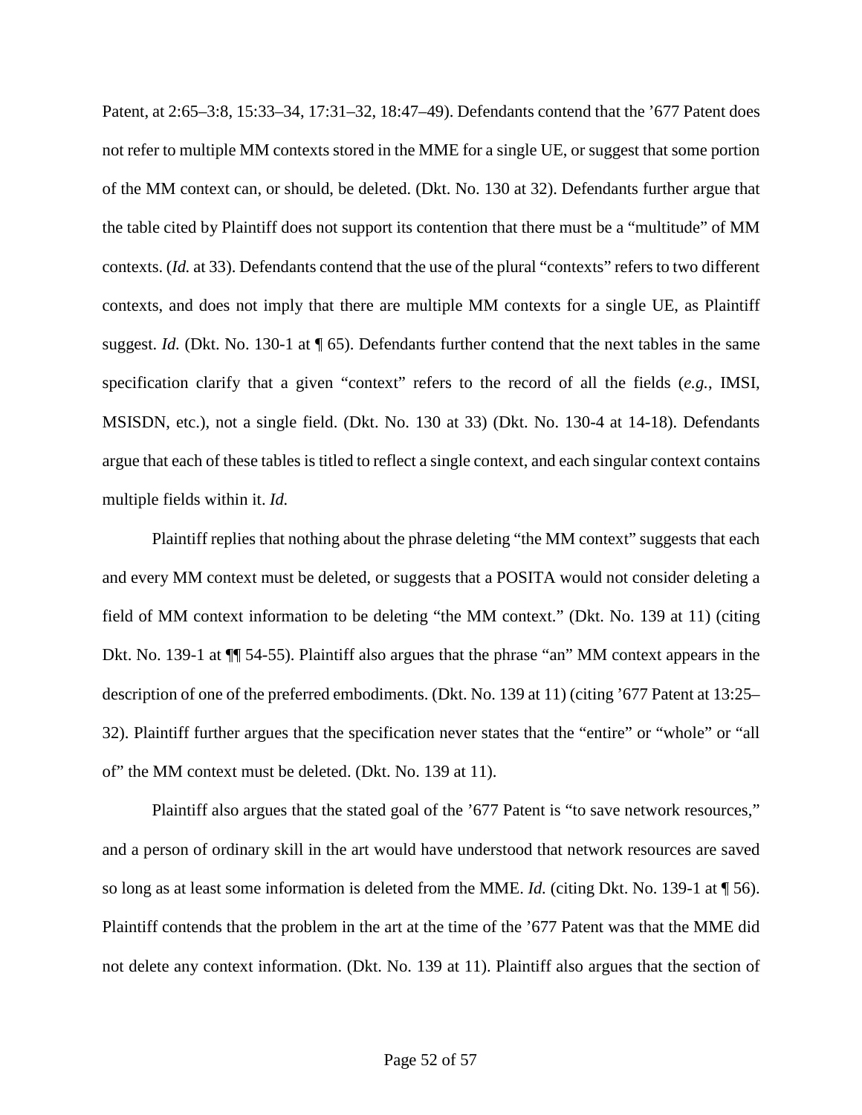Patent, at 2:65–3:8, 15:33–34, 17:31–32, 18:47–49). Defendants contend that the '677 Patent does not refer to multiple MM contexts stored in the MME for a single UE, or suggest that some portion of the MM context can, or should, be deleted. (Dkt. No. 130 at 32). Defendants further argue that the table cited by Plaintiff does not support its contention that there must be a "multitude" of MM contexts. (*Id.* at 33). Defendants contend that the use of the plural "contexts" refers to two different contexts, and does not imply that there are multiple MM contexts for a single UE, as Plaintiff suggest. *Id.* (Dkt. No. 130-1 at  $\P$  65). Defendants further contend that the next tables in the same specification clarify that a given "context" refers to the record of all the fields (*e.g.*, IMSI, MSISDN, etc.), not a single field. (Dkt. No. 130 at 33) (Dkt. No. 130-4 at 14-18). Defendants argue that each of these tables is titled to reflect a single context, and each singular context contains multiple fields within it. *Id.*

Plaintiff replies that nothing about the phrase deleting "the MM context" suggests that each and every MM context must be deleted, or suggests that a POSITA would not consider deleting a field of MM context information to be deleting "the MM context." (Dkt. No. 139 at 11) (citing Dkt. No. 139-1 at ¶¶ 54-55). Plaintiff also argues that the phrase "an" MM context appears in the description of one of the preferred embodiments. (Dkt. No. 139 at 11) (citing '677 Patent at 13:25– 32). Plaintiff further argues that the specification never states that the "entire" or "whole" or "all of" the MM context must be deleted. (Dkt. No. 139 at 11).

Plaintiff also argues that the stated goal of the '677 Patent is "to save network resources," and a person of ordinary skill in the art would have understood that network resources are saved so long as at least some information is deleted from the MME. *Id.* (citing Dkt. No. 139-1 at ¶ 56). Plaintiff contends that the problem in the art at the time of the '677 Patent was that the MME did not delete any context information. (Dkt. No. 139 at 11). Plaintiff also argues that the section of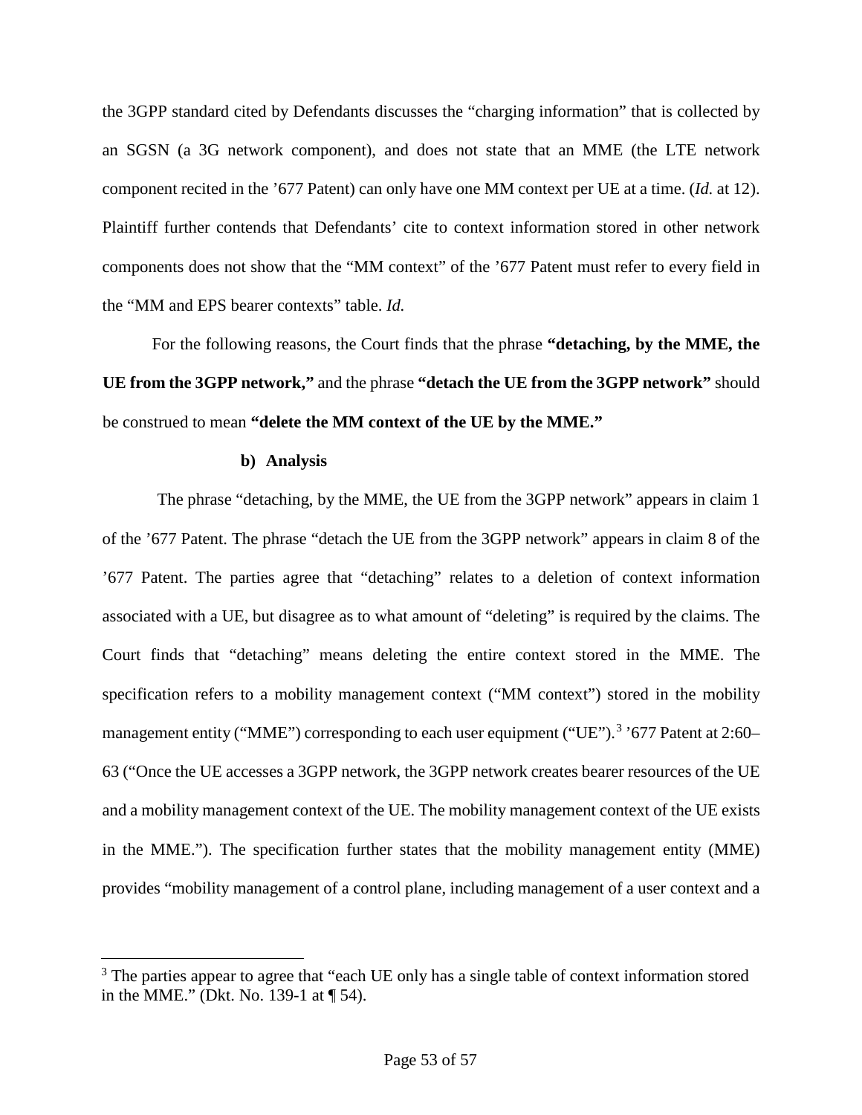the 3GPP standard cited by Defendants discusses the "charging information" that is collected by an SGSN (a 3G network component), and does not state that an MME (the LTE network component recited in the '677 Patent) can only have one MM context per UE at a time. (*Id.* at 12). Plaintiff further contends that Defendants' cite to context information stored in other network components does not show that the "MM context" of the '677 Patent must refer to every field in the "MM and EPS bearer contexts" table. *Id.*

For the following reasons, the Court finds that the phrase **"detaching, by the MME, the UE from the 3GPP network,"** and the phrase **"detach the UE from the 3GPP network"** should be construed to mean **"delete the MM context of the UE by the MME."**

### **b) Analysis**

 $\overline{a}$ 

The phrase "detaching, by the MME, the UE from the 3GPP network" appears in claim 1 of the '677 Patent. The phrase "detach the UE from the 3GPP network" appears in claim 8 of the '677 Patent. The parties agree that "detaching" relates to a deletion of context information associated with a UE, but disagree as to what amount of "deleting" is required by the claims. The Court finds that "detaching" means deleting the entire context stored in the MME. The specification refers to a mobility management context ("MM context") stored in the mobility management entity ("MME") corresponding to each user equipment ("UE").<sup>[3](#page-52-0)</sup> '677 Patent at 2:60– 63 ("Once the UE accesses a 3GPP network, the 3GPP network creates bearer resources of the UE and a mobility management context of the UE. The mobility management context of the UE exists in the MME."). The specification further states that the mobility management entity (MME) provides "mobility management of a control plane, including management of a user context and a

<span id="page-52-0"></span><sup>&</sup>lt;sup>3</sup> The parties appear to agree that "each UE only has a single table of context information stored in the MME." (Dkt. No. 139-1 at ¶ 54).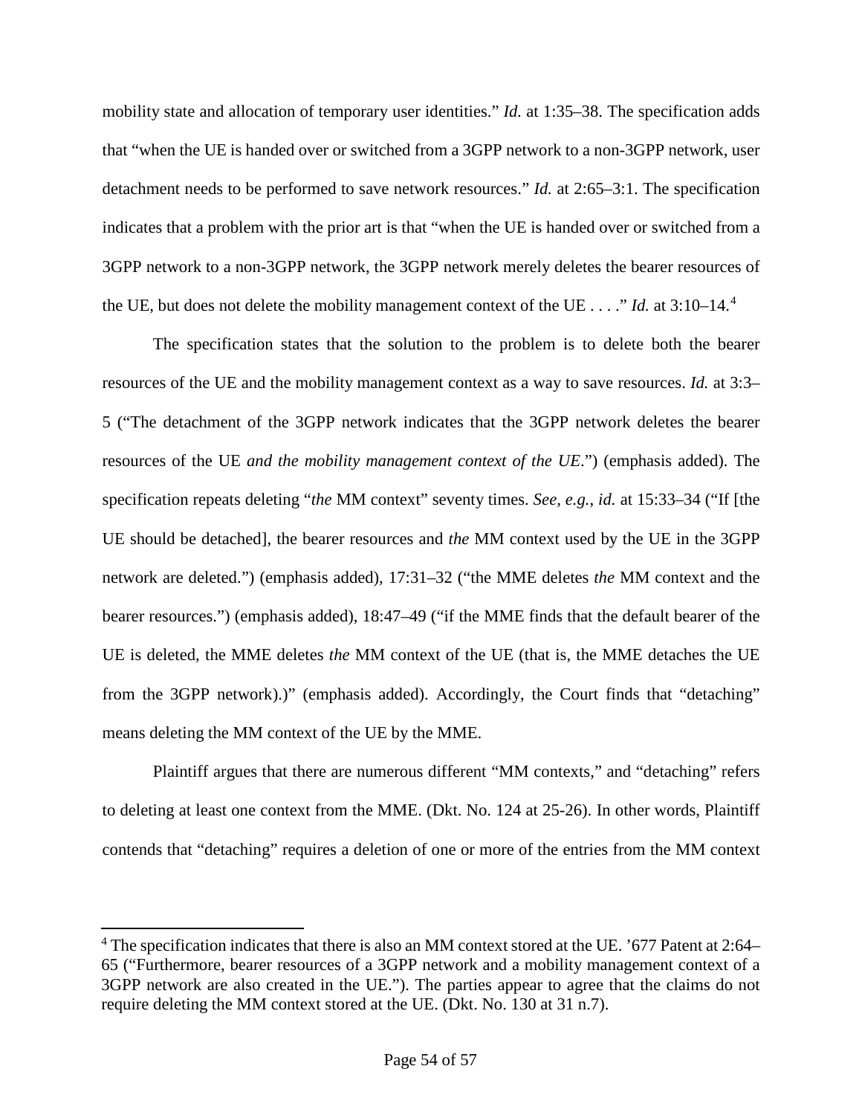mobility state and allocation of temporary user identities." *Id.* at 1:35–38. The specification adds that "when the UE is handed over or switched from a 3GPP network to a non-3GPP network, user detachment needs to be performed to save network resources." *Id.* at 2:65–3:1. The specification indicates that a problem with the prior art is that "when the UE is handed over or switched from a 3GPP network to a non-3GPP network, the 3GPP network merely deletes the bearer resources of the UE, but does not delete the mobility management context of the UE . . . ." *Id.* at 3:10–14.[4](#page-53-0)

The specification states that the solution to the problem is to delete both the bearer resources of the UE and the mobility management context as a way to save resources. *Id.* at 3:3– 5 ("The detachment of the 3GPP network indicates that the 3GPP network deletes the bearer resources of the UE *and the mobility management context of the UE*.") (emphasis added). The specification repeats deleting "*the* MM context" seventy times. *See, e.g.*, *id.* at 15:33–34 ("If [the UE should be detached], the bearer resources and *the* MM context used by the UE in the 3GPP network are deleted.") (emphasis added), 17:31–32 ("the MME deletes *the* MM context and the bearer resources.") (emphasis added), 18:47–49 ("if the MME finds that the default bearer of the UE is deleted, the MME deletes *the* MM context of the UE (that is, the MME detaches the UE from the 3GPP network).)" (emphasis added). Accordingly, the Court finds that "detaching" means deleting the MM context of the UE by the MME.

Plaintiff argues that there are numerous different "MM contexts," and "detaching" refers to deleting at least one context from the MME. (Dkt. No. 124 at 25-26). In other words, Plaintiff contends that "detaching" requires a deletion of one or more of the entries from the MM context

l

<span id="page-53-0"></span><sup>&</sup>lt;sup>4</sup> The specification indicates that there is also an MM context stored at the UE. '677 Patent at 2:64– 65 ("Furthermore, bearer resources of a 3GPP network and a mobility management context of a 3GPP network are also created in the UE."). The parties appear to agree that the claims do not require deleting the MM context stored at the UE. (Dkt. No. 130 at 31 n.7).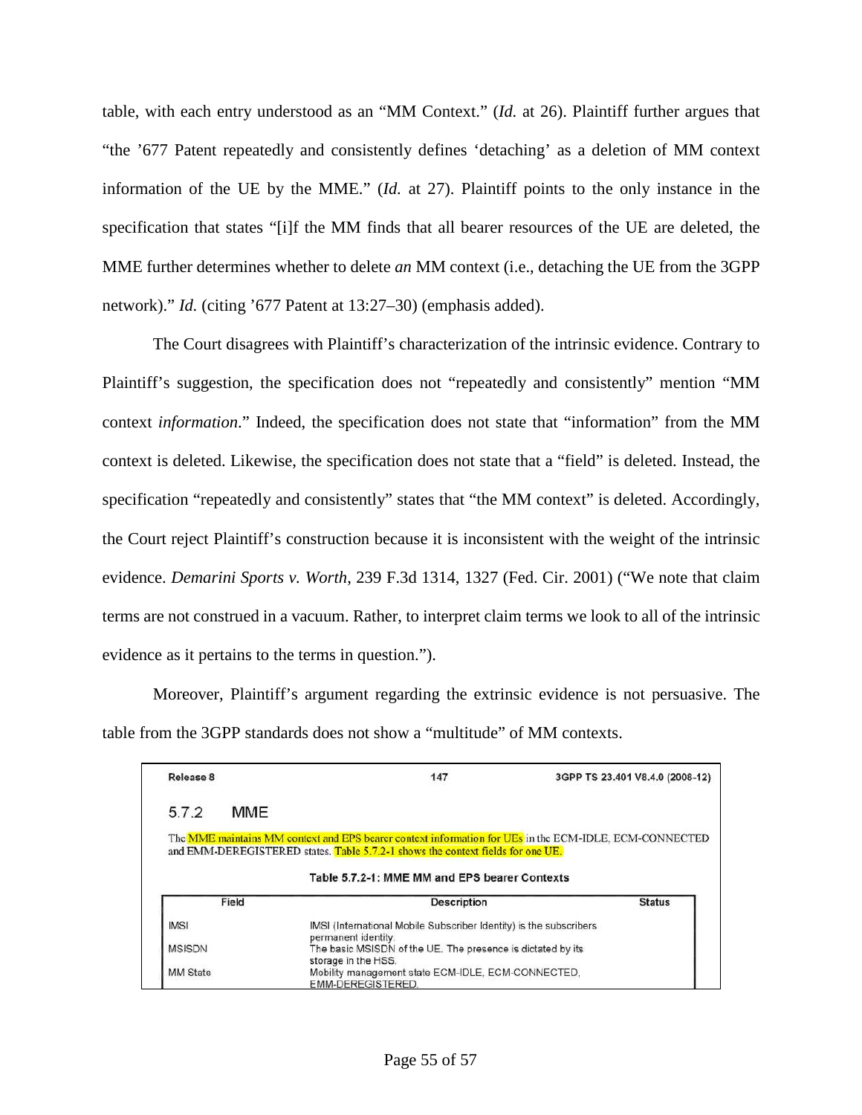table, with each entry understood as an "MM Context." (*Id.* at 26). Plaintiff further argues that "the '677 Patent repeatedly and consistently defines 'detaching' as a deletion of MM context information of the UE by the MME." (*Id.* at 27). Plaintiff points to the only instance in the specification that states "[i]f the MM finds that all bearer resources of the UE are deleted, the MME further determines whether to delete *an* MM context (i.e., detaching the UE from the 3GPP network)." *Id.* (citing '677 Patent at 13:27–30) (emphasis added).

The Court disagrees with Plaintiff's characterization of the intrinsic evidence. Contrary to Plaintiff's suggestion, the specification does not "repeatedly and consistently" mention "MM context *information*." Indeed, the specification does not state that "information" from the MM context is deleted. Likewise, the specification does not state that a "field" is deleted. Instead, the specification "repeatedly and consistently" states that "the MM context" is deleted. Accordingly, the Court reject Plaintiff's construction because it is inconsistent with the weight of the intrinsic evidence. *Demarini Sports v. Worth*, 239 F.3d 1314, 1327 (Fed. Cir. 2001) ("We note that claim terms are not construed in a vacuum. Rather, to interpret claim terms we look to all of the intrinsic evidence as it pertains to the terms in question.").

Moreover, Plaintiff's argument regarding the extrinsic evidence is not persuasive. The table from the 3GPP standards does not show a "multitude" of MM contexts.

| Release 8         | 147                                                                                                                                                                                       | 3GPP TS 23.401 V8.4.0 (2008-12) |
|-------------------|-------------------------------------------------------------------------------------------------------------------------------------------------------------------------------------------|---------------------------------|
| <b>MMF</b><br>572 |                                                                                                                                                                                           |                                 |
|                   | The MME maintains MM context and EPS bearer context information for UEs in the ECM-IDLE, ECM-CONNECTED<br>and EMM-DEREGISTERED states. Table 5.7.2-1 shows the context fields for one UE. |                                 |
|                   |                                                                                                                                                                                           |                                 |
|                   |                                                                                                                                                                                           |                                 |
|                   | Table 5.7.2-1: MME MM and EPS bearer Contexts                                                                                                                                             |                                 |
| Field             | <b>Description</b>                                                                                                                                                                        | <b>Status</b>                   |
| <b>IMSI</b>       | IMSI (International Mobile Subscriber Identity) is the subscribers                                                                                                                        |                                 |
|                   | permanent identity.                                                                                                                                                                       |                                 |
| <b>MSISDN</b>     | The basic MSISDN of the UE. The presence is dictated by its                                                                                                                               |                                 |
|                   | storage in the HSS.                                                                                                                                                                       |                                 |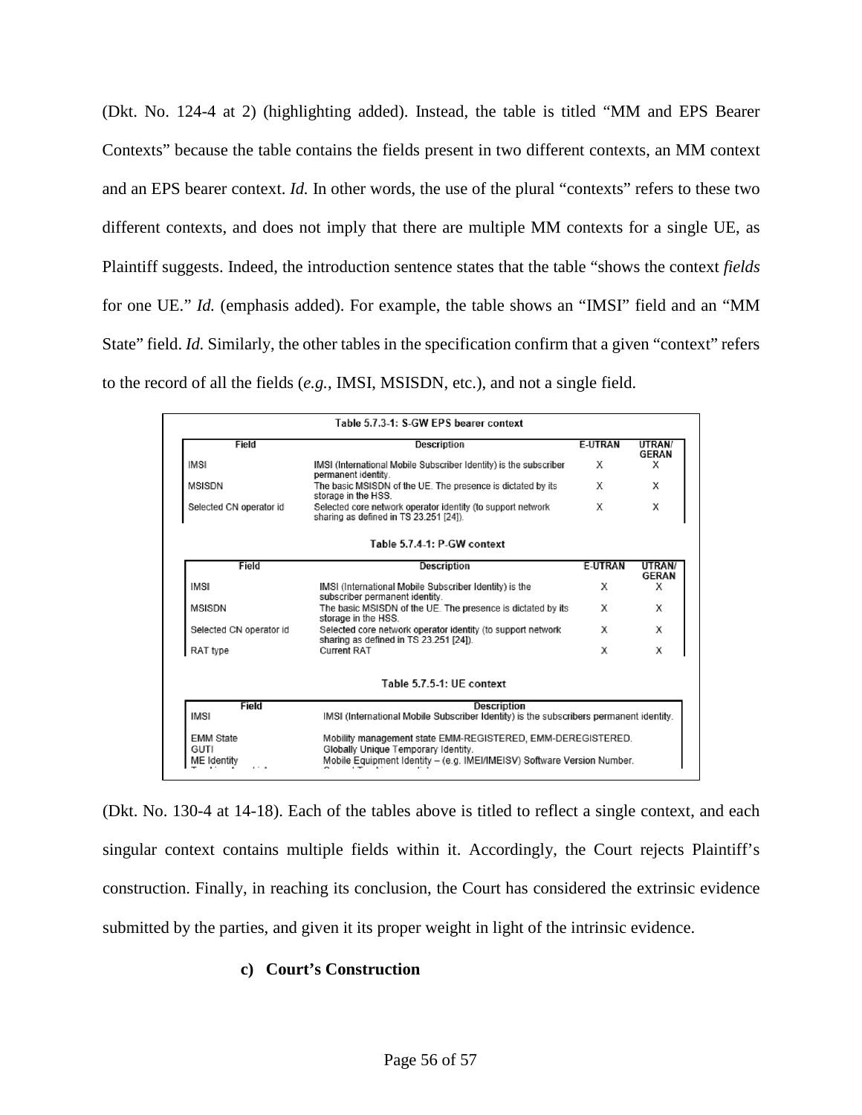(Dkt. No. 124-4 at 2) (highlighting added). Instead, the table is titled "MM and EPS Bearer Contexts" because the table contains the fields present in two different contexts, an MM context and an EPS bearer context. *Id.* In other words, the use of the plural "contexts" refers to these two different contexts, and does not imply that there are multiple MM contexts for a single UE, as Plaintiff suggests. Indeed, the introduction sentence states that the table "shows the context *fields* for one UE." *Id.* (emphasis added). For example, the table shows an "IMSI" field and an "MM State" field. *Id.* Similarly, the other tables in the specification confirm that a given "context" refers to the record of all the fields (*e.g.*, IMSI, MSISDN, etc.), and not a single field.

| Field                           | <b>Description</b>                                                                                           | <b>E-UTRAN</b> | UTRAN/<br><b>GERAN</b> |
|---------------------------------|--------------------------------------------------------------------------------------------------------------|----------------|------------------------|
| <b>IMSI</b>                     | IMSI (International Mobile Subscriber Identity) is the subscriber<br>permanent identity.                     | X              | x                      |
| MSISDN                          | The basic MSISDN of the UE. The presence is dictated by its<br>storage in the HSS.                           | x              | x                      |
| Selected CN operator id         | Selected core network operator identity (to support network<br>sharing as defined in TS 23.251 [24]).        | X              | х                      |
|                                 | Table 5.7.4-1: P-GW context                                                                                  |                |                        |
| Field                           | <b>Description</b>                                                                                           | <b>E-UTRAN</b> | UTRAN/<br><b>GERAN</b> |
| <b>IMSI</b>                     | IMSI (International Mobile Subscriber Identity) is the<br>subscriber permanent identity.                     | X              | x                      |
| <b>MSISDN</b>                   | The basic MSISDN of the UE. The presence is dictated by its<br>storage in the HSS.                           | X              | X                      |
| Selected CN operator id         | Selected core network operator identity (to support network<br>sharing as defined in TS 23.251 [24]).        | X              | X                      |
| RAT type                        | <b>Current RAT</b>                                                                                           | Х              | X                      |
|                                 | Table 5.7.5-1: UE context                                                                                    |                |                        |
| Field<br><b>IMSI</b>            | <b>Description</b><br>IMSI (International Mobile Subscriber Identity) is the subscribers permanent identity. |                |                        |
| <b>EMM State</b><br><b>GUTI</b> | Mobility management state EMM-REGISTERED, EMM-DEREGISTERED.<br>Globally Unique Temporary Identity.           |                |                        |

(Dkt. No. 130-4 at 14-18). Each of the tables above is titled to reflect a single context, and each singular context contains multiple fields within it. Accordingly, the Court rejects Plaintiff's construction. Finally, in reaching its conclusion, the Court has considered the extrinsic evidence submitted by the parties, and given it its proper weight in light of the intrinsic evidence.

### **c) Court's Construction**